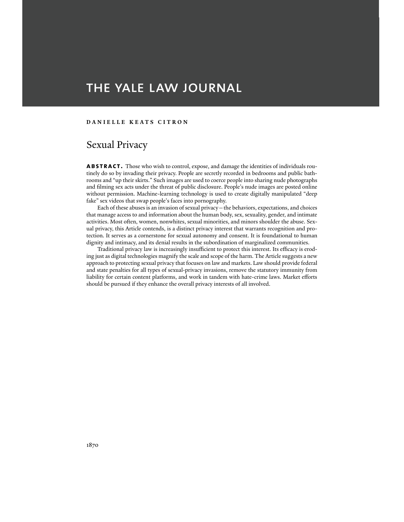# THE YALE LAW JOURNAL

## **DANIELLE KEATS CITRON**

## Sexual Privacy

**abstract.** Those who wish to control, expose, and damage the identities of individuals routinely do so by invading their privacy. People are secretly recorded in bedrooms and public bathrooms and "up their skirts." Such images are used to coerce people into sharing nude photographs and filming sex acts under the threat of public disclosure. People's nude images are posted online without permission. Machine-learning technology is used to create digitally manipulated "deep fake" sex videos that swap people's faces into pornography.

 Each of these abuses is an invasion of sexual privacy—the behaviors, expectations, and choices that manage access to and information about the human body, sex, sexuality, gender, and intimate activities. Most often, women, nonwhites, sexual minorities, and minors shoulder the abuse. Sexual privacy, this Article contends, is a distinct privacy interest that warrants recognition and protection. It serves as a cornerstone for sexual autonomy and consent. It is foundational to human dignity and intimacy, and its denial results in the subordination of marginalized communities.

 Traditional privacy law is increasingly insufficient to protect this interest. Its efficacy is eroding just as digital technologies magnify the scale and scope of the harm. The Article suggests a new approach to protecting sexual privacy that focuses on law and markets. Law should provide federal and state penalties for all types of sexual-privacy invasions, remove the statutory immunity from liability for certain content platforms, and work in tandem with hate-crime laws. Market efforts should be pursued if they enhance the overall privacy interests of all involved.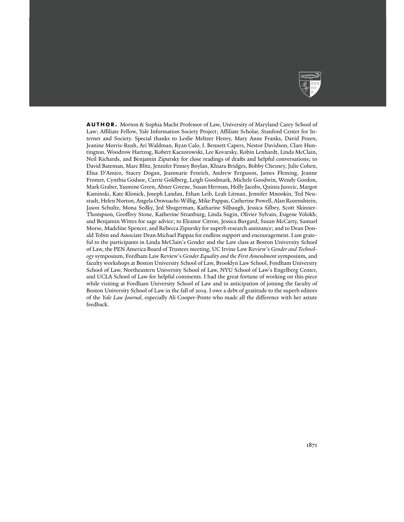

**AUTHOR.** Morton & Sophia Macht Professor of Law, University of Maryland Carey School of Law; Affiliate Fellow, Yale Information Society Project; Affiliate Scholar, Stanford Center for Internet and Society. Special thanks to Leslie Meltzer Henry, Mary Anne Franks, David Pozen, Jeanine Morris-Rush, Ari Waldman, Ryan Calo, I. Bennett Capers, Nestor Davidson, Clare Huntington, Woodrow Hartzog, Robert Kaczorowski, Lee Kovarsky, Robin Lenhardt, Linda McClain, Neil Richards, and Benjamin Zipursky for close readings of drafts and helpful conversations; to David Bateman, Marc Blitz, Jennifer Finney Boylan, Khiara Bridges, Bobby Chesney, Julie Cohen, Elisa D'Amico, Stacey Dogan, Jeanmarie Fenrich, Andrew Ferguson, James Fleming, Jeanne Fromer, Cynthia Godsoe, Carrie Goldberg, Leigh Goodmark, Michele Goodwin, Wendy Gordon, Mark Graber, Yasmine Green, Abner Greene, Susan Herman, Holly Jacobs, Quinta Jurecic, Margot Kaminski, Kate Klonick, Joseph Landau, Ethan Leib, Leah Litman, Jennifer Mnookin, Ted Neustadt, Helen Norton, Angela Onwuachi-Willig, Mike Pappas, Catherine Powell, Alan Rozenshtein, Jason Schultz, Mona Sedky, Jed Shugerman, Katharine Silbaugh, Jessica Silbey, Scott Skinner-Thompson, Geoffrey Stone, Katherine Stranburg, Linda Sugin, Olivier Sylvain, Eugene Volokh, and Benjamin Wittes for sage advice; to Eleanor Citron, Jessica Burgard, Susan McCarty, Samuel Morse, Madeline Spencer, and Rebecca Zipursky for superb research assistance; and to Dean Donald Tobin and Associate Dean Michael Pappas for endless support and encouragement. I am grateful to the participants in Linda McClain's Gender and the Law class at Boston University School of Law, the PEN America Board of Trustees meeting, UC Irvine Law Review's *Gender and Technology* symposium, Fordham Law Review's *Gender Equality and the First Amendment* symposium, and faculty workshops at Boston University School of Law, Brooklyn Law School, Fordham University School of Law, Northeastern University School of Law, NYU School of Law's Engelberg Center, and UCLA School of Law for helpful comments. I had the great fortune of working on this piece while visiting at Fordham University School of Law and in anticipation of joining the faculty of Boston University School of Law in the fall of 2019. I owe a debt of gratitude to the superb editors of the *Yale Law Journal*, especially Ali Cooper-Ponte who made all the difference with her astute feedback.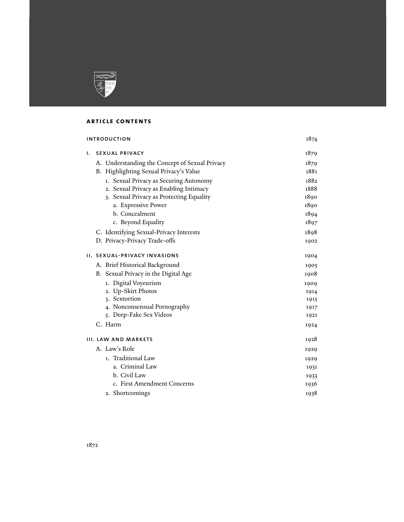

## **article contents**

| <b>INTRODUCTION</b> |                                                | 1874 |
|---------------------|------------------------------------------------|------|
| ı.                  | <b>SEXUAL PRIVACY</b>                          | 1879 |
|                     | A. Understanding the Concept of Sexual Privacy | 1879 |
|                     | B. Highlighting Sexual Privacy's Value         | 1881 |
|                     | 1. Sexual Privacy as Securing Autonomy         | 1882 |
|                     | 2. Sexual Privacy as Enabling Intimacy         | 1888 |
|                     | 3. Sexual Privacy as Protecting Equality       | 1890 |
|                     | a. Expressive Power                            | 1890 |
|                     | b. Concealment                                 | 1894 |
|                     | c. Beyond Equality                             | 1897 |
|                     | C. Identifying Sexual-Privacy Interests        | 1898 |
|                     | D. Privacy-Privacy Trade-offs                  | 1902 |
|                     | II. SEXUAL-PRIVACY INVASIONS                   | 1904 |
|                     | A. Brief Historical Background                 | 1905 |
|                     | B. Sexual Privacy in the Digital Age           | 1908 |
|                     | 1. Digital Voyeurism                           | 1909 |
|                     | 2. Up-Skirt Photos                             | 1914 |
|                     | 3. Sextortion                                  | 1915 |
|                     | 4. Nonconsensual Pornography                   | 1917 |
|                     | 5. Deep-Fake Sex Videos                        | 1921 |
|                     | C. Harm                                        | 1924 |
|                     | III. LAW AND MARKETS                           | 1928 |
|                     | A. Law's Role                                  | 1929 |
|                     | 1. Traditional Law                             | 1929 |
|                     | a. Criminal Law                                | 1931 |
|                     | b. Civil Law                                   | 1933 |
|                     | c. First Amendment Concerns                    | 1936 |
|                     | 2. Shortcomings                                | 1938 |
|                     |                                                |      |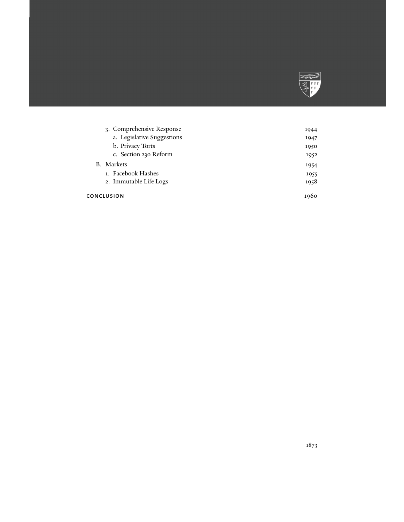

| 1944 |
|------|
| 1947 |
| 1950 |
| 1952 |
| 1954 |
| 1955 |
| 1958 |
| 1960 |
|      |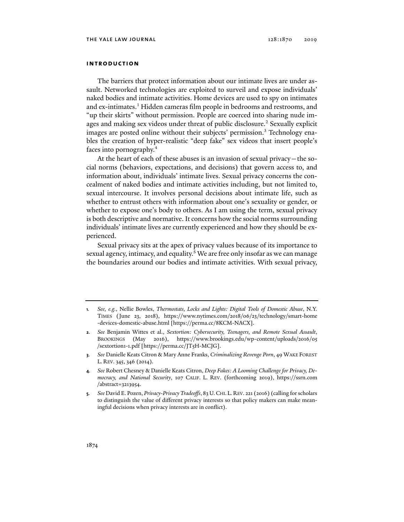## **introduction**

The barriers that protect information about our intimate lives are under assault. Networked technologies are exploited to surveil and expose individuals' naked bodies and intimate activities. Home devices are used to spy on intimates and ex-intimates.<sup>1</sup> Hidden cameras film people in bedrooms and restrooms, and "up their skirts" without permission. People are coerced into sharing nude images and making sex videos under threat of public disclosure.<sup>2</sup> Sexually explicit images are posted online without their subjects' permission.<sup>3</sup> Technology enables the creation of hyper-realistic "deep fake" sex videos that insert people's faces into pornography.4

At the heart of each of these abuses is an invasion of sexual privacy—the social norms (behaviors, expectations, and decisions) that govern access to, and information about, individuals' intimate lives. Sexual privacy concerns the concealment of naked bodies and intimate activities including, but not limited to, sexual intercourse. It involves personal decisions about intimate life, such as whether to entrust others with information about one's sexuality or gender, or whether to expose one's body to others. As I am using the term, sexual privacy is both descriptive and normative. It concerns how the social norms surrounding individuals' intimate lives are currently experienced and how they should be experienced.

Sexual privacy sits at the apex of privacy values because of its importance to sexual agency, intimacy, and equality.<sup>5</sup> We are free only insofar as we can manage the boundaries around our bodies and intimate activities. With sexual privacy,

**<sup>1</sup>***. See, e.g.*, Nellie Bowles, *Thermostats, Locks and Lights: Digital Tools of Domestic Abuse*, N.Y. TIMES (June 23, 2018), https://www.nytimes.com/2018/06/23/technology/smart-home -devices-domestic-abuse.html [https://perma.cc/8KCM-NACX].

**<sup>2</sup>***. See* Benjamin Wittes et al., *Sextortion: Cybersecurity, Teenagers, and Remote Sexual Assault*, BROOKINGS (May 2016), https://www.brookings.edu/wp-content/uploads/2016/05 /sextortion1-1.pdf [https://perma.cc/JT5H-MCJG].

**<sup>3</sup>***. See* Danielle Keats Citron & Mary Anne Franks, *Criminalizing Revenge Porn*, 49 WAKE FOREST L. REV. 345, 346 (2014).

**<sup>4</sup>***. See* Robert Chesney & Danielle Keats Citron, *Deep Fakes: A Looming Challenge for Privacy, Democracy, and National Security*, 107 CALIF. L. REV. (forthcoming 2019), https://ssrn.com /abstract=3213954.

**<sup>5</sup>***. See* David E. Pozen, *Privacy-Privacy Tradeoffs*, 83 U.CHI.L.REV. 221 (2016) (calling for scholars to distinguish the value of different privacy interests so that policy makers can make meaningful decisions when privacy interests are in conflict).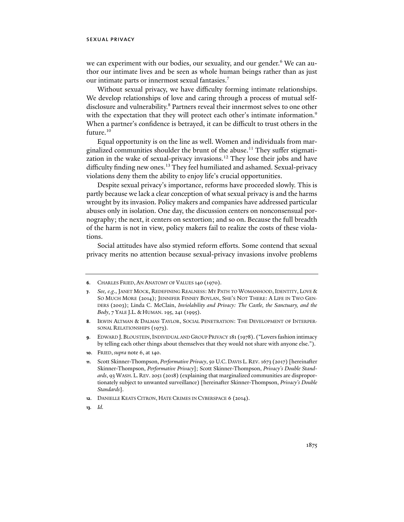we can experiment with our bodies, our sexuality, and our gender.<sup>6</sup> We can author our intimate lives and be seen as whole human beings rather than as just our intimate parts or innermost sexual fantasies.7

Without sexual privacy, we have difficulty forming intimate relationships. We develop relationships of love and caring through a process of mutual selfdisclosure and vulnerability.<sup>8</sup> Partners reveal their innermost selves to one other with the expectation that they will protect each other's intimate information.<sup>9</sup> When a partner's confidence is betrayed, it can be difficult to trust others in the future.<sup>10</sup>

Equal opportunity is on the line as well. Women and individuals from marginalized communities shoulder the brunt of the abuse.<sup>11</sup> They suffer stigmatization in the wake of sexual-privacy invasions.<sup>12</sup> They lose their jobs and have difficulty finding new ones.<sup>13</sup> They feel humiliated and ashamed. Sexual-privacy violations deny them the ability to enjoy life's crucial opportunities.

Despite sexual privacy's importance, reforms have proceeded slowly. This is partly because we lack a clear conception of what sexual privacy is and the harms wrought by its invasion. Policy makers and companies have addressed particular abuses only in isolation. One day, the discussion centers on nonconsensual pornography; the next, it centers on sextortion; and so on. Because the full breadth of the harm is not in view, policy makers fail to realize the costs of these violations.

Social attitudes have also stymied reform efforts. Some contend that sexual privacy merits no attention because sexual-privacy invasions involve problems

- **8**. IRWIN ALTMAN & DALMAS TAYLOR, SOCIAL PENETRATION: THE DEVELOPMENT OF INTERPER-SONAL RELATIONSHIPS (1973).
- **9**. EDWARD J.BLOUSTEIN,INDIVIDUAL AND GROUP PRIVACY 181 (1978). ("Lovers fashion intimacy by telling each other things about themselves that they would not share with anyone else.").
- **10**. FRIED, *supra* note 6, at 140.

- **12**. DANIELLE KEATS CITRON, HATE CRIMES IN CYBERSPACE 6 (2014).
- **13***. Id.*

**<sup>6</sup>**. CHARLES FRIED, AN ANATOMY OF VALUES 140 (1970).

**<sup>7</sup>***. See, e.g*., JANET MOCK, REDEFINING REALNESS: MY PATH TO WOMANHOOD, IDENTITY, LOVE & SO MUCH MORE (2014); JENNIFER FINNEY BOYLAN, SHE'S NOT THERE: A LIFE IN TWO GEN-DERS (2003); Linda C. McClain, *Inviolability and Privacy: The Castle, the Sanctuary, and the Body*, 7 YALE J.L. & HUMAN. 195, 241 (1995).

**<sup>11</sup>**. Scott Skinner-Thompson, *Performative Privacy*, 50 U.C. DAVIS L. REV. 1673 (2017) [hereinafter Skinner-Thompson, *Performative Privacy*]; Scott Skinner-Thompson, *Privacy's Double Standards*, 93 WASH. L. REV. 2051 (2018) (explaining that marginalized communities are disproportionately subject to unwanted surveillance) [hereinafter Skinner-Thompson, *Privacy's Double Standards*].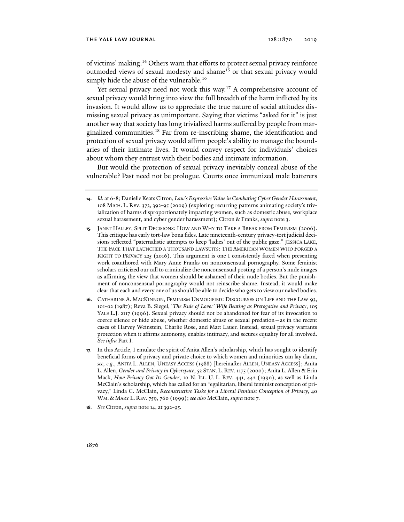#### the yale law journal 128:1870 2019

of victims' making.14 Others warn that efforts to protect sexual privacy reinforce outmoded views of sexual modesty and shame<sup>15</sup> or that sexual privacy would simply hide the abuse of the vulnerable.<sup>16</sup>

Yet sexual privacy need not work this way.<sup>17</sup> A comprehensive account of sexual privacy would bring into view the full breadth of the harm inflicted by its invasion. It would allow us to appreciate the true nature of social attitudes dismissing sexual privacy as unimportant. Saying that victims "asked for it" is just another way that society has long trivialized harms suffered by people from marginalized communities.18 Far from re-inscribing shame, the identification and protection of sexual privacy would affirm people's ability to manage the boundaries of their intimate lives. It would convey respect for individuals' choices about whom they entrust with their bodies and intimate information.

But would the protection of sexual privacy inevitably conceal abuse of the vulnerable? Past need not be prologue. Courts once immunized male batterers

- **15**. JANET HALLEY, SPLIT DECISIONS: HOW AND WHY TO TAKE A BREAK FROM FEMINISM (2006). This critique has early tort-law bona fides. Late nineteenth-century privacy-tort judicial decisions reflected "paternalistic attempts to keep 'ladies' out of the public gaze." JESSICA LAKE, THE FACE THAT LAUNCHED A THOUSAND LAWSUITS: THE AMERICAN WOMEN WHO FORGED A RIGHT TO PRIVACY 225 (2016). This argument is one I consistently faced when presenting work coauthored with Mary Anne Franks on nonconsensual pornography. Some feminist scholars criticized our call to criminalize the nonconsensual posting of a person's nude images as affirming the view that women should be ashamed of their nude bodies. But the punishment of nonconsensual pornography would not reinscribe shame. Instead, it would make clear that each and every one of us should be able to decide who gets to view our naked bodies.
- **16**. CATHARINE A. MACKINNON, FEMINISM UNMODIFIED: DISCOURSES ON LIFE AND THE LAW 93, 101-02 (1987); Reva B. Siegel, '*The Rule of Love:' Wife Beating as Prerogative and Privacy*, 105 YALE L.J. 2117 (1996). Sexual privacy should not be abandoned for fear of its invocation to coerce silence or hide abuse, whether domestic abuse or sexual predation—as in the recent cases of Harvey Weinstein, Charlie Rose, and Matt Lauer. Instead, sexual privacy warrants protection when it affirms autonomy, enables intimacy, and secures equality for all involved. *See infra* Part I.
- **17**. In this Article, I emulate the spirit of Anita Allen's scholarship, which has sought to identify beneficial forms of privacy and private choice to which women and minorities can lay claim, *see, e.g*., ANITA L. ALLEN, UNEASY ACCESS (1988) [hereinafter ALLEN, UNEASY ACCESS]; Anita L. Allen, *Gender and Privacy in Cyberspace*, 52 STAN. L. REV.1175 (2000); Anita L. Allen & Erin Mack, *How Privacy Got Its Gender*, 10 N. ILL. U. L. REV. 441, 442 (1990), as well as Linda McClain's scholarship, which has called for an "egalitarian, liberal feminist conception of privacy," Linda C. McClain, *Reconstructive Tasks for a Liberal Feminist Conception of Privacy*, 40 WM. & MARY L. REV. 759, 760 (1999); *see also* McClain, *supra* note 7.
- **18***. See* Citron, *supra* note 14, at 392-95.

**<sup>14</sup>***. Id.* at 6-8; Danielle Keats Citron, *Law's Expressive Value in Combating Cyber Gender Harassment*, 108 MICH. L. REV. 373, 392-95 (2009) (exploring recurring patterns animating society's trivialization of harms disproportionately impacting women, such as domestic abuse, workplace sexual harassment, and cyber gender harassment); Citron & Franks, *supra* note 3.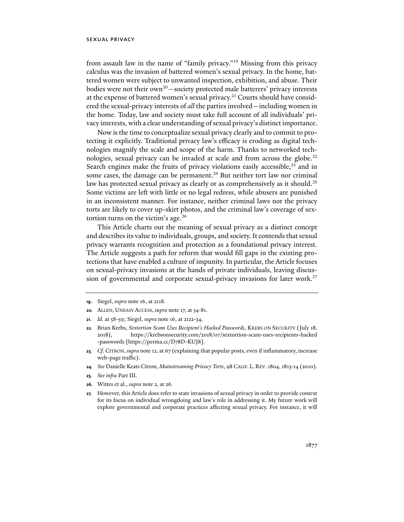from assault law in the name of "family privacy."19 Missing from this privacy calculus was the invasion of battered women's sexual privacy. In the home, battered women were subject to unwanted inspection, exhibition, and abuse. Their bodies were not their  $own<sup>20</sup> - society protected male batteries' privacy interests$ at the expense of battered women's sexual privacy.<sup>21</sup> Courts should have considered the sexual-privacy interests of *all* the parties involved—including women in the home. Today, law and society must take full account of all individuals' privacy interests, with a clear understanding of sexual privacy's distinct importance.

Now is the time to conceptualize sexual privacy clearly and to commit to protecting it explicitly. Traditional privacy law's efficacy is eroding as digital technologies magnify the scale and scope of the harm. Thanks to networked technologies, sexual privacy can be invaded at scale and from across the globe.<sup>22</sup> Search engines make the fruits of privacy violations easily accessible, $^{23}$  and in some cases, the damage can be permanent.<sup>24</sup> But neither tort law nor criminal law has protected sexual privacy as clearly or as comprehensively as it should.<sup>25</sup> Some victims are left with little or no legal redress, while abusers are punished in an inconsistent manner. For instance, neither criminal laws nor the privacy torts are likely to cover up-skirt photos, and the criminal law's coverage of sextortion turns on the victim's age. $^{26}$ 

This Article charts out the meaning of sexual privacy as a distinct concept and describes its value to individuals, groups, and society. It contends that sexual privacy warrants recognition and protection as a foundational privacy interest. The Article suggests a path for reform that would fill gaps in the existing protections that have enabled a culture of impunity. In particular, the Article focuses on sexual-privacy invasions at the hands of private individuals, leaving discussion of governmental and corporate sexual-privacy invasions for later work.<sup>27</sup>

- **20**. ALLEN, UNEASY ACCESS, *supra* note 17, at 54-81.
- **21***. Id.* at 58-59; Siegel, *supra* note 16, at 2122-34.
- **22**. Brian Krebs, *Sextortion Scam Uses Recipient's Hacked Passwords*, KREBS ON SECURITY (July 18, 2018), https://krebsonsecurity.com/2018/07/sextortion-scam-uses-recipients-hacked -passwords [https://perma.cc/D78D-KUJ8].
- **23***. Cf.* CITRON, *supra* note 12, at 67 (explaining that popular posts, even if inflammatory, increase web-page traffic).
- **24***. See* Danielle Keats Citron, *Mainstreaming Privacy Torts*, 98 CALIF. L. REV. 1804, 1813-14 (2010).
- **25***. See infra* Part III.
- **26**. Wittes et al., *supra* note 2, at 26.
- **27**. However, this Article does refer to state invasions of sexual privacy in order to provide context for its focus on individual wrongdoing and law's role in addressing it. My future work will explore governmental and corporate practices affecting sexual privacy. For instance, it will

**<sup>19</sup>**. Siegel, *supra* note 16, at 2118.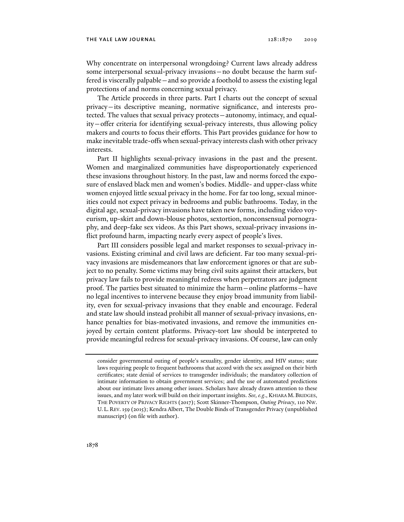Why concentrate on interpersonal wrongdoing? Current laws already address some interpersonal sexual-privacy invasions—no doubt because the harm suffered is viscerally palpable—and so provide a foothold to assess the existing legal protections of and norms concerning sexual privacy.

The Article proceeds in three parts. Part I charts out the concept of sexual privacy—its descriptive meaning, normative significance, and interests protected. The values that sexual privacy protects—autonomy, intimacy, and equality—offer criteria for identifying sexual-privacy interests, thus allowing policy makers and courts to focus their efforts. This Part provides guidance for how to make inevitable trade-offs when sexual-privacy interests clash with other privacy interests.

Part II highlights sexual-privacy invasions in the past and the present. Women and marginalized communities have disproportionately experienced these invasions throughout history. In the past, law and norms forced the exposure of enslaved black men and women's bodies. Middle- and upper-class white women enjoyed little sexual privacy in the home. For far too long, sexual minorities could not expect privacy in bedrooms and public bathrooms. Today, in the digital age, sexual-privacy invasions have taken new forms, including video voyeurism, up-skirt and down-blouse photos, sextortion, nonconsensual pornography, and deep-fake sex videos. As this Part shows, sexual-privacy invasions inflict profound harm, impacting nearly every aspect of people's lives.

Part III considers possible legal and market responses to sexual-privacy invasions. Existing criminal and civil laws are deficient. Far too many sexual-privacy invasions are misdemeanors that law enforcement ignores or that are subject to no penalty. Some victims may bring civil suits against their attackers, but privacy law fails to provide meaningful redress when perpetrators are judgment proof. The parties best situated to minimize the harm—online platforms—have no legal incentives to intervene because they enjoy broad immunity from liability, even for sexual-privacy invasions that they enable and encourage. Federal and state law should instead prohibit all manner of sexual-privacy invasions, enhance penalties for bias-motivated invasions, and remove the immunities enjoyed by certain content platforms. Privacy-tort law should be interpreted to provide meaningful redress for sexual-privacy invasions. Of course, law can only

consider governmental outing of people's sexuality, gender identity, and HIV status; state laws requiring people to frequent bathrooms that accord with the sex assigned on their birth certificates; state denial of services to transgender individuals; the mandatory collection of intimate information to obtain government services; and the use of automated predictions about our intimate lives among other issues. Scholars have already drawn attention to these issues, and my later work will build on their important insights. *See, e.g*., KHIARA M.BRIDGES, THE POVERTY OF PRIVACY RIGHTS (2017); Scott Skinner-Thompson, *Outing Privacy*, 110 NW. U. L. REV. 159 (2015); Kendra Albert, The Double Binds of Transgender Privacy (unpublished manuscript) (on file with author).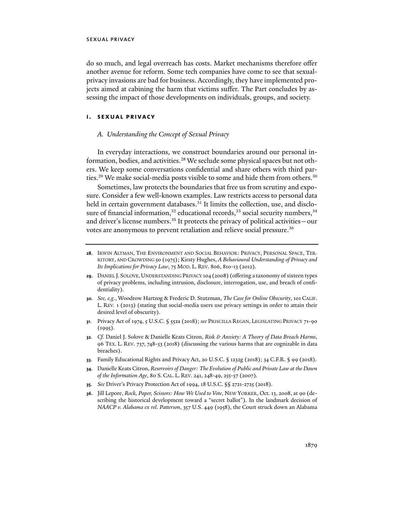do so much, and legal overreach has costs. Market mechanisms therefore offer another avenue for reform. Some tech companies have come to see that sexualprivacy invasions are bad for business. Accordingly, they have implemented projects aimed at cabining the harm that victims suffer. The Part concludes by assessing the impact of those developments on individuals, groups, and society.

## **i. sexual privacy**

## *A. Understanding the Concept of Sexual Privacy*

In everyday interactions, we construct boundaries around our personal information, bodies, and activities.<sup>28</sup> We seclude some physical spaces but not others. We keep some conversations confidential and share others with third parties.<sup>29</sup> We make social-media posts visible to some and hide them from others.<sup>30</sup>

Sometimes, law protects the boundaries that free us from scrutiny and exposure. Consider a few well-known examples. Law restricts access to personal data held in certain government databases.<sup>31</sup> It limits the collection, use, and disclosure of financial information,<sup>32</sup> educational records,<sup>33</sup> social security numbers,<sup>34</sup> and driver's license numbers.<sup>35</sup> It protects the privacy of political activities – our votes are anonymous to prevent retaliation and relieve social pressure.<sup>36</sup>

- **29**. DANIEL J. SOLOVE, UNDERSTANDING PRIVACY 104 (2008) (offering a taxonomy of sixteen types of privacy problems, including intrusion, disclosure, interrogation, use, and breach of confidentiality).
- **30***. See, e.g*., Woodrow Hartzog & Frederic D. Stutzman, *The Case for Online Obscurity*, 101 CALIF. L. REV. 1 (2013) (stating that social-media users use privacy settings in order to attain their desired level of obscurity).
- **31**. Privacy Act of 1974, 5 U.S.C. § 552a (2018); *see* PRISCILLA REGAN, LEGISLATING PRIVACY 71-90  $(1995).$
- **32***. Cf.* Daniel J. Solove & Danielle Keats Citron, *Risk & Anxiety: A Theory of Data Breach Harms*, 96 TEX. L. REV. 737, 748-53 (2018) (discussing the various harms that are cognizable in data breaches).
- **33**. Family Educational Rights and Privacy Act, 20 U.S.C. § 1232g (2018); 34 C.F.R. § 99 (2018).
- **34**. Danielle Keats Citron, *Reservoirs of Danger: The Evolution of Public and Private Law at the Dawn of the Information Age*, 80 S. CAL. L. REV. 241, 248-49, 255-57 (2007).
- **35***. See* Driver's Privacy Protection Act of 1994, 18 U.S.C. §§ 2721-2725 (2018).
- **36**. Jill Lepore, *Rock, Paper, Scissors: How We Used to Vote*, NEW YORKER, Oct. 13, 2008, at 90 (describing the historical development toward a "secret ballot"). In the landmark decision of *NAACP v. Alabama ex rel. Patterson*, 357 U.S. 449 (1958), the Court struck down an Alabama

**<sup>28</sup>**. IRWIN ALTMAN, THE ENVIRONMENT AND SOCIAL BEHAVIOR: PRIVACY, PERSONAL SPACE, TER-RITORY, AND CROWDING 50 (1975); Kirsty Hughes, *A Behavioural Understanding of Privacy and Its Implications for Privacy Law*, 75 MOD. L. REV. 806, 810-13 (2012).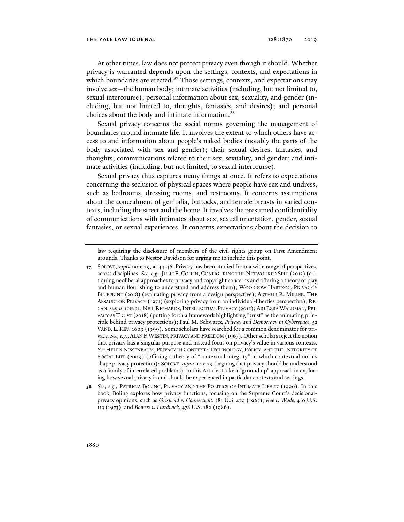At other times, law does not protect privacy even though it should. Whether privacy is warranted depends upon the settings, contexts, and expectations in which boundaries are erected.<sup>37</sup> Those settings, contexts, and expectations may involve *sex*—the human body; intimate activities (including, but not limited to, sexual intercourse); personal information about sex, sexuality, and gender (including, but not limited to, thoughts, fantasies, and desires); and personal choices about the body and intimate information.<sup>38</sup>

Sexual privacy concerns the social norms governing the management of boundaries around intimate life. It involves the extent to which others have access to and information about people's naked bodies (notably the parts of the body associated with sex and gender); their sexual desires, fantasies, and thoughts; communications related to their sex, sexuality, and gender; and intimate activities (including, but not limited, to sexual intercourse).

Sexual privacy thus captures many things at once. It refers to expectations concerning the seclusion of physical spaces where people have sex and undress, such as bedrooms, dressing rooms, and restrooms. It concerns assumptions about the concealment of genitalia, buttocks, and female breasts in varied contexts, including the street and the home. It involves the presumed confidentiality of communications with intimates about sex, sexual orientation, gender, sexual fantasies, or sexual experiences. It concerns expectations about the decision to

- **37**. SOLOVE, *supra* note 29, at 44-46. Privacy has been studied from a wide range of perspectives, across disciplines. *See, e.g*.,JULIE E. COHEN, CONFIGURING THE NETWORKED SELF (2012) (critiquing neoliberal approaches to privacy and copyright concerns and offering a theory of play and human flourishing to understand and address them); WOODROW HARTZOG, PRIVACY'S BLUEPRINT (2018) (evaluating privacy from a design perspective); ARTHUR R. MILLER, THE ASSAULT ON PRIVACY (1971) (exploring privacy from an individual-liberties perspective); RE-GAN, *supra* note 31; NEIL RICHARDS, INTELLECTUAL PRIVACY (2015); ARI EZRA WALDMAN, PRI-VACY AS TRUST (2018) (putting forth a framework highlighting "trust" as the animating principle behind privacy protections); Paul M. Schwartz, *Privacy and Democracy in Cyberspace*, 52 VAND. L. REV. 1609 (1999). Some scholars have searched for a common denominator for privacy. *See, e.g.*, ALAN F.WESTIN, PRIVACY AND FREEDOM (1967). Other scholars reject the notion that privacy has a singular purpose and instead focus on privacy's value in various contexts. *See* HELEN NISSENBAUM, PRIVACY IN CONTEXT: TECHNOLOGY, POLICY, AND THE INTEGRITY OF SOCIAL LIFE (2009) (offering a theory of "contextual integrity" in which contextual norms shape privacy protection); SOLOVE, *supra* note 29 (arguing that privacy should be understood as a family of interrelated problems). In this Article, I take a "ground up" approach in exploring how sexual privacy is and should be experienced in particular contexts and settings.
- **38***. See, e.g.*, PATRICIA BOLING, PRIVACY AND THE POLITICS OF INTIMATE LIFE 57 (1996). In this book, Boling explores how privacy functions, focusing on the Supreme Court's decisionalprivacy opinions, such as *Griswold v. Connecticut*, 381 U.S. 479 (1965); *Roe v. Wade*, 410 U.S. 113 (1973); and *Bowers v. Hardwick*, 478 U.S. 186 (1986).

law requiring the disclosure of members of the civil rights group on First Amendment grounds. Thanks to Nestor Davidson for urging me to include this point.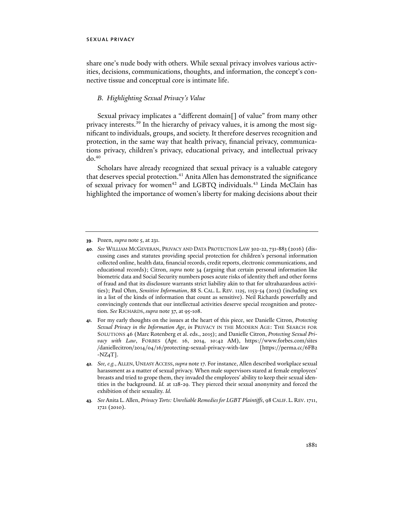share one's nude body with others. While sexual privacy involves various activities, decisions, communications, thoughts, and information, the concept's connective tissue and conceptual core is intimate life.

## *B. Highlighting Sexual Privacy's Value*

Sexual privacy implicates a "different domain[] of value" from many other privacy interests.39 In the hierarchy of privacy values, it is among the most significant to individuals, groups, and society. It therefore deserves recognition and protection, in the same way that health privacy, financial privacy, communications privacy, children's privacy, educational privacy, and intellectual privacy  $d\rho$ .<sup>40</sup>

Scholars have already recognized that sexual privacy is a valuable category that deserves special protection.<sup>41</sup> Anita Allen has demonstrated the significance of sexual privacy for women<sup>42</sup> and LGBTQ individuals.<sup>43</sup> Linda McClain has highlighted the importance of women's liberty for making decisions about their

**41**. For my early thoughts on the issues at the heart of this piece, see Danielle Citron, *Protecting Sexual Privacy in the Information Age*, *in* PRIVACY IN THE MODERN AGE: THE SEARCH FOR SOLUTIONS 46 (Marc Rotenberg et al. eds., 2015); and Danielle Citron, *Protecting Sexual Privacy with Law*, FORBES (Apr. 16, 2014, 10:42 AM), https://www.forbes.com/sites /daniellecitron/2014/04/16/protecting-sexual-privacy-with-law [https://perma.cc/6FB2  $-NZ_4T$ ].

**<sup>39</sup>**. Pozen, *supra* note 5, at 231*.* 

**<sup>40</sup>***. See* WILLIAM MCGEVERAN, PRIVACY AND DATA PROTECTION LAW 302-22, 731-883 (2016) (discussing cases and statutes providing special protection for children's personal information collected online, health data, financial records, credit reports, electronic communications, and educational records); Citron, *supra* note 34 (arguing that certain personal information like biometric data and Social Security numbers poses acute risks of identity theft and other forms of fraud and that its disclosure warrants strict liability akin to that for ultrahazardous activities); Paul Ohm, *Sensitive Information*, 88 S. CAL. L. REV. 1125, 1153-54 (2015) (including sex in a list of the kinds of information that count as sensitive). Neil Richards powerfully and convincingly contends that our intellectual activities deserve special recognition and protection. *See* RICHARDS, *supra* note 37, at 95-108.

**<sup>42</sup>***. See, e.g.*, ALLEN, UNEASY ACCESS, *supra* note 17. For instance, Allen described workplace sexual harassment as a matter of sexual privacy. When male supervisors stared at female employees' breasts and tried to grope them, they invaded the employees' ability to keep their sexual identities in the background. *Id.* at 128-29*.* They pierced their sexual anonymity and forced the exhibition of their sexuality. *Id.* 

**<sup>43</sup>***. See* Anita L. Allen, *Privacy Torts: Unreliable Remedies for LGBT Plaintiffs*, 98 CALIF. L. REV. 1711, 1721 (2010).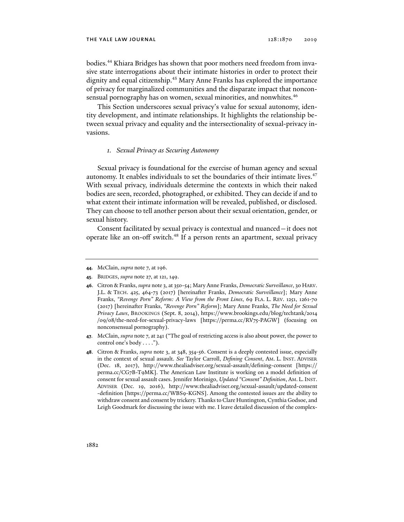bodies.<sup>44</sup> Khiara Bridges has shown that poor mothers need freedom from invasive state interrogations about their intimate histories in order to protect their dignity and equal citizenship.45 Mary Anne Franks has explored the importance of privacy for marginalized communities and the disparate impact that nonconsensual pornography has on women, sexual minorities, and nonwhites.<sup>46</sup>

This Section underscores sexual privacy's value for sexual autonomy, identity development, and intimate relationships. It highlights the relationship between sexual privacy and equality and the intersectionality of sexual-privacy invasions.

#### *1. Sexual Privacy as Securing Autonomy*

Sexual privacy is foundational for the exercise of human agency and sexual autonomy. It enables individuals to set the boundaries of their intimate lives.<sup>47</sup> With sexual privacy, individuals determine the contexts in which their naked bodies are seen, recorded, photographed, or exhibited. They can decide if and to what extent their intimate information will be revealed, published, or disclosed. They can choose to tell another person about their sexual orientation, gender, or sexual history.

Consent facilitated by sexual privacy is contextual and nuanced—it does not operate like an on-off switch.<sup>48</sup> If a person rents an apartment, sexual privacy

- **47**. McClain, *supra* note 7, at 241 ("The goal of restricting access is also about power, the power to control one's body . . . .").
- **48**. Citron & Franks, *supra* note 3, at 348, 354-56. Consent is a deeply contested issue, especially in the context of sexual assault. *See* Taylor Carroll, *Defining Consent*, AM. L. INST. ADVISER (Dec. 18, 2017), http://www.thealiadviser.org/sexual-assault/defining-consent [https:// perma.cc/CG7B-T9MK]. The American Law Institute is working on a model definition of consent for sexual assault cases. Jennifer Morinigo, *Updated "Consent" Definition*, AM. L.INST. ADVISER (Dec. 19, 2016), http://www.thealiadviser.org/sexual-assault/updated-consent -definition [https://perma.cc/WBS9-KGNS]. Among the contested issues are the ability to withdraw consent and consent by trickery. Thanks to Clare Huntington, Cynthia Godsoe, and Leigh Goodmark for discussing the issue with me. I leave detailed discussion of the complex-

**<sup>44</sup>**. McClain, *supra* note 7, at 196.

**<sup>45</sup>**. BRIDGES, *supra* note 27, at 121, 149.

**<sup>46</sup>**. Citron & Franks, *supra* note 3, at 350-54; Mary Anne Franks, *Democratic Surveillance*, 30 HARV. J.L. & TECH. 425, 464-73 (2017) [hereinafter Franks, *Democratic Surveillance*]; Mary Anne Franks, *"Revenge Porn" Reform: A View from the Front Lines*, 69 FLA. L. REV. 1251, 1261-70 (2017) [hereinafter Franks, *"Revenge Porn" Reform*]; Mary Anne Franks, *The Need for Sexual Privacy Laws*, BROOKINGS (Sept. 8, 2014), https://www.brookings.edu/blog/techtank/2014 /09/08/the-need-for-sexual-privacy-laws [https://perma.cc/RV75-PAGW] (focusing on nonconsensual pornography).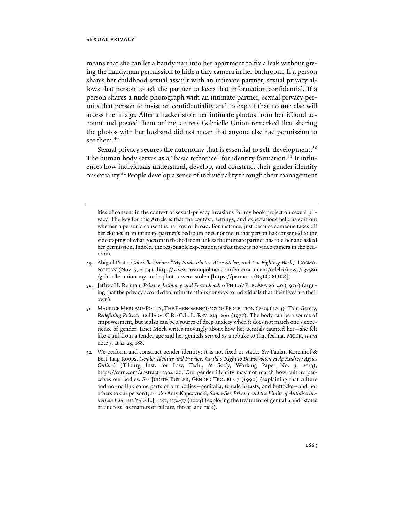means that she can let a handyman into her apartment to fix a leak without giving the handyman permission to hide a tiny camera in her bathroom. If a person shares her childhood sexual assault with an intimate partner, sexual privacy allows that person to ask the partner to keep that information confidential. If a person shares a nude photograph with an intimate partner, sexual privacy permits that person to insist on confidentiality and to expect that no one else will access the image. After a hacker stole her intimate photos from her iCloud account and posted them online, actress Gabrielle Union remarked that sharing the photos with her husband did not mean that anyone else had permission to see them.<sup>49</sup>

Sexual privacy secures the autonomy that is essential to self-development.<sup>50</sup> The human body serves as a "basic reference" for identity formation.<sup>51</sup> It influences how individuals understand, develop, and construct their gender identity or sexuality.52 People develop a sense of individuality through their management

- **49**. Abigail Pesta, *Gabrielle Union:* "*My Nude Photos Were Stolen, and I'm Fighting Back*,*"* COSMO-POLITAN (Nov. 5, 2014), http://www.cosmopolitan.com/entertainment/celebs/news/a32589 /gabrielle-union-my-nude-photos-were-stolen [https://perma.cc/B9LC-8UK8].
- **50**. Jeffrey H. Reiman, *Privacy, Intimacy, and Personhood*, 6 PHIL.&PUB. AFF. 26, 40 (1976) (arguing that the privacy accorded to intimate affairs conveys to individuals that their lives are their own).
- **51**. MAURICE MERLEAU-PONTY,THE PHENOMENOLOGY OF PERCEPTION 67-74 (2013); Tom Gerety, *Redefining Privacy*, 12 HARV. C.R.-C.L. L. REV. 233, 266 (1977). The body can be a source of empowerment, but it also can be a source of deep anxiety when it does not match one's experience of gender. Janet Mock writes movingly about how her genitals taunted her—she felt like a girl from a tender age and her genitals served as a rebuke to that feeling. MOCK, *supra* note 7, at 21-23, 188.
- **52**. We perform and construct gender identity; it is not fixed or static. *See* Paulan Korenhof & Bert-Jaap Koops, *Gender Identity and Privacy: Could a Right to Be Forgotten Help Andrew Agnes Online?* (Tilburg Inst. for Law, Tech., & Soc'y, Working Paper No. 3, 2013), https://ssrn.com/abstract=2304190. Our gender identity may not match how culture perceives our bodies. *See* JUDITH BUTLER, GENDER TROUBLE 7 (1990) (explaining that culture and norms link some parts of our bodies—genitalia, female breasts, and buttocks—and not others to our person); *see also* Amy Kapczynski, *Same-Sex Privacy and the Limits of Antidiscrimination Law*, 112 YALE L.J. 1257, 1274-77 (2003) (exploring the treatment of genitalia and "states of undress" as matters of culture, threat, and risk).

ities of consent in the context of sexual-privacy invasions for my book project on sexual privacy. The key for this Article is that the context, settings, and expectations help us sort out whether a person's consent is narrow or broad. For instance, just because someone takes off her clothes in an intimate partner's bedroom does not mean that person has consented to the videotaping of what goes on in the bedroom unless the intimate partner has told her and asked her permission. Indeed, the reasonable expectation is that there is no video camera in the bedroom.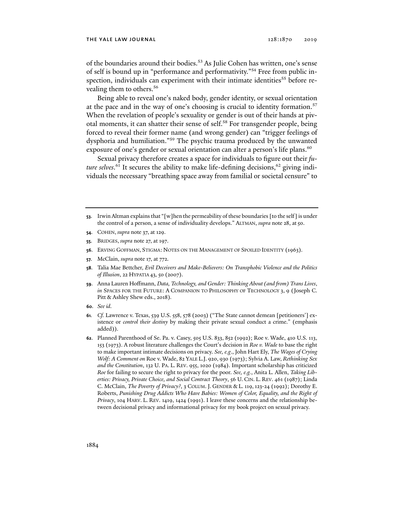#### the yale law journal 128:1870 2019

of the boundaries around their bodies.<sup>53</sup> As Julie Cohen has written, one's sense of self is bound up in "performance and performativity."54 Free from public inspection, individuals can experiment with their intimate identities<sup>55</sup> before revealing them to others.<sup>56</sup>

Being able to reveal one's naked body, gender identity, or sexual orientation at the pace and in the way of one's choosing is crucial to identity formation.<sup>57</sup> When the revelation of people's sexuality or gender is out of their hands at pivotal moments, it can shatter their sense of self.<sup>58</sup> For transgender people, being forced to reveal their former name (and wrong gender) can "trigger feelings of dysphoria and humiliation."59 The psychic trauma produced by the unwanted exposure of one's gender or sexual orientation can alter a person's life plans.<sup>60</sup>

Sexual privacy therefore creates a space for individuals to figure out their *fu*t*ure selves*.<sup>61</sup> It secures the ability to make life-defining decisions,<sup>62</sup> giving individuals the necessary "breathing space away from familial or societal censure" to

- **53**. Irwin Altman explains that "[w]hen the permeability of these boundaries [to the self] is under the control of a person, a sense of individuality develops." ALTMAN, *supra* note 28, at 50.
- **54**. COHEN, *supra* note 37, at 129.
- **55**. BRIDGES, *supra* note 27, at 197.
- **56**. ERVING GOFFMAN, STIGMA: NOTES ON THE MANAGEMENT OF SPOILED IDENTITY (1963).
- **57**. McClain, *supra* note 17, at 772.
- **58**. Talia Mae Bettcher, *Evil Deceivers and Make-Believers: On Transphobic Violence and the Politics of Illusion*, 22 HYPATIA 43, 50 (2007).
- **59**. Anna Lauren Hoffmann, *Data, Technology, and Gender: Thinking About (and from) Trans Lives*, *in* SPACES FOR THE FUTURE: A COMPANION TO PHILOSOPHY OF TECHNOLOGY 3, 9 (Joseph C. Pitt & Ashley Shew eds., 2018)*.*
- **60**. *See id.*
- **61***. Cf.* Lawrence v. Texas, 539 U.S. 558, 578 (2003) ("The State cannot demean [petitioners'] existence or *control their destiny* by making their private sexual conduct a crime." (emphasis added)).
- **62**. Planned Parenthood of Se. Pa. v. Casey, 505 U.S. 833, 852 (1992); Roe v. Wade, 410 U.S. 113, 153 (1973). A robust literature challenges the Court's decision in *Roe v. Wade* to base the right to make important intimate decisions on privacy. *See, e.g*., John Hart Ely, *The Wages of Crying Wolf: A Comment on* Roe v. Wade, 82 YALE L.J. 920, 930 (1973); Sylvia A. Law, *Rethinking Sex and the Constitution*, 132 U. PA. L. REV. 955, 1020 (1984). Important scholarship has criticized *Roe* for failing to secure the right to privacy for the poor. *See, e.g.*, Anita L. Allen, *Taking Liberties: Privacy, Private Choice, and Social Contract Theory*, 56 U. CIN. L. REV. 461 (1987); Linda C. McClain, *The Poverty of Privacy?*, 3 COLUM. J. GENDER & L. 119, 123-24 (1992); Dorothy E. Roberts, *Punishing Drug Addicts Who Have Babies: Women of Color, Equality, and the Right of Privacy*, 104 HARV. L. REV. 1419, 1424 (1991). I leave these concerns and the relationship between decisional privacy and informational privacy for my book project on sexual privacy.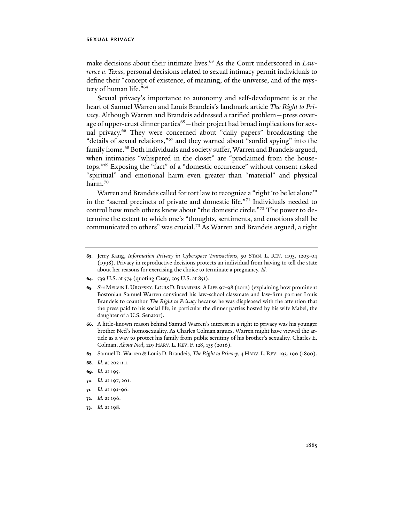make decisions about their intimate lives.<sup>63</sup> As the Court underscored in *Lawrence v. Texas*, personal decisions related to sexual intimacy permit individuals to define their "concept of existence, of meaning, of the universe, and of the mystery of human life."64

Sexual privacy's importance to autonomy and self-development is at the heart of Samuel Warren and Louis Brandeis's landmark article *The Right to Privacy*. Although Warren and Brandeis addressed a rarified problem—press coverage of upper-crust dinner parties<sup>65</sup> - their project had broad implications for sexual privacy.<sup>66</sup> They were concerned about "daily papers" broadcasting the "details of sexual relations,"67 and they warned about "sordid spying" into the family home.<sup>68</sup> Both individuals and society suffer, Warren and Brandeis argued, when intimacies "whispered in the closet" are "proclaimed from the housetops."69 Exposing the "fact" of a "domestic occurrence" without consent risked "spiritual" and emotional harm even greater than "material" and physical harm.<sup>70</sup>

Warren and Brandeis called for tort law to recognize a "right 'to be let alone'" in the "sacred precincts of private and domestic life."71 Individuals needed to control how much others knew about "the domestic circle."72 The power to determine the extent to which one's "thoughts, sentiments, and emotions shall be communicated to others" was crucial.<sup>73</sup> As Warren and Brandeis argued, a right

**64***.* 539 U.S. at 574 (quoting *Casey*, 505 U.S. at 851).

**65***. See* MELVIN I. UROFSKY, LOUIS D. BRANDEIS: A LIFE 97-98 (2012) (explaining how prominent Bostonian Samuel Warren convinced his law-school classmate and law-firm partner Louis Brandeis to coauthor *The Right to Privacy* because he was displeased with the attention that the press paid to his social life, in particular the dinner parties hosted by his wife Mabel, the daughter of a U.S. Senator).

- **66**. A little-known reason behind Samuel Warren's interest in a right to privacy was his younger brother Ned's homosexuality. As Charles Colman argues, Warren might have viewed the article as a way to protect his family from public scrutiny of his brother's sexuality. Charles E. Colman, *About Ned*, 129 HARV. L. REV. F. 128, 135 (2016).
- **67**. Samuel D. Warren & Louis D. Brandeis, *The Right to Privacy*, 4 HARV. L. REV. 193, 196 (1890).
- **68***. Id.* at 202 n.1.
- **69***. Id.* at 195.
- **70***. Id.* at 197, 201.
- **71***. Id.* at 193-96.
- **72***. Id.* at 196.
- **73***. Id.* at 198.

**<sup>63</sup>**. Jerry Kang, *Information Privacy in Cyberspace Transactions*, 50 STAN. L. REV. 1193, 1203-04 (1998). Privacy in reproductive decisions protects an individual from having to tell the state about her reasons for exercising the choice to terminate a pregnancy. *Id.*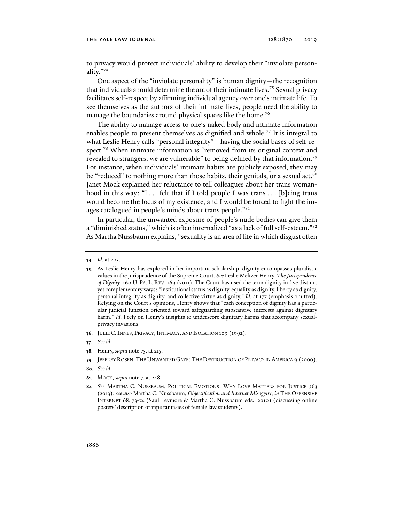to privacy would protect individuals' ability to develop their "inviolate personality."74

One aspect of the "inviolate personality" is human dignity—the recognition that individuals should determine the arc of their intimate lives.75 Sexual privacy facilitates self-respect by affirming individual agency over one's intimate life. To see themselves as the authors of their intimate lives, people need the ability to manage the boundaries around physical spaces like the home.<sup>76</sup>

The ability to manage access to one's naked body and intimate information enables people to present themselves as dignified and whole.<sup>77</sup> It is integral to what Leslie Henry calls "personal integrity"—having the social bases of self-respect.<sup>78</sup> When intimate information is "removed from its original context and revealed to strangers, we are vulnerable" to being defined by that information.<sup>79</sup> For instance, when individuals' intimate habits are publicly exposed, they may be "reduced" to nothing more than those habits, their genitals, or a sexual act.<sup>80</sup> Janet Mock explained her reluctance to tell colleagues about her trans womanhood in this way: "I . . . felt that if I told people I was trans . . . [b]eing trans would become the focus of my existence, and I would be forced to fight the images catalogued in people's minds about trans people."<sup>81</sup>

In particular, the unwanted exposure of people's nude bodies can give them a "diminished status," which is often internalized "as a lack of full self-esteem."82 As Martha Nussbaum explains, "sexuality is an area of life in which disgust often

- **76**. JULIE C. INNES, PRIVACY, INTIMACY, AND ISOLATION 109 (1992).
- **77***. See id.*
- **78**. Henry, *supra* note 75, at 215.
- **79**. JEFFREY ROSEN, THE UNWANTED GAZE: THE DESTRUCTION OF PRIVACY IN AMERICA 9 (2000).
- **80***. See id.*
- **81**. MOCK, *supra* note 7, at 248.

**<sup>74</sup>***. Id.* at 205.

**<sup>75</sup>**. As Leslie Henry has explored in her important scholarship, dignity encompasses pluralistic values in the jurisprudence of the Supreme Court. *See* Leslie Meltzer Henry, *The Jurisprudence of Dignity*, 160 U. PA. L. REV. 169 (2011). The Court has used the term dignity in five distinct yet complementary ways: "institutional status as dignity, equality as dignity, liberty as dignity, personal integrity as dignity, and collective virtue as dignity." *Id.* at 177 (emphasis omitted). Relying on the Court's opinions, Henry shows that "each conception of dignity has a particular judicial function oriented toward safeguarding substantive interests against dignitary harm." *Id.* I rely on Henry's insights to underscore dignitary harms that accompany sexualprivacy invasions.

**<sup>82</sup>***. See* MARTHA C. NUSSBAUM, POLITICAL EMOTIONS: WHY LOVE MATTERS FOR JUSTICE 363 (2013); *see also* Martha C. Nussbaum, *Objectification and Internet Misogyny*, *in* THE OFFENSIVE INTERNET 68, 73-74 (Saul Levmore & Martha C. Nussbaum eds., 2010) (discussing online posters' description of rape fantasies of female law students).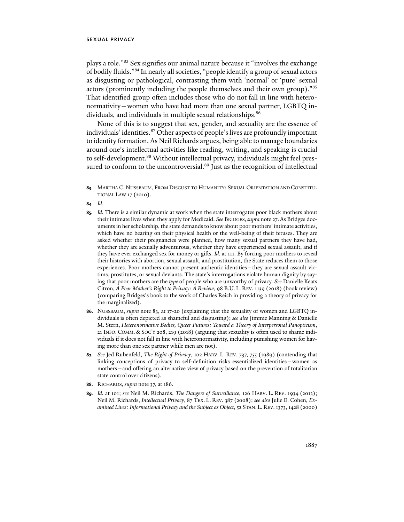plays a role."83 Sex signifies our animal nature because it "involves the exchange of bodily fluids."84 In nearly all societies, "people identify a group of sexual actors as disgusting or pathological, contrasting them with 'normal' or 'pure' sexual actors (prominently including the people themselves and their own group)."85 That identified group often includes those who do not fall in line with heteronormativity—women who have had more than one sexual partner, LGBTQ individuals, and individuals in multiple sexual relationships.<sup>86</sup>

None of this is to suggest that sex, gender, and sexuality are the essence of individuals' identities.87 Other aspects of people's lives are profoundly important to identity formation. As Neil Richards argues, being able to manage boundaries around one's intellectual activities like reading, writing, and speaking is crucial to self-development.<sup>88</sup> Without intellectual privacy, individuals might feel pressured to conform to the uncontroversial.<sup>89</sup> Just as the recognition of intellectual

**84***. Id.* 

- **85***. Id.* There is a similar dynamic at work when the state interrogates poor black mothers about their intimate lives when they apply for Medicaid. *See* BRIDGES, *supra* note 27. As Bridges documents in her scholarship, the state demands to know about poor mothers' intimate activities, which have no bearing on their physical health or the well-being of their fetuses. They are asked whether their pregnancies were planned, how many sexual partners they have had, whether they are sexually adventurous, whether they have experienced sexual assault, and if they have ever exchanged sex for money or gifts. *Id.* at 111. By forcing poor mothers to reveal their histories with abortion, sexual assault, and prostitution, the State reduces them to those experiences. Poor mothers cannot present authentic identities—they are sexual assault victims, prostitutes, or sexual deviants. The state's interrogations violate human dignity by saying that poor mothers are the *type* of people who are unworthy of privacy. *See* Danielle Keats Citron, *A Poor Mother's Right to Privacy: A Review*, 98 B.U. L. REV. 1139 (2018) (book review) (comparing Bridges's book to the work of Charles Reich in providing a theory of privacy for the marginalized).
- **86**. NUSSBAUM, *supra* note 83, at 17-20 (explaining that the sexuality of women and LGBTQ individuals is often depicted as shameful and disgusting); *see also* Jimmie Manning & Danielle M. Stern, *Heteronormative Bodies, Queer Futures: Toward a Theory of Interpersonal Panopticism*, 21 INFO. COMM. & SOC'Y 208, 219 (2018) (arguing that sexuality is often used to shame individuals if it does not fall in line with heteronormativity, including punishing women for having more than one sex partner while men are not).
- **87***. See* Jed Rubenfeld, *The Right of Privacy*, 102 HARV. L. REV. 737, 755 (1989) (contending that linking conceptions of privacy to self-definition risks essentialized identities—women as mothers—and offering an alternative view of privacy based on the prevention of totalitarian state control over citizens).
- **88**. RICHARDS, *supra* note 37, at 186.
- **89***. Id.* at 101; *see* Neil M. Richards, *The Dangers of Surveillance*, 126 HARV. L. REV. 1934 (2013); Neil M. Richards, *Intellectual Privacy*, 87 TEX. L. REV. 387 (2008); *see also* Julie E. Cohen, *Examined Lives: Informational Privacy and the Subject as Object*, 52 STAN. L. REV. 1373, 1428 (2000)

**<sup>83</sup>**. MARTHA C. NUSSBAUM, FROM DISGUST TO HUMANITY: SEXUAL ORIENTATION AND CONSTITU-TIONAL LAW 17 (2010).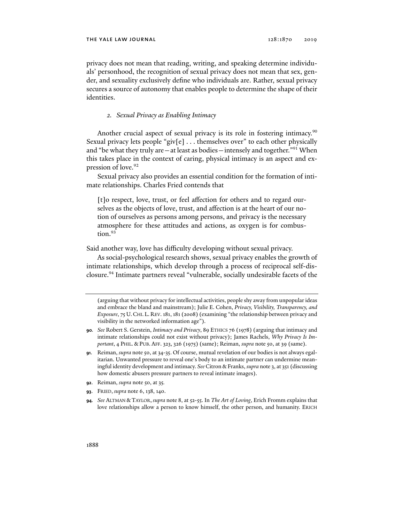privacy does not mean that reading, writing, and speaking determine individuals' personhood, the recognition of sexual privacy does not mean that sex, gender, and sexuality exclusively define who individuals are. Rather, sexual privacy secures a source of autonomy that enables people to determine the shape of their identities.

## *2. Sexual Privacy as Enabling Intimacy*

Another crucial aspect of sexual privacy is its role in fostering intimacy.<sup>90</sup> Sexual privacy lets people "giv[e] . . . themselves over" to each other physically and "be what they truly are  $-$  at least as bodies  $-$  intensely and together."<sup>91</sup> When this takes place in the context of caring, physical intimacy is an aspect and expression of love.<sup>92</sup>

Sexual privacy also provides an essential condition for the formation of intimate relationships. Charles Fried contends that

[t]o respect, love, trust, or feel affection for others and to regard ourselves as the objects of love, trust, and affection is at the heart of our notion of ourselves as persons among persons, and privacy is the necessary atmosphere for these attitudes and actions, as oxygen is for combustion.<sup>93</sup>

Said another way, love has difficulty developing without sexual privacy.

As social-psychological research shows, sexual privacy enables the growth of intimate relationships, which develop through a process of reciprocal self-disclosure.94 Intimate partners reveal "vulnerable, socially undesirable facets of the

- **92**. Reiman, *supra* note 50, at 35*.*
- **93**. FRIED, *supra* note 6, 138, 140.

<sup>(</sup>arguing that without privacy for intellectual activities, people shy away from unpopular ideas and embrace the bland and mainstream); Julie E. Cohen, *Privacy, Visibility, Transparency, and Exposure*, 75 U.CHI. L. REV. 181, 181 (2008) (examining "the relationship between privacy and visibility in the networked information age").

**<sup>90</sup>***. See* Robert S. Gerstein, *Intimacy and Privacy*, 89 ETHICS 76 (1978) (arguing that intimacy and intimate relationships could not exist without privacy); James Rachels, *Why Privacy Is Important*, 4 PHIL. & PUB. AFF. 323, 326 (1975) (same); Reiman, *supra* note 50, at 39 (same).

**<sup>91</sup>**. Reiman, *supra* note 50, at 34-35. Of course, mutual revelation of our bodies is not always egalitarian. Unwanted pressure to reveal one's body to an intimate partner can undermine meaningful identity development and intimacy. *See* Citron & Franks, *supra* note 3, at 351 (discussing how domestic abusers pressure partners to reveal intimate images).

**<sup>94</sup>***. See* ALTMAN & TAYLOR, *supra* note 8, at 52-55. In *The Art of Loving*, Erich Fromm explains that love relationships allow a person to know himself, the other person, and humanity. ERICH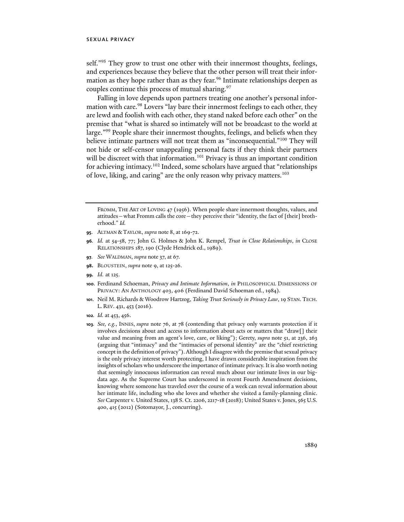self."<sup>95</sup> They grow to trust one other with their innermost thoughts, feelings, and experiences because they believe that the other person will treat their information as they hope rather than as they fear.<sup>96</sup> Intimate relationships deepen as couples continue this process of mutual sharing.<sup>97</sup>

Falling in love depends upon partners treating one another's personal information with care.<sup>98</sup> Lovers "lay bare their innermost feelings to each other, they are lewd and foolish with each other, they stand naked before each other" on the premise that "what is shared so intimately will not be broadcast to the world at large."<sup>99</sup> People share their innermost thoughts, feelings, and beliefs when they believe intimate partners will not treat them as "inconsequential."<sup>100</sup> They will not hide or self-censor unappealing personal facts if they think their partners will be discreet with that information.<sup>101</sup> Privacy is thus an important condition for achieving intimacy.<sup>102</sup> Indeed, some scholars have argued that "relationships of love, liking, and caring" are the only reason why privacy matters.103

FROMM, THE ART OF LOVING 47 (1956). When people share innermost thoughts, values, and attitudes—what Fromm calls the core—they perceive their "identity, the fact of [their] brotherhood." *Id.* 

- **95**. ALTMAN & TAYLOR, *supra* note 8, at 169-72.
- **96***. Id.* at 54-58, 77; John G. Holmes & John K. Rempel, *Trust in Close Relationships*, *in* CLOSE RELATIONSHIPS 187, 190 (Clyde Hendrick ed., 1989).
- **97***. See* WALDMAN, *supra* note 37, at 67.
- **98.** BLOUSTEIN, *supra* note 9, at 125-26.
- **99***. Id.* at 125.
- **100**. Ferdinand Schoeman, *Privacy and Intimate Information*, *in* PHILOSOPHICAL DIMENSIONS OF PRIVACY: AN ANTHOLOGY 403, 406 (Ferdinand David Schoeman ed., 1984).
- **101**. Neil M. Richards & Woodrow Hartzog, *Taking Trust Seriously in Privacy Law*, 19 STAN. TECH. L. REV. 431, 453 (2016).
- **102***. Id.* at 453, 456.
- **103***. See, e.g.*, INNES, *supra* note 76, at 78 (contending that privacy only warrants protection if it involves decisions about and access to information about acts or matters that "draw[] their value and meaning from an agent's love, care, or liking"); Gerety, *supra* note 51, at 236, 263 (arguing that "intimacy" and the "intimacies of personal identity" are the "chief restricting concept in the definition of privacy"). Although I disagree with the premise that sexual privacy is the only privacy interest worth protecting, I have drawn considerable inspiration from the insights of scholars who underscore the importance of intimate privacy. It is also worth noting that seemingly innocuous information can reveal much about our intimate lives in our bigdata age. As the Supreme Court has underscored in recent Fourth Amendment decisions, knowing where someone has traveled over the course of a week can reveal information about her intimate life, including who she loves and whether she visited a family-planning clinic. *See* Carpenter v. United States, 138 S. Ct. 2206, 2217-18 (2018); United States v. Jones, 565 U.S. 400, 415 (2012) (Sotomayor, J., concurring).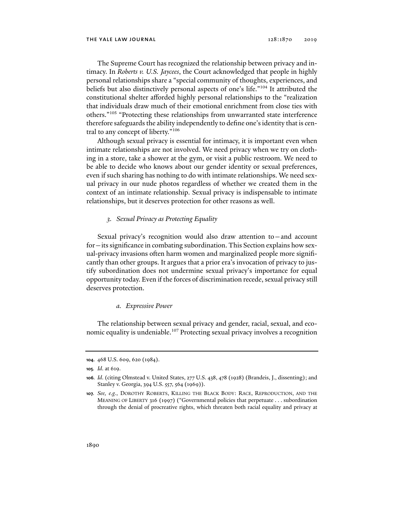The Supreme Court has recognized the relationship between privacy and intimacy. In *Roberts v. U.S. Jaycees*, the Court acknowledged that people in highly personal relationships share a "special community of thoughts, experiences, and beliefs but also distinctively personal aspects of one's life."104 It attributed the constitutional shelter afforded highly personal relationships to the "realization that individuals draw much of their emotional enrichment from close ties with others."105 "Protecting these relationships from unwarranted state interference therefore safeguards the ability independently to define one's identity that is central to any concept of liberty."106

Although sexual privacy is essential for intimacy, it is important even when intimate relationships are not involved. We need privacy when we try on clothing in a store, take a shower at the gym, or visit a public restroom. We need to be able to decide who knows about our gender identity or sexual preferences, even if such sharing has nothing to do with intimate relationships. We need sexual privacy in our nude photos regardless of whether we created them in the context of an intimate relationship. Sexual privacy is indispensable to intimate relationships, but it deserves protection for other reasons as well.

## *3. Sexual Privacy as Protecting Equality*

Sexual privacy's recognition would also draw attention to—and account for—its significance in combating subordination. This Section explains how sexual-privacy invasions often harm women and marginalized people more significantly than other groups. It argues that a prior era's invocation of privacy to justify subordination does not undermine sexual privacy's importance for equal opportunity today. Even if the forces of discrimination recede, sexual privacy still deserves protection.

#### *a. Expressive Power*

The relationship between sexual privacy and gender, racial, sexual, and economic equality is undeniable.<sup>107</sup> Protecting sexual privacy involves a recognition

**<sup>104</sup>**. 468 U.S. 609, 620 (1984).

**<sup>105</sup>***. Id*. at 619.

**<sup>106</sup>***. Id*. (citing Olmstead v. United States, 277 U.S. 438, 478 (1928) (Brandeis, J., dissenting); and Stanley v. Georgia, 394 U.S. 557, 564 (1969)).

**<sup>107</sup>***. See, e.g.*, DOROTHY ROBERTS, KILLING THE BLACK BODY: RACE, REPRODUCTION, AND THE MEANING OF LIBERTY 316 (1997) ("Governmental policies that perpetuate . . . subordination through the denial of procreative rights, which threaten both racial equality and privacy at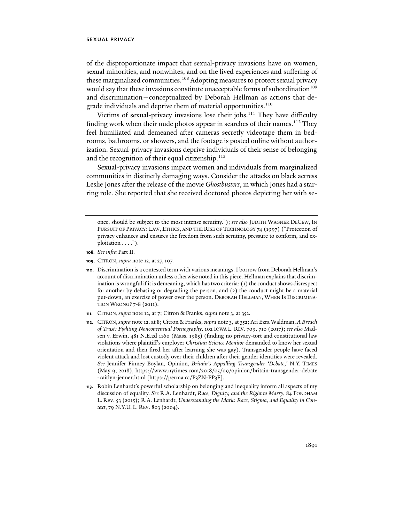of the disproportionate impact that sexual-privacy invasions have on women, sexual minorities, and nonwhites, and on the lived experiences and suffering of these marginalized communities.<sup>108</sup> Adopting measures to protect sexual privacy would say that these invasions constitute unacceptable forms of subordination<sup>109</sup> and discrimination—conceptualized by Deborah Hellman as actions that degrade individuals and deprive them of material opportunities.<sup>110</sup>

Victims of sexual-privacy invasions lose their jobs.<sup>111</sup> They have difficulty finding work when their nude photos appear in searches of their names.<sup>112</sup> They feel humiliated and demeaned after cameras secretly videotape them in bedrooms, bathrooms, or showers, and the footage is posted online without authorization. Sexual-privacy invasions deprive individuals of their sense of belonging and the recognition of their equal citizenship. $113$ 

Sexual-privacy invasions impact women and individuals from marginalized communities in distinctly damaging ways. Consider the attacks on black actress Leslie Jones after the release of the movie *Ghostbusters*, in which Jones had a starring role. She reported that she received doctored photos depicting her with se-

- **108***. See infra* Part II.
- **109**. CITRON, *supra* note 12, at 27,197.
- **110**. Discrimination is a contested term with various meanings. I borrow from Deborah Hellman's account of discrimination unless otherwise noted in this piece. Hellman explains that discrimination is wrongful if it is demeaning, which has two criteria: (1) the conduct shows disrespect for another by debasing or degrading the person, and (2) the conduct might be a material put-down, an exercise of power over the person. DEBORAH HELLMAN, WHEN IS DISCRIMINA-TION WRONG? 7-8 (2011).
- **111**. CITRON, *supra* note 12, at 7; Citron & Franks, *supra* note 3, at 352.
- **112**. CITRON, *supra* note 12, at 8; Citron & Franks, *supra* note 3, at 352; Ari Ezra Waldman, *A Breach of Trust: Fighting Nonconsensual Pornography*, 102 IOWA L. REV. 709, 710 (2017); *see also* Madsen v. Erwin, 481 N.E.2d 1160 (Mass. 1985) (finding no privacy-tort and constitutional law violations where plaintiff's employer *Christian Science Monitor* demanded to know her sexual orientation and then fired her after learning she was gay). Transgender people have faced violent attack and lost custody over their children after their gender identities were revealed. *See* Jennifer Finney Boylan, Opinion, *Britain's Appalling Transgender 'Debate*,*'* N.Y. TIMES (May 9, 2018), https://www.nytimes.com/2018/05/09/opinion/britain-transgender-debate -caitlyn-jenner.html [https://perma.cc/P3ZN-PP3F].
- **113**. Robin Lenhardt's powerful scholarship on belonging and inequality inform all aspects of my discussion of equality. *See* R.A. Lenhardt, *Race, Dignity, and the Right to Marry*, 84 FORDHAM L. REV. 53 (2015); R.A. Lenhardt, *Understanding the Mark: Race, Stigma, and Equality in Context*, 79 N.Y.U. L. REV. 803 (2004).

once, should be subject to the most intense scrutiny."); *see also* JUDITH WAGNER DECEW, IN PURSUIT OF PRIVACY: LAW, ETHICS, AND THE RISE OF TECHNOLOGY 74 (1997) ("Protection of privacy enhances and ensures the freedom from such scrutiny, pressure to conform, and exploitation . . . .").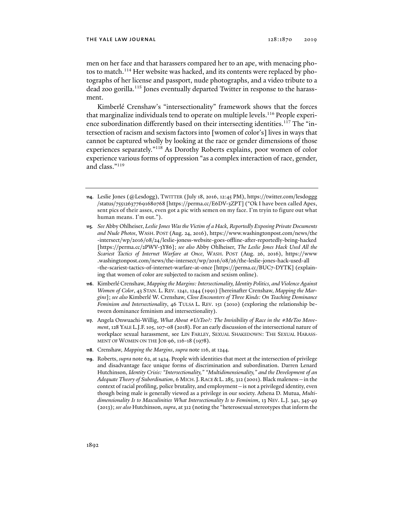men on her face and that harassers compared her to an ape, with menacing photos to match.<sup>114</sup> Her website was hacked, and its contents were replaced by photographs of her license and passport, nude photographs, and a video tribute to a dead zoo gorilla.<sup>115</sup> Jones eventually departed Twitter in response to the harassment.

Kimberlé Crenshaw's "intersectionality" framework shows that the forces that marginalize individuals tend to operate on multiple levels.<sup>116</sup> People experience subordination differently based on their intersecting identities.<sup>117</sup> The "intersection of racism and sexism factors into [women of color's] lives in ways that cannot be captured wholly by looking at the race or gender dimensions of those experiences separately."118 As Dorothy Roberts explains, poor women of color experience various forms of oppression "as a complex interaction of race, gender, and class."119

- **114**. Leslie Jones (@Lesdogg), TWITTER (July 18, 2016, 12:45 PM), https://twitter.com/lesdoggg /status/755126377691680768 [https://perma.cc/E6DV-3ZPT] ("Ok I have been called Apes, sent pics of their asses, even got a pic with semen on my face. I'm tryin to figure out what human means. I'm out.").
- **115***. See* Abby Ohlheiser, *Leslie Jones Was the Victim of a Hack, Reportedly Exposing Private Documents and Nude Photos*, WASH. POST (Aug. 24, 2016), https://www.washingtonpost.com/news/the -intersect/wp/2016/08/24/leslie-joness-website-goes-offline-after-reportedly-being-hacked [https://perma.cc/2PWV-3Y86]; *see also* Abby Ohlheiser, *The Leslie Jones Hack Used All the Scariest Tactics of Internet Warfare at Once*, WASH. POST (Aug. 26, 2016), https://www .washingtonpost.com/news/the-intersect/wp/2016/08/26/the-leslie-jones-hack-used-all -the-scariest-tactics-of-internet-warfare-at-once [https://perma.cc/BUC7-DYTK] (explaining that women of color are subjected to racism and sexism online).
- **116**. Kimberlé Crenshaw, *Mapping the Margins: Intersectionality, Identity Politics, and Violence Against Women of Color*, 43 STAN. L. REV. 1241, 1244 (1991) [hereinafter Crenshaw, *Mapping the Margins*]; *see also* Kimberlé W. Crenshaw, *Close Encounters of Three Kinds: On Teaching Dominance Feminism and Intersectionality*, 46 TULSA L. REV. 151 (2010) (exploring the relationship between dominance feminism and intersectionality).
- **117**. Angela Onwuachi-Willig, *What About #UsToo?: The Invisibility of Race in the #MeToo Movement*, 128 YALE L.J.F.105, 107-08 (2018). For an early discussion of the intersectional nature of workplace sexual harassment, see LIN FARLEY, SEXUAL SHAKEDOWN: THE SEXUAL HARASS-MENT OF WOMEN ON THE JOB 96, 116-18 (1978).
- **118**. Crenshaw, *Mapping the Margins*, *supra* note 116, at 1244.
- **119**. Roberts, *supra* note 62, at 1424. People with identities that meet at the intersection of privilege and disadvantage face unique forms of discrimination and subordination. Darren Lenard Hutchinson, *Identity Crisis: "Intersectionality," "Multidimensionality," and the Development of an Adequate Theory of Subordination*, 6 MICH.J. RACE &L. 285, 312 (2001). Black maleness—in the context of racial profiling, police brutality, and employment—is not a privileged identity, even though being male is generally viewed as a privilege in our society. Athena D. Mutua, *Multidimensionality Is to Masculinities What Intersectionality Is to Feminism*, 13 NEV. L.J. 341, 345-49 (2013); *see also* Hutchinson, *supra*, at 312 (noting the "heterosexual stereotypes that inform the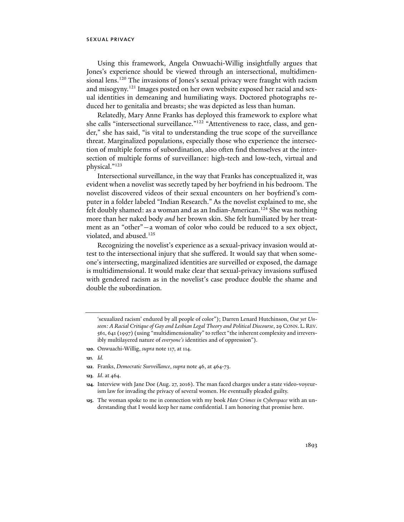Using this framework, Angela Onwuachi-Willig insightfully argues that Jones's experience should be viewed through an intersectional, multidimensional lens.<sup>120</sup> The invasions of Jones's sexual privacy were fraught with racism and misogyny.121 Images posted on her own website exposed her racial and sexual identities in demeaning and humiliating ways. Doctored photographs reduced her to genitalia and breasts; she was depicted as less than human.

Relatedly, Mary Anne Franks has deployed this framework to explore what she calls "intersectional surveillance."122 "Attentiveness to race, class, and gender," she has said, "is vital to understanding the true scope of the surveillance threat. Marginalized populations, especially those who experience the intersection of multiple forms of subordination, also often find themselves at the intersection of multiple forms of surveillance: high-tech and low-tech, virtual and physical."123

Intersectional surveillance, in the way that Franks has conceptualized it, was evident when a novelist was secretly taped by her boyfriend in his bedroom. The novelist discovered videos of their sexual encounters on her boyfriend's computer in a folder labeled "Indian Research." As the novelist explained to me, she felt doubly shamed: as a woman and as an Indian-American.<sup>124</sup> She was nothing more than her naked body *and* her brown skin. She felt humiliated by her treatment as an "other"—a woman of color who could be reduced to a sex object, violated, and abused.<sup>125</sup>

Recognizing the novelist's experience as a sexual-privacy invasion would attest to the intersectional injury that she suffered. It would say that when someone's intersecting, marginalized identities are surveilled or exposed, the damage is multidimensional. It would make clear that sexual-privacy invasions suffused with gendered racism as in the novelist's case produce double the shame and double the subordination.

- **121***. Id.*
- **122**. Franks, *Democratic Surveillance*, *supra* note 46, at 464-73.
- **123***. Id*. at 464.
- **124**. Interview with Jane Doe (Aug. 27, 2016). The man faced charges under a state video-voyeurism law for invading the privacy of several women. He eventually pleaded guilty.
- **125**. The woman spoke to me in connection with my book *Hate Crimes in Cyberspace* with an understanding that I would keep her name confidential. I am honoring that promise here.

<sup>&#</sup>x27;sexualized racism' endured by all people of color"); Darren Lenard Hutchinson, *Out yet Unseen: A Racial Critique of Gay and Lesbian Legal Theory and Political Discourse*, 29 CONN. L. REV. 561, 641 (1997) (using "multidimensionality" to reflect "the inherent complexity and irreversibly multilayered nature of *everyone's* identities and of oppression").

**<sup>120</sup>**. Onwuachi-Willig, *supra* note 117, at 114.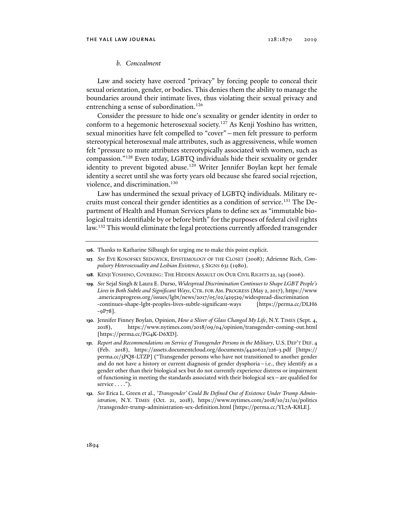## *b. Concealment*

Law and society have coerced "privacy" by forcing people to conceal their sexual orientation, gender, or bodies. This denies them the ability to manage the boundaries around their intimate lives, thus violating their sexual privacy and entrenching a sense of subordination.<sup>126</sup>

Consider the pressure to hide one's sexuality or gender identity in order to conform to a hegemonic heterosexual society.<sup>127</sup> As Kenji Yoshino has written, sexual minorities have felt compelled to "cover"—men felt pressure to perform stereotypical heterosexual male attributes, such as aggressiveness, while women felt "pressure to mute attributes stereotypically associated with women, such as compassion."128 Even today, LGBTQ individuals hide their sexuality or gender identity to prevent bigoted abuse.<sup>129</sup> Writer Jennifer Boylan kept her female identity a secret until she was forty years old because she feared social rejection, violence, and discrimination.<sup>130</sup>

Law has undermined the sexual privacy of LGBTQ individuals. Military recruits must conceal their gender identities as a condition of service.<sup>131</sup> The Department of Health and Human Services plans to define sex as "immutable biological traits identifiable by or before birth" for the purposes of federal civil rights law.<sup>132</sup> This would eliminate the legal protections currently afforded transgender

**128**. KENJI YOSHINO, COVERING: THE HIDDEN ASSAULT ON OUR CIVIL RIGHTS 22,143 (2006).

**129***. See* Sejal Singh & Laura E. Durso, *Widespread Discrimination Continues to Shape LGBT People's Lives in Both Subtle and Significant Ways*, CTR. FOR AM. PROGRESS (May 2, 2017), https://www .americanprogress.org/issues/lgbt/news/2017/05/02/429529/widespread-discrimination -continues-shape-lgbt-peoples-lives-subtle-significant-ways [https://perma.cc/DLH6 -9P78].

**130**. Jennifer Finney Boylan, Opinion, *How a Sliver of Glass Changed My Life*, N.Y. TIMES (Sept. 4, 2018), https://www.nytimes.com/2018/09/04/opinion/transgender-coming-out.html [https://perma.cc/FG4K-D6XD].

**131***. Report and Recommendations on Service of Transgender Persons in the Military*, U.S. DEP'T DEF. 4 (Feb. 2018), https://assets.documentcloud.org/documents/4420622/226-3.pdf [https:// perma.cc/3PQ8-LTZP] ("Transgender persons who have not transitioned to another gender and do not have a history or current diagnosis of gender dysphoria—i.e., they identify as a gender other than their biological sex but do not currently experience distress or impairment of functioning in meeting the standards associated with their biological sex—are qualified for service  $\dots$ .").

**132***. See* Erica L. Green et al., *'Transgender' Could Be Defined Out of Existence Under Trump Administration*, N.Y. TIMES (Oct. 21, 2018), https://www.nytimes.com/2018/10/21/us/politics /transgender-trump-administration-sex-definition.html [https://perma.cc/YL7A-K8LE].

**<sup>126</sup>**. Thanks to Katharine Silbaugh for urging me to make this point explicit.

**<sup>127</sup>***. See* EVE KOSOFSKY SEDGWICK, EPISTEMOLOGY OF THE CLOSET (2008); Adrienne Rich, *Compulsory Heterosexuality and Lesbian Existence*, 5 SIGNS 631 (1980).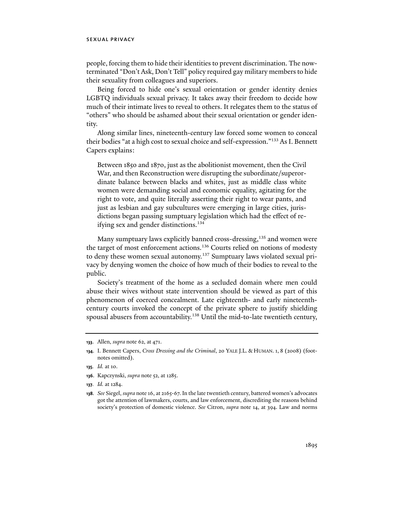people, forcing them to hide their identities to prevent discrimination. The nowterminated "Don't Ask, Don't Tell" policy required gay military members to hide their sexuality from colleagues and superiors.

Being forced to hide one's sexual orientation or gender identity denies LGBTQ individuals sexual privacy. It takes away their freedom to decide how much of their intimate lives to reveal to others. It relegates them to the status of "others" who should be ashamed about their sexual orientation or gender identity.

Along similar lines, nineteenth-century law forced some women to conceal their bodies "at a high cost to sexual choice and self-expression."133 As I. Bennett Capers explains:

Between 1850 and 1870, just as the abolitionist movement, then the Civil War, and then Reconstruction were disrupting the subordinate/superordinate balance between blacks and whites, just as middle class white women were demanding social and economic equality, agitating for the right to vote, and quite literally asserting their right to wear pants, and just as lesbian and gay subcultures were emerging in large cities, jurisdictions began passing sumptuary legislation which had the effect of reifying sex and gender distinctions.<sup>134</sup>

Many sumptuary laws explicitly banned cross-dressing,<sup>135</sup> and women were the target of most enforcement actions.<sup>136</sup> Courts relied on notions of modesty to deny these women sexual autonomy.<sup>137</sup> Sumptuary laws violated sexual privacy by denying women the choice of how much of their bodies to reveal to the public.

Society's treatment of the home as a secluded domain where men could abuse their wives without state intervention should be viewed as part of this phenomenon of coerced concealment. Late eighteenth- and early nineteenthcentury courts invoked the concept of the private sphere to justify shielding spousal abusers from accountability.<sup>138</sup> Until the mid-to-late twentieth century,

- **136**. Kapczynski, *supra* note 52, at 1285.
- **137***. Id.* at 1284.

**<sup>133</sup>**. Allen, *supra* note 62, at 471.

**<sup>134</sup>**. I. Bennett Capers, *Cross Dressing and the Criminal*, 20 YALE J.L. & HUMAN. 1, 8 (2008) (footnotes omitted).

**<sup>135</sup>***. Id.* at 10.

**<sup>138</sup>***. See* Siegel, *supra* note 16, at 2165-67. In the late twentieth century, battered women's advocates got the attention of lawmakers, courts, and law enforcement, discrediting the reasons behind society's protection of domestic violence. *See* Citron, *supra* note 14, at 394. Law and norms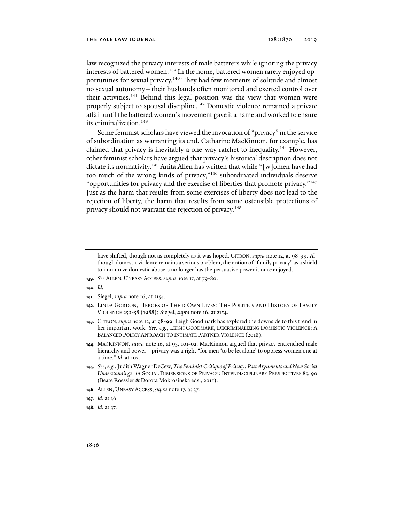law recognized the privacy interests of male batterers while ignoring the privacy interests of battered women.<sup>139</sup> In the home, battered women rarely enjoyed opportunities for sexual privacy.<sup>140</sup> They had few moments of solitude and almost no sexual autonomy—their husbands often monitored and exerted control over their activities.<sup>141</sup> Behind this legal position was the view that women were properly subject to spousal discipline.<sup>142</sup> Domestic violence remained a private affair until the battered women's movement gave it a name and worked to ensure its criminalization.<sup>143</sup>

Some feminist scholars have viewed the invocation of "privacy" in the service of subordination as warranting its end. Catharine MacKinnon, for example, has claimed that privacy is inevitably a one-way ratchet to inequality.144 However, other feminist scholars have argued that privacy's historical description does not dictate its normativity.<sup>145</sup> Anita Allen has written that while "[w]omen have had too much of the wrong kinds of privacy,"146 subordinated individuals deserve "opportunities for privacy and the exercise of liberties that promote privacy."<sup>147</sup> Just as the harm that results from some exercises of liberty does not lead to the rejection of liberty, the harm that results from some ostensible protections of privacy should not warrant the rejection of privacy.<sup>148</sup>

- **139***. See* ALLEN, UNEASY ACCESS, *supra* note 17, at 79-80.
- **140***. Id.*
- **141**. Siegel, *supra* note 16, at 2154.
- **142***.* LINDA GORDON, HEROES OF THEIR OWN LIVES: THE POLITICS AND HISTORY OF FAMILY VIOLENCE 250-58 (1988); Siegel, *supra* note 16, at 2154.
- **143**. CITRON, *supra* note 12, at 98-99. Leigh Goodmark has explored the downside to this trend in her important work. *See, e.g.*, LEIGH GOODMARK, DECRIMINALIZING DOMESTIC VIOLENCE: A BALANCED POLICY APPROACH TO INTIMATE PARTNER VIOLENCE (2018).
- **144**. MACKINNON, *supra* note 16, at 93, 101-02. MacKinnon argued that privacy entrenched male hierarchy and power—privacy was a right "for men 'to be let alone' to oppress women one at a time." *Id*. at 102.
- **145***. See, e.g.*, Judith Wagner DeCew, *The Feminist Critique of Privacy: Past Arguments and New Social Understandings*, *in* SOCIAL DIMENSIONS OF PRIVACY: INTERDISCIPLINARY PERSPECTIVES 85, 90 (Beate Roessler & Dorota Mokrosinska eds., 2015).
- **146**. ALLEN, UNEASY ACCESS, *supra* note 17, at 37.
- **147***. Id*. at 36.
- **148***. Id.* at 37.

have shifted, though not as completely as it was hoped. CITRON, *supra* note 12, at 98-99. Although domestic violence remains a serious problem, the notion of "family privacy" as a shield to immunize domestic abusers no longer has the persuasive power it once enjoyed.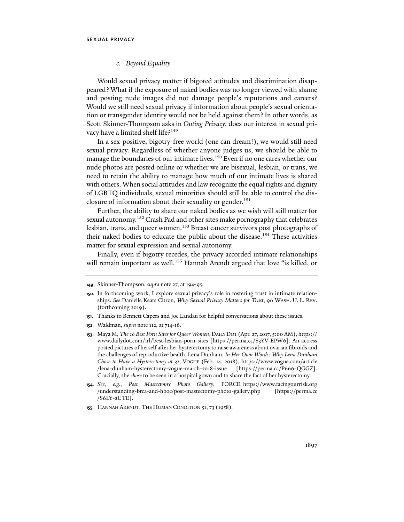## *c. Beyond Equality*

Would sexual privacy matter if bigoted attitudes and discrimination disappeared? What if the exposure of naked bodies was no longer viewed with shame and posting nude images did not damage people's reputations and careers? Would we still need sexual privacy if information about people's sexual orientation or transgender identity would not be held against them? In other words, as Scott Skinner-Thompson asks in *Outing Privacy*, does our interest in sexual privacy have a limited shelf life?<sup>149</sup>

In a sex-positive, bigotry-free world (one can dream!), we would still need sexual privacy. Regardless of whether anyone judges us, we should be able to manage the boundaries of our intimate lives.<sup>150</sup> Even if no one cares whether our nude photos are posted online or whether we are bisexual, lesbian, or trans, we need to retain the ability to manage how much of our intimate lives is shared with others. When social attitudes and law recognize the equal rights and dignity of LGBTQ individuals, sexual minorities should still be able to control the disclosure of information about their sexuality or gender.<sup>151</sup>

Further, the ability to share our naked bodies as we wish will still matter for sexual autonomy.<sup>152</sup> Crash Pad and other sites make pornography that celebrates lesbian, trans, and queer women.<sup>153</sup> Breast cancer survivors post photographs of their naked bodies to educate the public about the disease.<sup>154</sup> These activities matter for sexual expression and sexual autonomy.

Finally, even if bigotry recedes, the privacy accorded intimate relationships will remain important as well.<sup>155</sup> Hannah Arendt argued that love "is killed, or

- **151**. Thanks to Bennett Capers and Joe Landau for helpful conversations about these issues.
- **152**. Waldman, *supra* note 112, at 714-16.

- **154***. See, e.g.*, *Post Mastectomy Photo Gallery*, FORCE, https://www.facingourrisk.org /understanding-brca-and-hboc/post-mastectomy-photo-gallery.php [https://perma.cc /S6LY-2UTE].
- **155**. HANNAH ARENDT, THE HUMAN CONDITION 51, 73 (1958).

**<sup>149</sup>**. Skinner-Thompson, *supra* note 27, at 194-95.

**<sup>150</sup>**. In forthcoming work, I explore sexual privacy's role in fostering trust in intimate relationships. *See* Danielle Keats Citron, *Why Sexual Privacy Matters for Trust*, 96 WASH. U. L. REV. (forthcoming 2019).

**<sup>153</sup>**. Maya M, *The 16 Best Porn Sites for Queer Women*, DAILY DOT (Apr. 27, 2017, 5:00 AM), https:// www.dailydot.com/irl/best-lesbian-porn-sites [https://perma.cc/S3YV-EPW6]. An actress posted pictures of herself after her hysterectomy to raise awareness about ovarian fibroids and the challenges of reproductive health. Lena Dunham, *In Her Own Words: Why Lena Dunham Chose to Have a Hysterectomy at 31*, VOGUE (Feb. 14, 2018), https://www.vogue.com/article /lena-dunham-hysterectomy-vogue-march-2018-issue [https://perma.cc/P666-QGGZ]. Crucially, she *chose* to be seen in a hospital gown and to share the fact of her hysterectomy.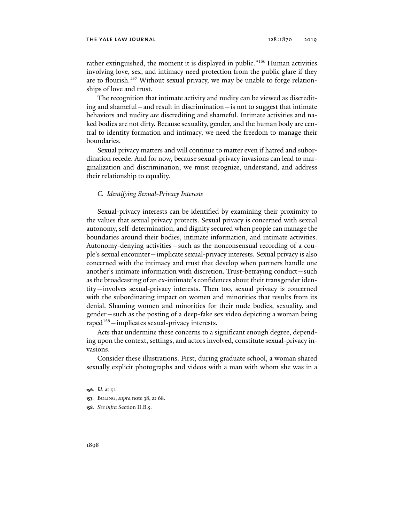#### the yale law journal 128:1870 2019

rather extinguished, the moment it is displayed in public."<sup>156</sup> Human activities involving love, sex, and intimacy need protection from the public glare if they are to flourish.<sup>157</sup> Without sexual privacy, we may be unable to forge relationships of love and trust.

The recognition that intimate activity and nudity can be viewed as discrediting and shameful—and result in discrimination—is not to suggest that intimate behaviors and nudity *are* discrediting and shameful. Intimate activities and naked bodies are not dirty. Because sexuality, gender, and the human body are central to identity formation and intimacy, we need the freedom to manage their boundaries.

Sexual privacy matters and will continue to matter even if hatred and subordination recede. And for now, because sexual-privacy invasions can lead to marginalization and discrimination, we must recognize, understand, and address their relationship to equality.

## *C. Identifying Sexual-Privacy Interests*

Sexual-privacy interests can be identified by examining their proximity to the values that sexual privacy protects. Sexual privacy is concerned with sexual autonomy, self-determination, and dignity secured when people can manage the boundaries around their bodies, intimate information, and intimate activities. Autonomy-denying activities—such as the nonconsensual recording of a couple's sexual encounter—implicate sexual-privacy interests. Sexual privacy is also concerned with the intimacy and trust that develop when partners handle one another's intimate information with discretion. Trust-betraying conduct—such as the broadcasting of an ex-intimate's confidences about their transgender identity—involves sexual-privacy interests. Then too, sexual privacy is concerned with the subordinating impact on women and minorities that results from its denial. Shaming women and minorities for their nude bodies, sexuality, and gender—such as the posting of a deep-fake sex video depicting a woman being raped<sup>158</sup> $-$ implicates sexual-privacy interests.

Acts that undermine these concerns to a significant enough degree, depending upon the context, settings, and actors involved, constitute sexual-privacy invasions.

Consider these illustrations. First, during graduate school, a woman shared sexually explicit photographs and videos with a man with whom she was in a

**<sup>156</sup>***. Id*. at 51.

**<sup>157</sup>**. BOLING, *supra* note 38, at 68.

**<sup>158</sup>***. See infra* Section II.B.5.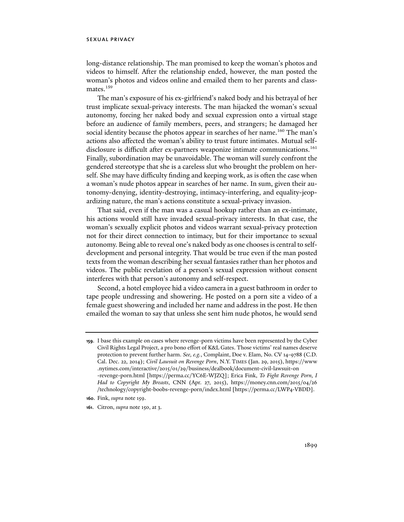long-distance relationship. The man promised to keep the woman's photos and videos to himself. After the relationship ended, however, the man posted the woman's photos and videos online and emailed them to her parents and classmates.<sup>159</sup>

The man's exposure of his ex-girlfriend's naked body and his betrayal of her trust implicate sexual-privacy interests. The man hijacked the woman's sexual autonomy, forcing her naked body and sexual expression onto a virtual stage before an audience of family members, peers, and strangers; he damaged her social identity because the photos appear in searches of her name.<sup>160</sup> The man's actions also affected the woman's ability to trust future intimates. Mutual selfdisclosure is difficult after ex-partners weaponize intimate communications.161 Finally, subordination may be unavoidable. The woman will surely confront the gendered stereotype that she is a careless slut who brought the problem on herself. She may have difficulty finding and keeping work, as is often the case when a woman's nude photos appear in searches of her name. In sum, given their autonomy-denying, identity-destroying, intimacy-interfering, and equality-jeopardizing nature, the man's actions constitute a sexual-privacy invasion.

That said, even if the man was a casual hookup rather than an ex-intimate, his actions would still have invaded sexual-privacy interests. In that case, the woman's sexually explicit photos and videos warrant sexual-privacy protection not for their direct connection to intimacy, but for their importance to sexual autonomy. Being able to reveal one's naked body as one chooses is central to selfdevelopment and personal integrity. That would be true even if the man posted texts from the woman describing her sexual fantasies rather than her photos and videos. The public revelation of a person's sexual expression without consent interferes with that person's autonomy and self-respect.

Second, a hotel employee hid a video camera in a guest bathroom in order to tape people undressing and showering. He posted on a porn site a video of a female guest showering and included her name and address in the post. He then emailed the woman to say that unless she sent him nude photos, he would send

**<sup>159</sup>**. I base this example on cases where revenge-porn victims have been represented by the Cyber Civil Rights Legal Project, a pro bono effort of K&L Gates. Those victims' real names deserve protection to prevent further harm. *See, e.g.*, Complaint, Doe v. Elam, No. CV 14-9788 (C.D. Cal. Dec. 22, 2014); *Civil Lawsuit on Revenge Porn*, N.Y. TIMES (Jan. 29, 2015), https://www .nytimes.com/interactive/2015/01/29/business/dealbook/document-civil-lawsuit-on -revenge-porn.html [https://perma.cc/YC6E-WJZQ]; Erica Fink, *To Fight Revenge Porn, I Had to Copyright My Breasts*, CNN (Apr. 27, 2015), https://money.cnn.com/2015/04/26 /technology/copyright-boobs-revenge-porn/index.html [https://perma.cc/LWP4-VBDD].

**<sup>160</sup>**. Fink, *supra* note 159.

**<sup>161</sup>**. Citron, *supra* note 150, at 3.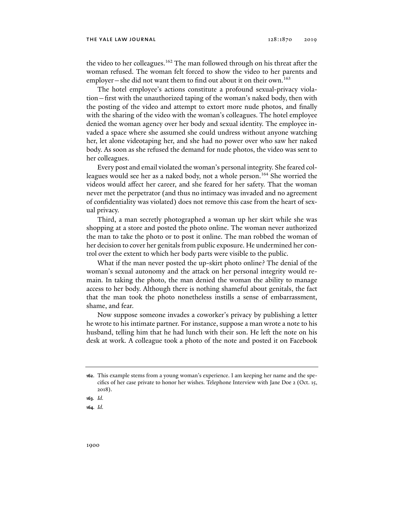the video to her colleagues.<sup>162</sup> The man followed through on his threat after the woman refused. The woman felt forced to show the video to her parents and employer—she did not want them to find out about it on their own.<sup>163</sup>

The hotel employee's actions constitute a profound sexual-privacy violation—first with the unauthorized taping of the woman's naked body, then with the posting of the video and attempt to extort more nude photos, and finally with the sharing of the video with the woman's colleagues. The hotel employee denied the woman agency over her body and sexual identity. The employee invaded a space where she assumed she could undress without anyone watching her, let alone videotaping her, and she had no power over who saw her naked body. As soon as she refused the demand for nude photos, the video was sent to her colleagues.

Every post and email violated the woman's personal integrity. She feared colleagues would see her as a naked body, not a whole person.<sup>164</sup> She worried the videos would affect her career, and she feared for her safety. That the woman never met the perpetrator (and thus no intimacy was invaded and no agreement of confidentiality was violated) does not remove this case from the heart of sexual privacy.

Third, a man secretly photographed a woman up her skirt while she was shopping at a store and posted the photo online. The woman never authorized the man to take the photo or to post it online. The man robbed the woman of her decision to cover her genitals from public exposure. He undermined her control over the extent to which her body parts were visible to the public.

What if the man never posted the up-skirt photo online? The denial of the woman's sexual autonomy and the attack on her personal integrity would remain. In taking the photo, the man denied the woman the ability to manage access to her body. Although there is nothing shameful about genitals, the fact that the man took the photo nonetheless instills a sense of embarrassment, shame, and fear.

Now suppose someone invades a coworker's privacy by publishing a letter he wrote to his intimate partner. For instance, suppose a man wrote a note to his husband, telling him that he had lunch with their son. He left the note on his desk at work. A colleague took a photo of the note and posted it on Facebook

**163***. Id.* 

**164***. Id.* 

**<sup>162</sup>**. This example stems from a young woman's experience. I am keeping her name and the specifics of her case private to honor her wishes. Telephone Interview with Jane Doe 2 (Oct. 15, 2018).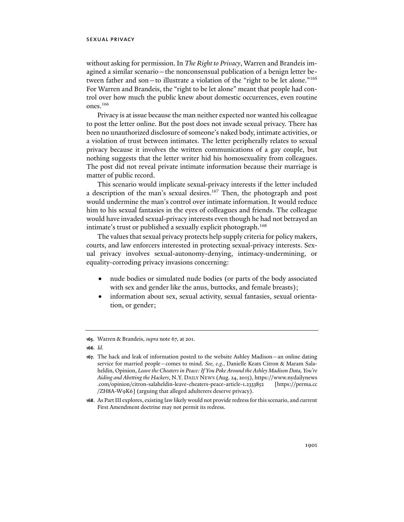without asking for permission. In *The Right to Privacy*, Warren and Brandeis imagined a similar scenario—the nonconsensual publication of a benign letter between father and son—to illustrate a violation of the "right to be let alone."165 For Warren and Brandeis, the "right to be let alone" meant that people had control over how much the public knew about domestic occurrences, even routine ones.166

Privacy is at issue because the man neither expected nor wanted his colleague to post the letter online. But the post does not invade sexual privacy. There has been no unauthorized disclosure of someone's naked body, intimate activities, or a violation of trust between intimates. The letter peripherally relates to sexual privacy because it involves the written communications of a gay couple, but nothing suggests that the letter writer hid his homosexuality from colleagues. The post did not reveal private intimate information because their marriage is matter of public record.

This scenario would implicate sexual-privacy interests if the letter included a description of the man's sexual desires.<sup>167</sup> Then, the photograph and post would undermine the man's control over intimate information. It would reduce him to his sexual fantasies in the eyes of colleagues and friends. The colleague would have invaded sexual-privacy interests even though he had not betrayed an intimate's trust or published a sexually explicit photograph.<sup>168</sup>

The values that sexual privacy protects help supply criteria for policy makers, courts, and law enforcers interested in protecting sexual-privacy interests. Sexual privacy involves sexual-autonomy-denying, intimacy-undermining, or equality-corroding privacy invasions concerning:

- nude bodies or simulated nude bodies (or parts of the body associated with sex and gender like the anus, buttocks, and female breasts);
- information about sex, sexual activity, sexual fantasies, sexual orientation, or gender;

**<sup>165</sup>**. Warren & Brandeis, *supra* note 67, at 201.

**<sup>166</sup>***. Id.* 

**<sup>167</sup>**. The hack and leak of information posted to the website Ashley Madison—an online dating service for married people—comes to mind. *See, e.g.*, Danielle Keats Citron & Maram Salaheldin, Opinion, *Leave the Cheaters in Peace: If You Poke Around the Ashley Madison Data, You're Aiding and Abetting the Hackers*, N.Y. DAILY NEWS (Aug. 24, 2015), https://www.nydailynews .com/opinion/citron-salaheldin-leave-cheaters-peace-article-1.2333852 [https://perma.cc /ZH8A-W9K6] (arguing that alleged adulterers deserve privacy).

**<sup>168</sup>**. As Part III explores, existing law likely would not provide redress for this scenario, and current First Amendment doctrine may not permit its redress.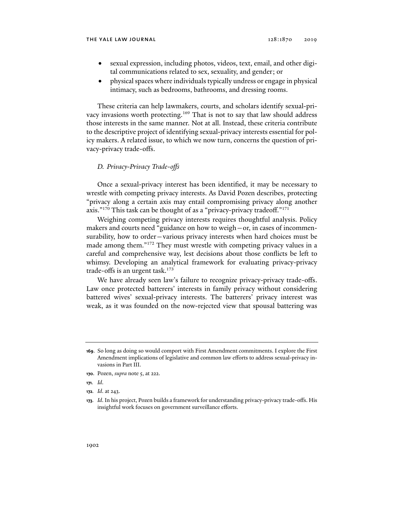- sexual expression, including photos, videos, text, email, and other digital communications related to sex, sexuality, and gender; or
- physical spaces where individuals typically undress or engage in physical intimacy, such as bedrooms, bathrooms, and dressing rooms.

These criteria can help lawmakers, courts, and scholars identify sexual-privacy invasions worth protecting.<sup>169</sup> That is not to say that law should address those interests in the same manner. Not at all. Instead, these criteria contribute to the descriptive project of identifying sexual-privacy interests essential for policy makers. A related issue, to which we now turn, concerns the question of privacy-privacy trade-offs.

## *D. Privacy-Privacy Trade-offs*

Once a sexual-privacy interest has been identified, it may be necessary to wrestle with competing privacy interests. As David Pozen describes, protecting "privacy along a certain axis may entail compromising privacy along another axis."<sup>170</sup> This task can be thought of as a "privacy-privacy tradeoff."<sup>171</sup>

Weighing competing privacy interests requires thoughtful analysis. Policy makers and courts need "guidance on how to weigh—or, in cases of incommensurability, how to order—various privacy interests when hard choices must be made among them."172 They must wrestle with competing privacy values in a careful and comprehensive way, lest decisions about those conflicts be left to whimsy. Developing an analytical framework for evaluating privacy-privacy trade-offs is an urgent task.<sup>173</sup>

We have already seen law's failure to recognize privacy-privacy trade-offs. Law once protected batterers' interests in family privacy without considering battered wives' sexual-privacy interests. The batterers' privacy interest was weak, as it was founded on the now-rejected view that spousal battering was

**171***. Id*.

**<sup>169</sup>**. So long as doing so would comport with First Amendment commitments. I explore the First Amendment implications of legislative and common law efforts to address sexual-privacy invasions in Part III.

**<sup>170</sup>**. Pozen, *supra* note 5, at 222.

**<sup>172</sup>***. Id*. at 243.

**<sup>173</sup>***. Id*. In his project, Pozen builds a framework for understanding privacy-privacy trade-offs. His insightful work focuses on government surveillance efforts.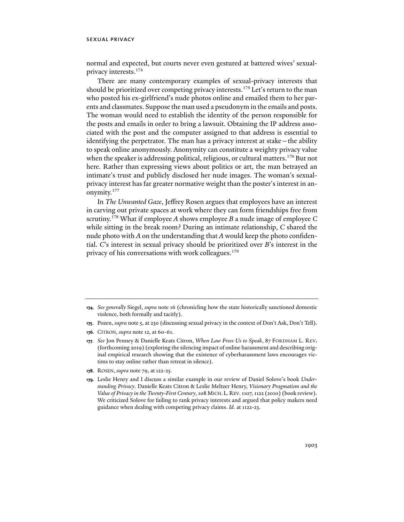normal and expected, but courts never even gestured at battered wives' sexualprivacy interests.174

There are many contemporary examples of sexual-privacy interests that should be prioritized over competing privacy interests.<sup>175</sup> Let's return to the man who posted his ex-girlfriend's nude photos online and emailed them to her parents and classmates. Suppose the man used a pseudonym in the emails and posts. The woman would need to establish the identity of the person responsible for the posts and emails in order to bring a lawsuit. Obtaining the IP address associated with the post and the computer assigned to that address is essential to identifying the perpetrator. The man has a privacy interest at stake—the ability to speak online anonymously. Anonymity can constitute a weighty privacy value when the speaker is addressing political, religious, or cultural matters.<sup>176</sup> But not here. Rather than expressing views about politics or art, the man betrayed an intimate's trust and publicly disclosed her nude images. The woman's sexualprivacy interest has far greater normative weight than the poster's interest in anonymity.177

In *The Unwanted Gaze*, Jeffrey Rosen argues that employees have an interest in carving out private spaces at work where they can form friendships free from scrutiny.178 What if employee *A* shows employee *B* a nude image of employee *C* while sitting in the break room? During an intimate relationship, *C* shared the nude photo with *A* on the understanding that *A* would keep the photo confidential. *C*'s interest in sexual privacy should be prioritized over *B*'s interest in the privacy of his conversations with work colleagues.<sup>179</sup>

- **175**. Pozen, *supra* note 5, at 230 (discussing sexual privacy in the context of Don't Ask, Don't Tell).
- **176**. CITRON, *supra* note 12, at 60-61.
- **177***. See* Jon Penney & Danielle Keats Citron, *When Law Frees Us to Speak*, 87 FORDHAM L. REV**.** (forthcoming 2019) (exploring the silencing impact of online harassment and describing original empirical research showing that the existence of cyberharassment laws encourages victims to stay online rather than retreat in silence).
- **178.** ROSEN, *supra* note 79, at 122-25.
- **179**. Leslie Henry and I discuss a similar example in our review of Daniel Solove's book *Understanding Privacy*. Danielle Keats Citron & Leslie Meltzer Henry, *Visionary Pragmatism and the Value of Privacy in the Twenty-First Century*, 108 MICH. L. REV. 1107, 1122 (2010) (book review). We criticized Solove for failing to rank privacy interests and argued that policy makers need guidance when dealing with competing privacy claims. *Id*. at 1122-23.

**<sup>174</sup>***. See generally* Siegel, *supra* note 16 (chronicling how the state historically sanctioned domestic violence, both formally and tacitly).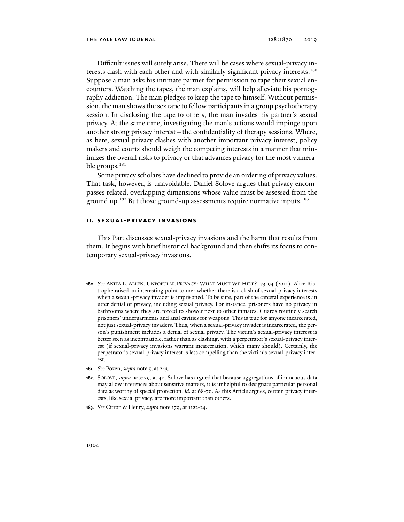Difficult issues will surely arise. There will be cases where sexual-privacy interests clash with each other and with similarly significant privacy interests.<sup>180</sup> Suppose a man asks his intimate partner for permission to tape their sexual encounters. Watching the tapes, the man explains, will help alleviate his pornography addiction. The man pledges to keep the tape to himself. Without permission, the man shows the sex tape to fellow participants in a group psychotherapy session. In disclosing the tape to others, the man invades his partner's sexual privacy. At the same time, investigating the man's actions would impinge upon another strong privacy interest—the confidentiality of therapy sessions. Where, as here, sexual privacy clashes with another important privacy interest, policy makers and courts should weigh the competing interests in a manner that minimizes the overall risks to privacy or that advances privacy for the most vulnerable groups.<sup>181</sup>

Some privacy scholars have declined to provide an ordering of privacy values. That task, however, is unavoidable. Daniel Solove argues that privacy encompasses related, overlapping dimensions whose value must be assessed from the ground up.<sup>182</sup> But those ground-up assessments require normative inputs.<sup>183</sup>

## **ii. sexual-privacy invasions**

This Part discusses sexual-privacy invasions and the harm that results from them. It begins with brief historical background and then shifts its focus to contemporary sexual-privacy invasions.

- **181***. See* Pozen, *supra* note 5, at 243.
- **182**. SOLOVE, *supra* note 29, at 40. Solove has argued that because aggregations of innocuous data may allow inferences about sensitive matters, it is unhelpful to designate particular personal data as worthy of special protection. *Id*. at 68-70. As this Article argues, certain privacy interests, like sexual privacy, are more important than others.
- **183***. See* Citron & Henry, *supra* note 179, at 1122-24.

**<sup>180</sup>***. See* ANITA L. ALLEN, UNPOPULAR PRIVACY: WHAT MUST WE HIDE? 173-94 (2011). Alice Ristrophe raised an interesting point to me: whether there is a clash of sexual-privacy interests when a sexual-privacy invader is imprisoned. To be sure, part of the carceral experience is an utter denial of privacy, including sexual privacy. For instance, prisoners have no privacy in bathrooms where they are forced to shower next to other inmates. Guards routinely search prisoners' undergarments and anal cavities for weapons. This is true for anyone incarcerated, not just sexual-privacy invaders. Thus, when a sexual-privacy invader is incarcerated, the person's punishment includes a denial of sexual privacy. The victim's sexual-privacy interest is better seen as incompatible, rather than as clashing, with a perpetrator's sexual-privacy interest (if sexual-privacy invasions warrant incarceration, which many should). Certainly, the perpetrator's sexual-privacy interest is less compelling than the victim's sexual-privacy interest.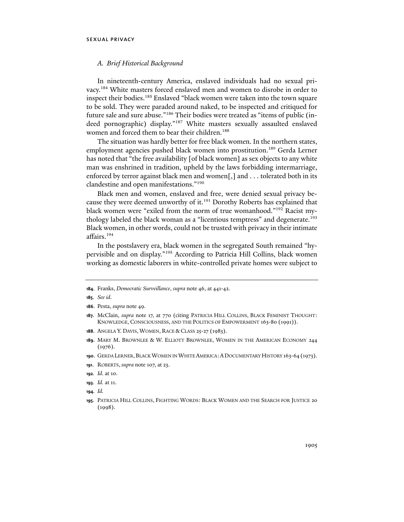## *A. Brief Historical Background*

In nineteenth-century America, enslaved individuals had no sexual privacy.184 White masters forced enslaved men and women to disrobe in order to inspect their bodies.<sup>185</sup> Enslaved "black women were taken into the town square to be sold. They were paraded around naked, to be inspected and critiqued for future sale and sure abuse."186 Their bodies were treated as "items of public (indeed pornographic) display."187 White masters sexually assaulted enslaved women and forced them to bear their children.<sup>188</sup>

The situation was hardly better for free black women. In the northern states, employment agencies pushed black women into prostitution.<sup>189</sup> Gerda Lerner has noted that "the free availability [of black women] as sex objects to any white man was enshrined in tradition, upheld by the laws forbidding intermarriage, enforced by terror against black men and women[,] and . . . tolerated both in its clandestine and open manifestations."190

Black men and women, enslaved and free, were denied sexual privacy because they were deemed unworthy of it.<sup>191</sup> Dorothy Roberts has explained that black women were "exiled from the norm of true womanhood."192 Racist mythology labeled the black woman as a "licentious temptress" and degenerate.<sup>193</sup> Black women, in other words, could not be trusted with privacy in their intimate affairs.194

In the postslavery era, black women in the segregated South remained "hypervisible and on display."195 According to Patricia Hill Collins, black women working as domestic laborers in white-controlled private homes were subject to

**<sup>184</sup>**. Franks, *Democratic Surveillance*, *supra* note 46, at 441-42.

**<sup>185</sup>***. See id.*

**<sup>186</sup>**. Pesta, *supra* note 49.

**<sup>187</sup>**. McClain, *supra* note 17, at 770 (citing PATRICIA HILL COLLINS, BLACK FEMINIST THOUGHT: KNOWLEDGE, CONSCIOUSNESS, AND THE POLITICS OF EMPOWERMENT 163-80 (1991)).

**<sup>188</sup>**. ANGELA Y. DAVIS, WOMEN, RACE & CLASS 25-27 (1983).

**<sup>189</sup>**. MARY M. BROWNLEE & W. ELLIOTT BROWNLEE, WOMEN IN THE AMERICAN ECONOMY 244  $(1976)$ .

**<sup>190</sup>**. GERDA LERNER,BLACK WOMEN IN WHITE AMERICA:ADOCUMENTARY HISTORY 163-64 (1973).

**<sup>191</sup>**. ROBERTS, *supra* note 107, at 23.

**<sup>192</sup>***. Id*. at 10.

**<sup>193</sup>***. Id.* at 11.

**<sup>194</sup>***. Id.* 

**<sup>195</sup>**. PATRICIA HILL COLLINS, FIGHTING WORDS: BLACK WOMEN AND THE SEARCH FOR JUSTICE 20 (1998).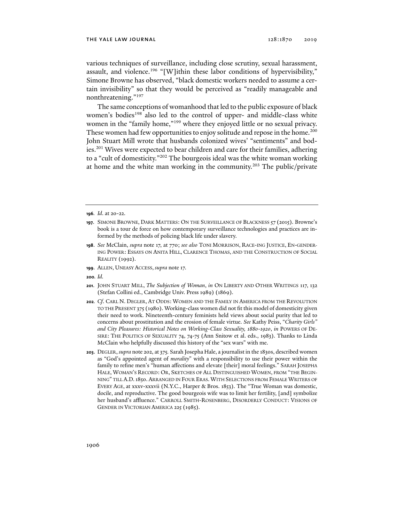various techniques of surveillance, including close scrutiny, sexual harassment, assault, and violence.<sup>196</sup> "[W]ithin these labor conditions of hypervisibility," Simone Browne has observed, "black domestic workers needed to assume a certain invisibility" so that they would be perceived as "readily manageable and nonthreatening."197

The same conceptions of womanhood that led to the public exposure of black women's bodies<sup>198</sup> also led to the control of upper- and middle-class white women in the "family home,"<sup>199</sup> where they enjoyed little or no sexual privacy. These women had few opportunities to enjoy solitude and repose in the home.<sup>200</sup> John Stuart Mill wrote that husbands colonized wives' "sentiments" and bodies.201 Wives were expected to bear children and care for their families, adhering to a "cult of domesticity."202 The bourgeois ideal was the white woman working at home and the white man working in the community.<sup>203</sup> The public/private

- **199**. ALLEN, UNEASY ACCESS, *supra* note 17.
- **200***. Id.*
- **201**. JOHN STUART MILL, *The Subjection of Woman*, *in* ON LIBERTY AND OTHER WRITINGS 117, 132 (Stefan Collini ed., Cambridge Univ. Press 1989) (1869).
- **202***. Cf*. CARL N. DEGLER, AT ODDS: WOMEN AND THE FAMILY IN AMERICA FROM THE REVOLUTION TO THE PRESENT 375 (1980). Working-class women did not fit this model of domesticity given their need to work. Nineteenth-century feminists held views about social purity that led to concerns about prostitution and the erosion of female virtue. *See* Kathy Peiss, "*Charity Girls" and City Pleasures: Historical Notes on Working-Class Sexuality, 1880-1920*, *in* POWERS OF DE-SIRE: THE POLITICS OF SEXUALITY 74, 74-75 (Ann Snitow et al. eds., 1983). Thanks to Linda McClain who helpfully discussed this history of the "sex wars" with me.
- **203**. DEGLER, *supra* note 202, at 375*.* Sarah Josepha Hale, a journalist in the 1830s, described women as "God's appointed agent of *morality*" with a responsibility to use their power within the family to refine men's "human affections and elevate [their] moral feelings." SARAH JOSEPHA HALE, WOMAN'S RECORD: OR, SKETCHES OF ALL DISTINGUISHED WOMEN, FROM "THE BEGIN-NING" TILL A.D.1850. ARRANGED IN FOUR ERAS.WITH SELECTIONS FROM FEMALE WRITERS OF EVERY AGE, at xxxv-xxxvii (N.Y.C., Harper & Bros. 1853). The "True Woman was domestic, docile, and reproductive. The good bourgeois wife was to limit her fertility, [and] symbolize her husband's affluence." CARROLL SMITH-ROSENBERG, DISORDERLY CONDUCT: VISIONS OF GENDER IN VICTORIAN AMERICA 225 (1985).

**<sup>196</sup>***. Id*. at 20-22.

**<sup>197</sup>**. SIMONE BROWNE, DARK MATTERS: ON THE SURVEILLANCE OF BLACKNESS 57 (2015). Browne's book is a tour de force on how contemporary surveillance technologies and practices are informed by the methods of policing black life under slavery.

**<sup>198</sup>**. *See* McClain, *supra* note 17, at 770; *see also* TONI MORRISON, RACE-ING JUSTICE, EN-GENDER-ING POWER: ESSAYS ON ANITA HILL, CLARENCE THOMAS, AND THE CONSTRUCTION OF SOCIAL REALITY (1992).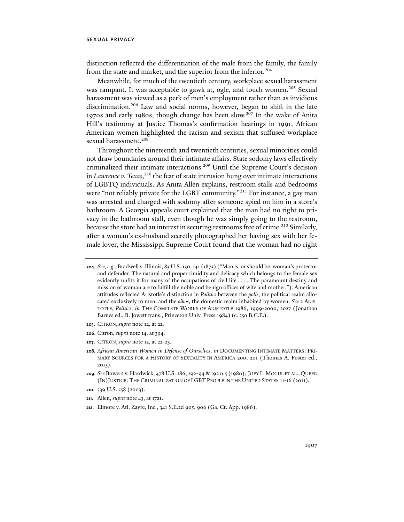distinction reflected the differentiation of the male from the family, the family from the state and market, and the superior from the inferior.<sup>204</sup>

Meanwhile, for much of the twentieth century, workplace sexual harassment was rampant. It was acceptable to gawk at, ogle, and touch women.<sup>205</sup> Sexual harassment was viewed as a perk of men's employment rather than as invidious discrimination.<sup>206</sup> Law and social norms, however, began to shift in the late 1970s and early 1980s, though change has been slow.207 In the wake of Anita Hill's testimony at Justice Thomas's confirmation hearings in 1991, African American women highlighted the racism and sexism that suffused workplace sexual harassment.<sup>208</sup>

Throughout the nineteenth and twentieth centuries, sexual minorities could not draw boundaries around their intimate affairs. State sodomy laws effectively criminalized their intimate interactions.209 Until the Supreme Court's decision in *Lawrence v. Texas*, 210 the fear of state intrusion hung over intimate interactions of LGBTQ individuals. As Anita Allen explains, restroom stalls and bedrooms were "not reliably private for the LGBT community."<sup>211</sup> For instance, a gay man was arrested and charged with sodomy after someone spied on him in a store's bathroom. A Georgia appeals court explained that the man had no right to privacy in the bathroom stall, even though he was simply going to the restroom, because the store had an interest in securing restrooms free of crime.<sup>212</sup> Similarly, after a woman's ex-husband secretly photographed her having sex with her female lover, the Mississippi Supreme Court found that the woman had no right

- **205**. CITRON, *supra* note 12, at 22.
- **206**. Citron, *supra* note 14, at 394.
- **207**. CITRON, *supra* note 12, at 22-23.
- **208***. African American Women in Defense of Ourselves*, *in* DOCUMENTING INTIMATE MATTERS: PRI-MARY SOURCES FOR A HISTORY OF SEXUALITY IN AMERICA 200, 201 (Thomas A. Foster ed., 2013).
- **209***. See* Bowers v. Hardwick, 478 U.S. 186, 192-94 & 192 n.5 (1986); JOEY L. MOGUL ET AL., QUEER (IN)JUSTICE: THE CRIMINALIZATION OF LGBT PEOPLE IN THE UNITED STATES 11-16 (2011).
- **210**. 539 U.S. 558 (2003).
- **211**. Allen, *supra* note 43, at 1721.
- **212**. Elmore v. Atl. Zayre, Inc., 341 S.E.2d 905, 906 (Ga. Ct. App. 1986).

**<sup>204</sup>***. See, e.g.*, Bradwell v. Illinois, 83 U.S. 130, 141 (1873) ("Man is, or should be, woman's protector and defender. The natural and proper timidity and delicacy which belongs to the female sex evidently unfits it for many of the occupations of civil life . . . . The paramount destiny and mission of woman are to fulfill the noble and benign offices of wife and mother."). American attitudes reflected Aristotle's distinction in *Politics* between the *polis*, the political realm allocated exclusively to men, and the *oikos*, the domestic realm inhabited by women. *See* 2 ARIS-TOTLE, *Politics*, *in* THE COMPLETE WORKS OF ARISTOTLE 1986, 1999-2000, 2027 (Jonathan Barnes ed., B. Jowett trans., Princeton Univ. Press 1984) (c. 350 B.C.E.).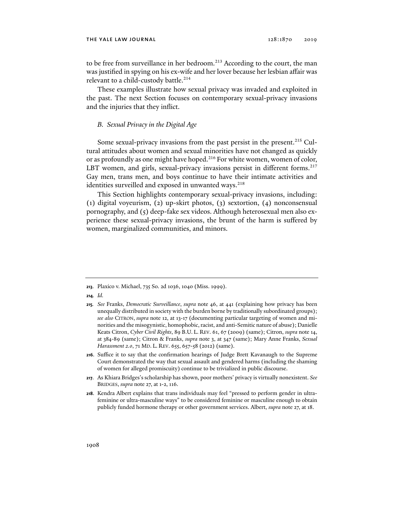to be free from surveillance in her bedroom.<sup>213</sup> According to the court, the man was justified in spying on his ex-wife and her lover because her lesbian affair was relevant to a child-custody battle.<sup>214</sup>

These examples illustrate how sexual privacy was invaded and exploited in the past. The next Section focuses on contemporary sexual-privacy invasions and the injuries that they inflict.

# *B. Sexual Privacy in the Digital Age*

Some sexual-privacy invasions from the past persist in the present.<sup>215</sup> Cultural attitudes about women and sexual minorities have not changed as quickly or as profoundly as one might have hoped.<sup>216</sup> For white women, women of color, LBT women, and girls, sexual-privacy invasions persist in different forms.<sup>217</sup> Gay men, trans men, and boys continue to have their intimate activities and identities surveilled and exposed in unwanted ways.<sup>218</sup>

This Section highlights contemporary sexual-privacy invasions, including: (1) digital voyeurism, (2) up-skirt photos, (3) sextortion, (4) nonconsensual pornography, and (5) deep-fake sex videos. Although heterosexual men also experience these sexual-privacy invasions, the brunt of the harm is suffered by women, marginalized communities, and minors.

**214***. Id.* 

- **216**. Suffice it to say that the confirmation hearings of Judge Brett Kavanaugh to the Supreme Court demonstrated the way that sexual assault and gendered harms (including the shaming of women for alleged promiscuity) continue to be trivialized in public discourse.
- **217**. As Khiara Bridges's scholarship has shown, poor mothers' privacy is virtually nonexistent. *See* BRIDGES, *supra* note 27, at 1-2, 116.
- **218**. Kendra Albert explains that trans individuals may feel "pressed to perform gender in ultrafeminine or ultra-masculine ways" to be considered feminine or masculine enough to obtain publicly funded hormone therapy or other government services. Albert, *supra* note 27, at 18.

**<sup>213</sup>**. Plaxico v. Michael, 735 So. 2d 1036, 1040 (Miss. 1999).

**<sup>215</sup>***. See* Franks, *Democratic Surveillance*, *supra* note 46, at 441 (explaining how privacy has been unequally distributed in society with the burden borne by traditionally subordinated groups); *see also* CITRON, *supra* note 12, at 13-17 (documenting particular targeting of women and minorities and the misogynistic, homophobic, racist, and anti-Semitic nature of abuse); Danielle Keats Citron, *Cyber Civil Rights*, 89 B.U. L. REV. 61, 67 (2009) (same); Citron, *supra* note 14, at 384-89 (same); Citron & Franks, *supra* note 3, at 347 (same); Mary Anne Franks, *Sexual Harassment 2.0, 71 MD. L. REV. 655, 657-58 (2012) (same).*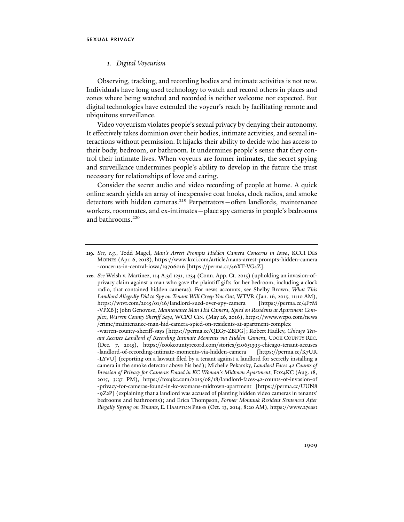### *1. Digital Voyeurism*

Observing, tracking, and recording bodies and intimate activities is not new. Individuals have long used technology to watch and record others in places and zones where being watched and recorded is neither welcome nor expected. But digital technologies have extended the voyeur's reach by facilitating remote and ubiquitous surveillance.

Video voyeurism violates people's sexual privacy by denying their autonomy. It effectively takes dominion over their bodies, intimate activities, and sexual interactions without permission. It hijacks their ability to decide who has access to their body, bedroom, or bathroom. It undermines people's sense that they control their intimate lives. When voyeurs are former intimates, the secret spying and surveillance undermines people's ability to develop in the future the trust necessary for relationships of love and caring.

Consider the secret audio and video recording of people at home. A quick online search yields an array of inexpensive coat hooks, clock radios, and smoke detectors with hidden cameras.<sup>219</sup> Perpetrators-often landlords, maintenance workers, roommates, and ex-intimates—place spy cameras in people's bedrooms and bathrooms.<sup>220</sup>

**<sup>219</sup>***. See, e.g.*, Todd Magel, *Man's Arrest Prompts Hidden Camera Concerns in Iowa*, KCCI DES MOINES (Apr. 6, 2018), https://www.kcci.com/article/mans-arrest-prompts-hidden-camera -concerns-in-central-iowa/19706016 [https://perma.cc/46XT-VG4Z].

**<sup>220</sup>***. See* Welsh v. Martinez, 114 A.3d 1231, 1234 (Conn. App. Ct. 2015) (upholding an invasion-ofprivacy claim against a man who gave the plaintiff gifts for her bedroom, including a clock radio, that contained hidden cameras). For news accounts, see Shelby Brown, *What This Landlord Allegedly Did to Spy on Tenant Will Creep You Out*, WTVR (Jan. 16, 2015, 11:10 AM), https://wtvr.com/2015/01/16/landlord-sued-over-spy-camera [https://perma.cc/4F7M -VPXB]; John Genovese, *Maintenance Man Hid Camera, Spied on Residents at Apartment Complex*, *Warren County Sheriff Says*, WCPO CIN. (May 26, 2016), https://www.wcpo.com/news /crime/maintenance-man-hid-camera-spied-on-residents-at-apartment-complex -warren-county-sheriff-says [https://perma.cc/QEG7-ZBDG]; Robert Hadley, *Chicago Tenant Accuses Landlord of Recording Intimate Moments via Hidden Camera*, COOK COUNTY REC. (Dec. 7, 2015), https://cookcountyrecord.com/stories/510651393-chicago-tenant-accuses -landlord-of-recording-intimate-moments-via-hidden-camera [https://perma.cc/K7UR -LYVU] (reporting on a lawsuit filed by a tenant against a landlord for secretly installing a camera in the smoke detector above his bed); Michelle Pekarsky, *Landlord Faces 42 Counts of Invasion of Privacy for Cameras Found in KC Woman's Midtown Apartment*, FOX4KC (Aug. 18, 2015, 3:37 PM), https://fox4kc.com/2015/08/18/landlord-faces-42-counts-of-invasion-of -privacy-for-cameras-found-in-kc-womans-midtown-apartment [https://perma.cc/UUN8 -9Z2P] (explaining that a landlord was accused of planting hidden video cameras in tenants' bedrooms and bathrooms); and Erica Thompson, *Former Montauk Resident Sentenced After Illegally Spying on Tenants*, E. HAMPTON PRESS (Oct. 13, 2014, 8:20 AM), https://www.27east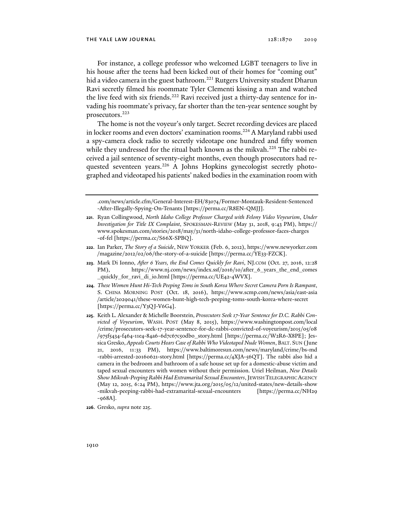For instance, a college professor who welcomed LGBT teenagers to live in his house after the teens had been kicked out of their homes for "coming out" hid a video camera in the guest bathroom.<sup>221</sup> Rutgers University student Dharun Ravi secretly filmed his roommate Tyler Clementi kissing a man and watched the live feed with six friends.<sup>222</sup> Ravi received just a thirty-day sentence for invading his roommate's privacy, far shorter than the ten-year sentence sought by prosecutors.<sup>223</sup>

The home is not the voyeur's only target. Secret recording devices are placed in locker rooms and even doctors' examination rooms.<sup>224</sup> A Maryland rabbi used a spy-camera clock radio to secretly videotape one hundred and fifty women while they undressed for the ritual bath known as the mikvah.<sup>225</sup> The rabbi received a jail sentence of seventy-eight months, even though prosecutors had requested seventeen years.<sup>226</sup> A Johns Hopkins gynecologist secretly photographed and videotaped his patients' naked bodies in the examination room with

.com/news/article.cfm/General-Interest-EH/83074/Former-Montauk-Resident-Sentenced -After-Illegally-Spying-On-Tenants [https://perma.cc/R8EN-QMJJ].

- **222**. Ian Parker, *The Story of a Suicide*, NEW YORKER (Feb. 6, 2012), https://www.newyorker.com /magazine/2012/02/06/the-story-of-a-suicide [https://perma.cc/YE33-FZCK].
- **223**. Mark Di Ionno, *After 6 Years, the End Comes Quickly for Ravi*, NJ.COM (Oct. 27, 2016, 12:28 PM), https://www.nj.com/news/index.ssf/2016/10/after 6 years the end comes \_quickly\_for\_ravi\_di\_io.html [https://perma.cc/UE42-4WVX].
- **224***. These Women Hunt Hi-Tech Peeping Toms in South Korea Where Secret Camera Porn Is Rampant*, S. CHINA MORNING POST (Oct. 18, 2016), https://www.scmp.com/news/asia/east-asia /article/2029041/these-women-hunt-high-tech-peeping-toms-south-korea-where-secret [https://perma.cc/Y3QJ-V6G4].
- **225**. Keith L. Alexander & Michelle Boorstein, *Prosecutors Seek 17-Year Sentence for D.C. Rabbi Convicted of Voyeurism*, WASH. POST (May 8, 2015), https://www.washingtonpost.com/local /crime/prosecutors-seek-17-year-sentence-for-dc-rabbi-convicted-of-voyeurism/2015/05/08 /975f5434-f464-11e4-84a6-6d7c67c50db0\_story.html [https://perma.cc/W2R6-X8PE]; Jessica Gresko, *Appeals Courts Hears Case of Rabbi Who Videotaped Nude Women*, BALT. SUN (June 21, 2016, 11:33 PM), https://www.baltimoresun.com/news/maryland/crime/bs-md -rabbi-arrested-20160621-story.html [https://perma.cc/4XJA-56QT]. The rabbi also hid a camera in the bedroom and bathroom of a safe house set up for a domestic-abuse victim and taped sexual encounters with women without their permission. Uriel Heilman, *New Details Show Mikvah-Peeping Rabbi Had Extramarital Sexual Encounters*, JEWISH TELEGRAPHIC AGENCY (May 12, 2015, 6:24 PM), https://www.jta.org/2015/05/12/united-states/new-details-show -mikvah-peeping-rabbi-had-extramarital-sexual-encounters [https://perma.cc/NH29 -968A].
- **226**. Gresko, *supra* note 225.

**<sup>221</sup>**. Ryan Collingwood, *North Idaho College Professor Charged with Felony Video Voyeurism*, *Under Investigation for Title IX Complaint*, SPOKESMAN-REVIEW (May 31, 2018, 9:43 PM), https:// www.spokesman.com/stories/2018/may/31/north-idaho-college-professor-faces-charges -of-fel [https://perma.cc/S66X-SPBQ].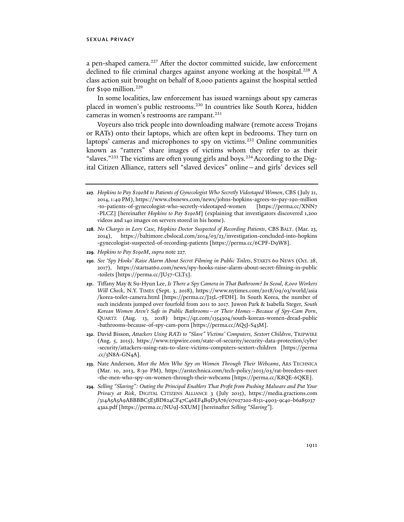a pen-shaped camera.<sup>227</sup> After the doctor committed suicide, law enforcement declined to file criminal charges against anyone working at the hospital.<sup>228</sup> A class action suit brought on behalf of 8,000 patients against the hospital settled for \$190 million.<sup>229</sup>

In some localities, law enforcement has issued warnings about spy cameras placed in women's public restrooms.<sup>230</sup> In countries like South Korea, hidden cameras in women's restrooms are rampant.<sup>231</sup>

Voyeurs also trick people into downloading malware (remote access Trojans or RATs) onto their laptops, which are often kept in bedrooms. They turn on laptops' cameras and microphones to spy on victims.<sup>232</sup> Online communities known as "ratters" share images of victims whom they refer to as their "slaves."<sup>233</sup> The victims are often young girls and boys.<sup>234</sup> According to the Digital Citizen Alliance, ratters sell "slaved devices" online—and girls' devices sell

- **229***. Hopkins to Pay \$190M*, *supra* note 227.
- **230***. See 'Spy Hooks' Raise Alarm About Secret Filming in Public Toilets*, STARTS 60 NEWS (Oct. 28, 2017), https://startsat60.com/news/spy-hooks-raise-alarm-about-secret-filming-in-public -toilets [https://perma.cc/JU57-CLT5].
- **231**. Tiffany May & Su-Hyun Lee, *Is There a Spy Camera in That Bathroom? In Seoul, 8,000 Workers Will Check*, N.Y. TIMES (Sept. 3, 2018), https://www.nytimes.com/2018/09/03/world/asia /korea-toilet-camera.html [https://perma.cc/J25L-7FDH]. In South Korea, the number of such incidents jumped over fourfold from 2011 to 2017. Juwon Park & Isabella Steger, *South Korean Women Aren't Safe in Public Bathrooms—or Their Homes—Because of Spy-Cam Porn*, QUARTZ (Aug. 13, 2018) https://qz.com/1354304/south-korean-women-dread-public -bathrooms-because-of-spy-cam-porn [https://perma.cc/AQ5J-S43M].
- **232**. David Bisson, *Attackers Using RATs to "Slave" Victims' Computers, Sextort Children*, TRIPWIRE (Aug. 5, 2015), https://www.tripwire.com/state-of-security/security-data-protection/cyber -security/attackers-using-rats-to-slave-victims-computers-sextort-children [https://perma  $\text{c}c/3$ N8A-GN4A].
- **233**. Nate Anderson, *Meet the Men Who Spy on Women Through Their Webcams*, ARS TECHNICA (Mar. 10, 2013, 8:30 PM), https://arstechnica.com/tech-policy/2013/03/rat-breeders-meet -the-men-who-spy-on-women-through-their-webcams [https://perma.cc/K8QE-6QKE].
- **234***. Selling "Slaving": Outing the Principal Enablers That Profit from Pushing Malware and Put Your Privacy at Risk*, DIGITAL CITIZENS ALLIANCE 3 (July 2015), https://media.gractions.com /314A5A5A9ABBBBC5E3BD824CF47C46EF4B9D3A76/07027202-8151-4903-9c40-b6a85037 43aa.pdf [https://perma.cc/NU9J-SXUM] [hereinafter *Selling "Slaving"*].

**<sup>227</sup>***. Hopkins to Pay \$190M to Patients of Gynecologist Who Secretly Videotaped Women*, CBS (July 21, 2014, 1:49 PM), https://www.cbsnews.com/news/johns-hopkins-agrees-to-pay-190-million -to-patients-of-gynecologist-who-secretly-videotaped-women [https://perma.cc/XNN7 -PLCZ] [hereinafter *Hopkins to Pay \$190M*] (explaining that investigators discovered 1,200 videos and 140 images on servers stored in his home).

**<sup>228</sup>***. No Charges in Levy Case, Hopkins Doctor Suspected of Recording Patients*, CBS BALT. (Mar. 23, 2014), https://baltimore.cbslocal.com/2014/03/23/investigation-concluded-into-hopkins -gynecologist-suspected-of-recording-patients [https://perma.cc/6CPF-D9W8].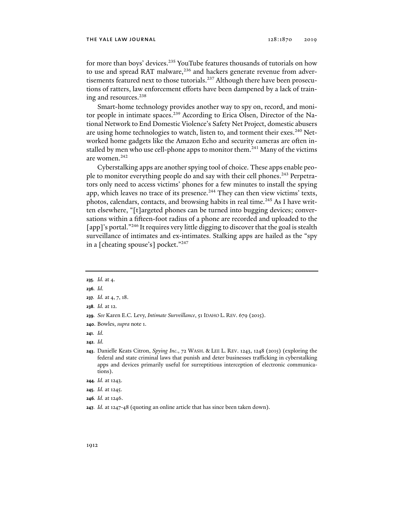for more than boys' devices.<sup>235</sup> YouTube features thousands of tutorials on how to use and spread RAT malware,<sup>236</sup> and hackers generate revenue from advertisements featured next to those tutorials.<sup>237</sup> Although there have been prosecutions of ratters, law enforcement efforts have been dampened by a lack of training and resources.<sup>238</sup>

Smart-home technology provides another way to spy on, record, and monitor people in intimate spaces.<sup>239</sup> According to Erica Olsen, Director of the National Network to End Domestic Violence's Safety Net Project, domestic abusers are using home technologies to watch, listen to, and torment their exes.<sup>240</sup> Networked home gadgets like the Amazon Echo and security cameras are often installed by men who use cell-phone apps to monitor them.<sup>241</sup> Many of the victims are women.<sup>242</sup>

Cyberstalking apps are another spying tool of choice. These apps enable people to monitor everything people do and say with their cell phones.<sup>243</sup> Perpetrators only need to access victims' phones for a few minutes to install the spying app, which leaves no trace of its presence. $244$  They can then view victims' texts, photos, calendars, contacts, and browsing habits in real time.<sup>245</sup> As I have written elsewhere, "[t]argeted phones can be turned into bugging devices; conversations within a fifteen-foot radius of a phone are recorded and uploaded to the [app]'s portal."<sup>246</sup> It requires very little digging to discover that the goal is stealth surveillance of intimates and ex-intimates. Stalking apps are hailed as the "spy in a [cheating spouse's] pocket."247

**235***. Id.* at 4.

- **239***. See* Karen E.C. Levy, *Intimate Surveillance*, 51 IDAHO L. REV. 679 (2015).
- **240**. Bowles, *supra* note 1.
- **241***. Id.*
- **242***. Id.*
- **243**. Danielle Keats Citron, *Spying Inc*., 72 WASH. & LEE L. REV. 1243, 1248 (2015) (exploring the federal and state criminal laws that punish and deter businesses trafficking in cyberstalking apps and devices primarily useful for surreptitious interception of electronic communications).
- **244***. Id.* at 1243.
- **245***. Id.* at 1245.
- **246***. Id.* at 1246.
- **247***. Id.* at 1247-48 (quoting an online article that has since been taken down).

**<sup>236</sup>***. Id.*

**<sup>237</sup>***. Id.* at 4, 7, 18.

**<sup>238</sup>***. Id.* at 12.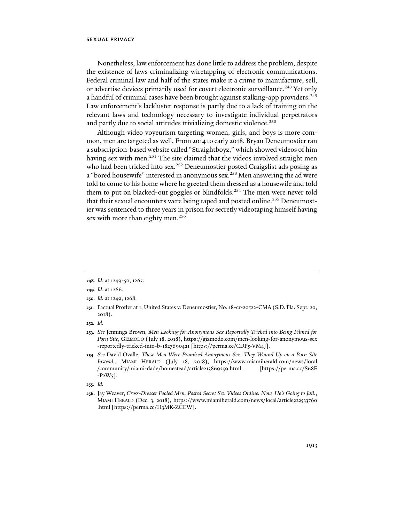Nonetheless, law enforcement has done little to address the problem, despite the existence of laws criminalizing wiretapping of electronic communications. Federal criminal law and half of the states make it a crime to manufacture, sell, or advertise devices primarily used for covert electronic surveillance.<sup>248</sup> Yet only a handful of criminal cases have been brought against stalking-app providers.<sup>249</sup> Law enforcement's lackluster response is partly due to a lack of training on the relevant laws and technology necessary to investigate individual perpetrators and partly due to social attitudes trivializing domestic violence.<sup>250</sup>

Although video voyeurism targeting women, girls, and boys is more common, men are targeted as well. From 2014 to early 2018, Bryan Deneumostier ran a subscription-based website called "Straightboyz," which showed videos of him having sex with men.<sup>251</sup> The site claimed that the videos involved straight men who had been tricked into sex.<sup>252</sup> Deneumostier posted Craigslist ads posing as a "bored housewife" interested in anonymous sex.<sup>253</sup> Men answering the ad were told to come to his home where he greeted them dressed as a housewife and told them to put on blacked-out goggles or blindfolds.<sup>254</sup> The men were never told that their sexual encounters were being taped and posted online.<sup>255</sup> Deneumostier was sentenced to three years in prison for secretly videotaping himself having sex with more than eighty men.<sup>256</sup>

**<sup>248</sup>***. Id.* at 1249-50, 1265.

**<sup>249</sup>***. Id.* at 1266.

**<sup>250</sup>***. Id.* at 1249, 1268.

**<sup>251</sup>**. Factual Proffer at 1, United States v. Deneumostier, No. 18-cr-20522-CMA (S.D. Fla. Sept. 20, 2018).

**<sup>252</sup>***. Id*.

**<sup>253</sup>***. See* Jennings Brown, *Men Looking for Anonymous Sex Reportedly Tricked into Being Filmed for Porn Site*, GIZMODO (July 18, 2018), https://gizmodo.com/men-looking-for-anonymous-sex -reportedly-tricked-into-b-1827690421 [https://perma.cc/CDP5-VM4J].

**<sup>254</sup>***. See* David Ovalle, *These Men Were Promised Anonymous Sex. They Wound Up on a Porn Site Instead.*, MIAMI HERALD (July 18, 2018), https://www.miamiherald.com/news/local /community/miami-dade/homestead/article213869259.html [https://perma.cc/S68E  $-P2W_5$ ].

**<sup>255</sup>***. Id.* 

**<sup>256</sup>**. Jay Weaver, *Cross-Dresser Fooled Men, Posted Secret Sex Videos Online. Now, He's Going to Jail.*, MIAMI HERALD (Dec. 3, 2018), https://www.miamiherald.com/news/local/article222533760 .html [https://perma.cc/H3MK-ZCCW].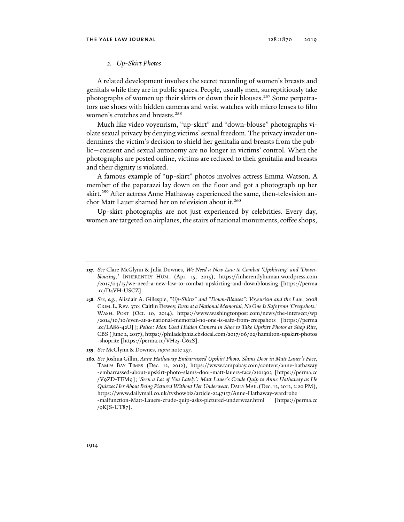### *2. Up-Skirt Photos*

A related development involves the secret recording of women's breasts and genitals while they are in public spaces. People, usually men, surreptitiously take photographs of women up their skirts or down their blouses.<sup>257</sup> Some perpetrators use shoes with hidden cameras and wrist watches with micro lenses to film women's crotches and breasts.<sup>258</sup>

Much like video voyeurism, "up-skirt" and "down-blouse" photographs violate sexual privacy by denying victims' sexual freedom. The privacy invader undermines the victim's decision to shield her genitalia and breasts from the public—consent and sexual autonomy are no longer in victims' control. When the photographs are posted online, victims are reduced to their genitalia and breasts and their dignity is violated.

A famous example of "up-skirt" photos involves actress Emma Watson. A member of the paparazzi lay down on the floor and got a photograph up her skirt.<sup>259</sup> After actress Anne Hathaway experienced the same, then-television anchor Matt Lauer shamed her on television about it.<sup>260</sup>

Up-skirt photographs are not just experienced by celebrities. Every day, women are targeted on airplanes, the stairs of national monuments, coffee shops,

**<sup>257</sup>***. See* Clare McGlynn & Julia Downes, *We Need a New Law to Combat 'Upskirting' and 'Downblousing*,*'* INHERENTLY HUM. (Apr. 15, 2015), https://inherentlyhuman.wordpress.com /2015/04/15/we-need-a-new-law-to-combat-upskirting-and-downblousing [https://perma .cc/D4VH-USCZ].

**<sup>258</sup>***. See, e.g.*, Alisdair A. Gillespie, *"Up-Skirts" and "Down-Blouses": Voyeurism and the Law*, 2008 CRIM.L.REV. 370; Caitlin Dewey, *Even at a National Memorial, No One Is Safe from 'Creepshots*,*'* WASH. POST (Oct. 10, 2014), https://www.washingtonpost.com/news/the-intersect/wp /2014/10/10/even-at-a-national-memorial-no-one-is-safe-from-creepshots [https://perma .cc/LA86-42UJ]; *Police: Man Used Hidden Camera in Shoe to Take Upskirt Photos at Shop Rite*, CBS (June 2, 2017), https://philadelphia.cbslocal.com/2017/06/02/hamilton-upskirt-photos -shoprite [https://perma.cc/VH25-G62S].

**<sup>259</sup>***. See* McGlynn & Downes, *supra* note 257.

**<sup>260</sup>***. See* Joshua Gillin, *Anne Hathaway Embarrassed Upskirt Photo, Slams Door in Matt Lauer's Face*, TAMPA BAY TIMES (Dec. 12, 2012), https://www.tampabay.com/content/anne-hathaway -embarrassed-about-upskirt-photo-slams-door-matt-lauers-face/2101303 [https://perma.cc /V9ZD-TEM9]; *'Seen a Lot of You Lately': Matt Lauer's Crude Quip to Anne Hathaway as He Quizzes Her About Being Pictured Without Her Underwear*, DAILY MAIL (Dec. 12, 2012, 2:20 PM), https://www.dailymail.co.uk/tvshowbiz/article-2247157/Anne-Hathaway-wardrobe -malfunction-Matt-Lauers-crude-quip-asks-pictured-underwear.html [https://perma.cc /9KJS-UT87].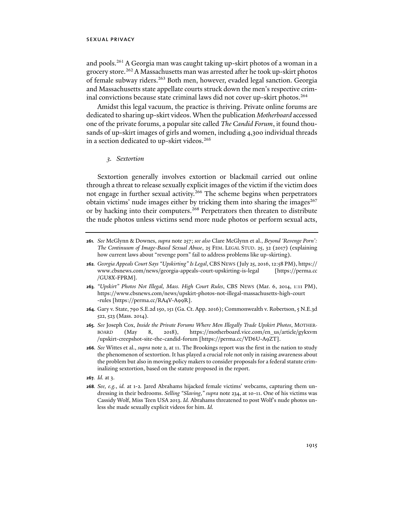and pools.261 A Georgia man was caught taking up-skirt photos of a woman in a grocery store.<sup>262</sup> A Massachusetts man was arrested after he took up-skirt photos of female subway riders.<sup>263</sup> Both men, however, evaded legal sanction. Georgia and Massachusetts state appellate courts struck down the men's respective criminal convictions because state criminal laws did not cover up-skirt photos.<sup>264</sup>

Amidst this legal vacuum, the practice is thriving. Private online forums are dedicated to sharing up-skirt videos. When the publication *Motherboard* accessed one of the private forums, a popular site called *The Candid Forum*, it found thousands of up-skirt images of girls and women, including 4,300 individual threads in a section dedicated to up-skirt videos.<sup>265</sup>

## *3. Sextortion*

Sextortion generally involves extortion or blackmail carried out online through a threat to release sexually explicit images of the victim if the victim does not engage in further sexual activity.<sup>266</sup> The scheme begins when perpetrators obtain victims' nude images either by tricking them into sharing the images<sup>267</sup> or by hacking into their computers.<sup>268</sup> Perpetrators then threaten to distribute the nude photos unless victims send more nude photos or perform sexual acts,

- **264**. Gary v. State, 790 S.E.2d 150, 151 (Ga. Ct. App. 2016); Commonwealth v. Robertson, 5 N.E.3d 522, 523 (Mass. 2014).
- **265***. See* Joseph Cox, *Inside the Private Forums Where Men Illegally Trade Upskirt Photos*, MOTHER-BOARD (May 8, 2018), https://motherboard.vice.com/en\_us/article/gykxvm /upskirt-creepshot-site-the-candid-forum [https://perma.cc/VD6U-A9ZT].
- **266***. See* Wittes et al., *supra* note 2, at 11. The Brookings report was the first in the nation to study the phenomenon of sextortion. It has played a crucial role not only in raising awareness about the problem but also in moving policy makers to consider proposals for a federal statute criminalizing sextortion, based on the statute proposed in the report.
- **267***. Id.* at 3.
- **268***. See, e.g.*, *id.* at 1-2*.* Jared Abrahams hijacked female victims' webcams, capturing them undressing in their bedrooms. *Selling "Slaving*,*" supra* note 234, at 10-11. One of his victims was Cassidy Wolf, Miss Teen USA 2013. *Id.* Abrahams threatened to post Wolf's nude photos unless she made sexually explicit videos for him. *Id.*

**<sup>261</sup>***. See* McGlynn & Downes, *supra* note 257; *see also* Clare McGlynn et al., *Beyond 'Revenge Porn': The Continuum of Image-Based Sexual Abuse*, 25 FEM. LEGAL STUD. 25, 32 (2017) (explaining how current laws about "revenge porn" fail to address problems like up-skirting).

**<sup>262</sup>***. Georgia Appeals Court Says "Upskirting" Is Legal*, CBS NEWS (July 25, 2016, 12:58 PM), https:// www.cbsnews.com/news/georgia-appeals-court-upskirting-is-legal [https://perma.cc /GU8X-FPRM].

**<sup>263</sup>***. "Upskirt" Photos Not Illegal, Mass. High Court Rules*, CBS NEWS (Mar. 6, 2014, 1:11 PM), https://www.cbsnews.com/news/upskirt-photos-not-illegal-massachusetts-high-court -rules [https://perma.cc/RA4V-A99R].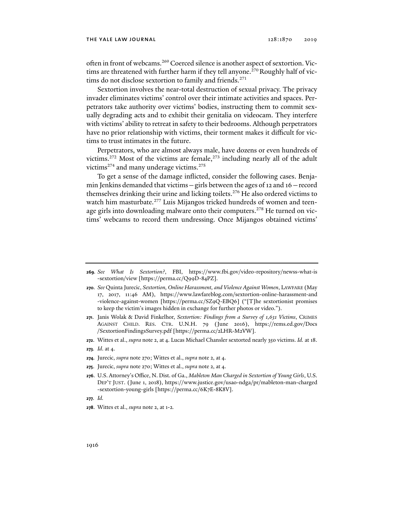often in front of webcams.<sup>269</sup> Coerced silence is another aspect of sextortion. Victims are threatened with further harm if they tell anyone.<sup>270</sup> Roughly half of victims do not disclose sextortion to family and friends.<sup>271</sup>

Sextortion involves the near-total destruction of sexual privacy. The privacy invader eliminates victims' control over their intimate activities and spaces. Perpetrators take authority over victims' bodies, instructing them to commit sexually degrading acts and to exhibit their genitalia on videocam. They interfere with victims' ability to retreat in safety to their bedrooms. Although perpetrators have no prior relationship with victims, their torment makes it difficult for victims to trust intimates in the future.

Perpetrators, who are almost always male, have dozens or even hundreds of victims.<sup>272</sup> Most of the victims are female,<sup>273</sup> including nearly all of the adult victims<sup>274</sup> and many underage victims.<sup>275</sup>

To get a sense of the damage inflicted, consider the following cases. Benjamin Jenkins demanded that victims—girls between the ages of 12 and 16—record themselves drinking their urine and licking toilets.<sup>276</sup> He also ordered victims to watch him masturbate.<sup>277</sup> Luis Mijangos tricked hundreds of women and teenage girls into downloading malware onto their computers.<sup>278</sup> He turned on victims' webcams to record them undressing. Once Mijangos obtained victims'

**272**. Wittes et al., *supra* note 2, at 4. Lucas Michael Chansler sextorted nearly 350 victims. *Id.* at 18.

- **274***.* Jurecic, *supra* note 270; Wittes et al., *supra* note 2, at 4.
- **275**. Jurecic, *supra* note 270; Wittes et al., *supra* note 2, at 4.
- **276**. U.S. Attorney's Office, N. Dist. of Ga., *Mableton Man Charged in Sextortion of Young Girls*, U.S. DEP'T JUST. (June 1, 2018), https://www.justice.gov/usao-ndga/pr/mableton-man-charged -sextortion-young-girls [https://perma.cc/6K7E-8K8V].
- **277***. Id.*

**<sup>269</sup>***. See What Is Sextortion?*, FBI, https://www.fbi.gov/video-repository/newss-what-is -sextortion/view [https://perma.cc/Q99D-84PZ].

**<sup>270</sup>***. See* Quinta Jurecic, *Sextortion, Online Harassment, and Violence Against Women*, LAWFARE (May 17, 2017, 11:46 AM), https://www.lawfareblog.com/sextortion-online-harassment-and -violence-against-women [https://perma.cc/SZ9Q-EBQ6] ("[T]he sextortionist promises to keep the victim's images hidden in exchange for further photos or video.").

**<sup>271</sup>**. Janis Wolak & David Finkelhor, *Sextortion: Findings from a Survey of 1,631 Victims*, CRIMES AGAINST CHILD. RES. CTR. U.N.H. 79 (June 2016), https://rems.ed.gov/Docs /SextortionFindingsSurvey.pdf [https://perma.cc/2LHR-M2VW].

**<sup>273</sup>***. Id*. at 4.

**<sup>278</sup>**. Wittes et al., *supra* note 2, at 1-2*.*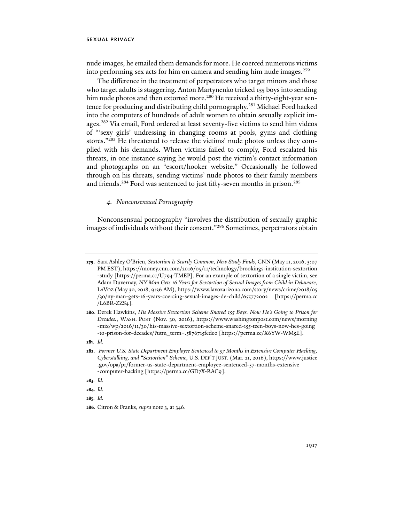nude images, he emailed them demands for more. He coerced numerous victims into performing sex acts for him on camera and sending him nude images.<sup>279</sup>

The difference in the treatment of perpetrators who target minors and those who target adults is staggering. Anton Martynenko tricked 155 boys into sending him nude photos and then extorted more.<sup>280</sup> He received a thirty-eight-year sentence for producing and distributing child pornography.<sup>281</sup> Michael Ford hacked into the computers of hundreds of adult women to obtain sexually explicit images.282 Via email, Ford ordered at least seventy-five victims to send him videos of "'sexy girls' undressing in changing rooms at pools, gyms and clothing stores."<sup>283</sup> He threatened to release the victims' nude photos unless they complied with his demands. When victims failed to comply, Ford escalated his threats, in one instance saying he would post the victim's contact information and photographs on an "escort/hooker website." Occasionally he followed through on his threats, sending victims' nude photos to their family members and friends.<sup>284</sup> Ford was sentenced to just fifty-seven months in prison.<sup>285</sup>

## *4. Nonconsensual Pornography*

Nonconsensual pornography "involves the distribution of sexually graphic images of individuals without their consent."286 Sometimes, perpetrators obtain

**283***. Id.* 

**285***. Id.*

**<sup>279</sup>**. Sara Ashley O'Brien, *Sextortion Is Scarily Common, New Study Finds*, CNN (May 11, 2016, 3:07 PM EST), https://money.cnn.com/2016/05/11/technology/brookings-institution-sextortion -study [https://perma.cc/U794-TMEP]. For an example of sextortion of a single victim, see Adam Duvernay, *NY Man Gets 16 Years for Sextortion of Sexual Images from Child in Delaware*, LAVOZ (May 30, 2018, 9:36 AM), https://www.lavozarizona.com/story/news/crime/2018/05 /30/ny-man-gets-16-years-coercing-sexual-images-de-child/655772002 [https://perma.cc /L6BR-ZZS4].

**<sup>280</sup>**. Derek Hawkins, *His Massive Sextortion Scheme Snared 155 Boys. Now He's Going to Prison for Decades.*, WASH. POST (Nov. 30, 2016), https://www.washingtonpost.com/news/morning -mix/wp/2016/11/30/his-massive-sextortion-scheme-snared-155-teen-boys-now-hes-going -to-prison-for-decades/?utm\_term=.5876715fede0 [https://perma.cc/X6YW-WM5E].

**<sup>281</sup>***. Id.*

**<sup>282</sup>**. *Former U.S. State Department Employee Sentenced to 57 Months in Extensive Computer Hacking, Cyberstalking, and "Sextortion" Scheme*, U.S. DEP'T JUST. (Mar. 21, 2016), https://www.justice .gov/opa/pr/former-us-state-department-employee-sentenced-57-months-extensive -computer-hacking [https://perma.cc/GD7X-RAC9].

**<sup>284</sup>***. Id.* 

**<sup>286</sup>**. Citron & Franks, *supra* note 3, at 346.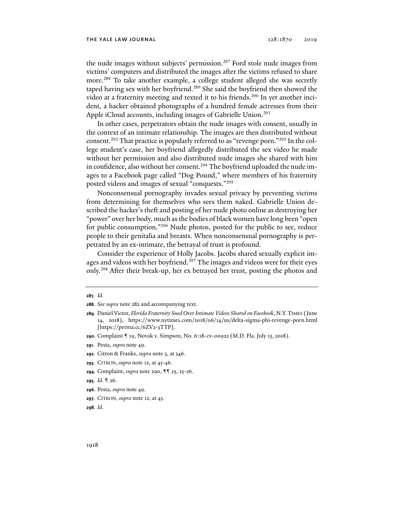#### the yale law journal 128:1870 2019

the nude images without subjects' permission.<sup>287</sup> Ford stole nude images from victims' computers and distributed the images after the victims refused to share more.288 To take another example, a college student alleged she was secretly taped having sex with her boyfriend.<sup>289</sup> She said the boyfriend then showed the video at a fraternity meeting and texted it to his friends.<sup>290</sup> In yet another incident, a hacker obtained photographs of a hundred female actresses from their Apple iCloud accounts, including images of Gabrielle Union.<sup>291</sup>

In other cases, perpetrators obtain the nude images with consent, usually in the context of an intimate relationship. The images are then distributed without consent.292 That practice is popularly referred to as "revenge porn."293 In the college student's case, her boyfriend allegedly distributed the sex video he made without her permission and also distributed nude images she shared with him in confidence, also without her consent.<sup>294</sup> The boyfriend uploaded the nude images to a Facebook page called "Dog Pound," where members of his fraternity posted videos and images of sexual "conquests."295

Nonconsensual pornography invades sexual privacy by preventing victims from determining for themselves who sees them naked. Gabrielle Union described the hacker's theft and posting of her nude photo online as destroying her "power" over her body, much as the bodies of black women have long been "open for public consumption."296 Nude photos, posted for the public to see, reduce people to their genitalia and breasts. When nonconsensual pornography is perpetrated by an ex-intimate, the betrayal of trust is profound.

Consider the experience of Holly Jacobs. Jacobs shared sexually explicit images and videos with her boyfriend.<sup>297</sup> The images and videos were for their eyes only.298 After their break-up, her ex betrayed her trust, posting the photos and

- **292**. Citron & Franks, *supra* note 3, at 346.
- **293**. CITRON, *supra* note 12, at 45-46.
- **294**. Complaint, *supra* note 290, ¶¶ 23, 25-26.
- **295***. Id.* ¶ 26.
- **296**. Pesta, *supra* note 49.
- **297**. CITRON, *supra* note 12, at 45.
- **298***. Id*.

**<sup>287</sup>***. Id.* 

**<sup>288</sup>***. See supra* note 282 and accompanying text.

**<sup>289</sup>**. Daniel Victor, *Florida Fraternity Sued Over Intimate Videos Shared on Facebook*, N.Y.TIMES (June 14, 2018), https://www.nytimes.com/2018/06/14/us/delta-sigma-phi-revenge-porn.html [https://perma.cc/6ZV2-3TTP].

**<sup>290</sup>**. Complaint ¶ 19, Novak v. Simpson, No. 6:18-cv-00922 (M.D. Fla. July 13, 2018).

**<sup>291</sup>**. Pesta, *supra* note 49.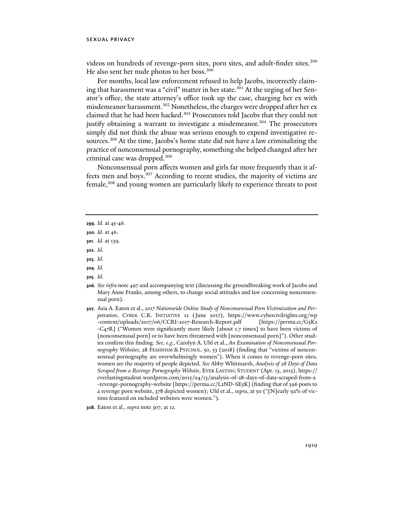videos on hundreds of revenge-porn sites, porn sites, and adult-finder sites.<sup>299</sup> He also sent her nude photos to her boss.<sup>300</sup>

For months, local law enforcement refused to help Jacobs, incorrectly claiming that harassment was a "civil" matter in her state.<sup>301</sup> At the urging of her Senator's office, the state attorney's office took up the case, charging her ex with misdemeanor harassment.<sup>302</sup> Nonetheless, the charges were dropped after her ex claimed that he had been hacked.<sup>303</sup> Prosecutors told Jacobs that they could not justify obtaining a warrant to investigate a misdemeanor.<sup>304</sup> The prosecutors simply did not think the abuse was serious enough to expend investigative resources.<sup>305</sup> At the time, Jacobs's home state did not have a law criminalizing the practice of nonconsensual pornography, something she helped changed after her criminal case was dropped.306

Nonconsensual porn affects women and girls far more frequently than it affects men and boys.307 According to recent studies, the majority of victims are female,<sup>308</sup> and young women are particularly likely to experience threats to post

**302***. Id.* 

- **304***. Id.*
- **305***. Id.*
- **306***. See infra* note 497 and accompanying text (discussing the groundbreaking work of Jacobs and Mary Anne Franks, among others, to change social attitudes and law concerning nonconsensual porn).
- **307**. Asia A. Eaton et al., *2017 Nationwide Online Study of Nonconsensual Porn Victimization and Perpetration*, CYBER C.R. INITIATIVE 12 (June 2017), https://www.cybercivilrights.org/wp -content/uploads/2017/06/CCRI-2017-Research-Report.pdf [https://perma.cc/G3K2 -C47R] ("Women were significantly more likely [about 1.7 times] to have been victims of [nonconsensual porn] or to have been threatened with [nonconsensual porn]"). Other studies confirm this finding. *See, e.g.*, Carolyn A. Uhl et al., *An Examination of Nonconsensual Pornography Websites*, 28 FEMINISM & PSYCHOL. 50, 53 (2018) (finding that "victims of nonconsensual pornography are overwhelmingly women"). When it comes to revenge-porn sites, women are the majority of people depicted. *See* Abby Whitmarsh, *Analysis of 28 Days of Data Scraped from a Revenge Pornography Website*, EVER LASTING STUDENT (Apr. 13, 2015), https:// everlastingstudent.wordpress.com/2015/04/13/analysis-of-28-days-of-data-scraped-from-a -revenge-pornography-website [https://perma.cc/L2ND-SE5K] (finding that of 396 posts to a revenge porn website, 378 depicted women); Uhl et al., *supra*, at 50 ("[N]early 92% of victims featured on included websites were women.").
- **308**. Eaton et al., *supra* note 307, at 12.

**<sup>299</sup>***. Id.* at 45-46.

**<sup>300</sup>***. Id.* at 46.

**<sup>301</sup>**. *Id.* at 139.

**<sup>303</sup>***. Id.*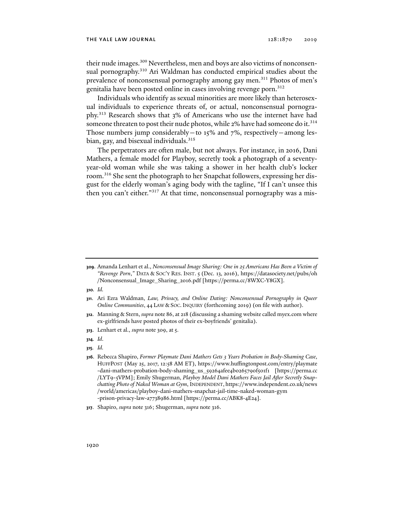their nude images.<sup>309</sup> Nevertheless, men and boys are also victims of nonconsensual pornography.<sup>310</sup> Ari Waldman has conducted empirical studies about the prevalence of nonconsensual pornography among gay men.<sup>311</sup> Photos of men's genitalia have been posted online in cases involving revenge porn.312

Individuals who identify as sexual minorities are more likely than heterosexual individuals to experience threats of, or actual, nonconsensual pornography.313 Research shows that 3% of Americans who use the internet have had someone threaten to post their nude photos, while 2% have had someone do it.<sup>314</sup> Those numbers jump considerably—to 15% and  $7\%$ , respectively—among lesbian, gay, and bisexual individuals.<sup>315</sup>

The perpetrators are often male, but not always. For instance, in 2016, Dani Mathers, a female model for Playboy, secretly took a photograph of a seventyyear-old woman while she was taking a shower in her health club's locker room.316 She sent the photograph to her Snapchat followers, expressing her disgust for the elderly woman's aging body with the tagline, "If I can't unsee this then you can't either."317 At that time, nonconsensual pornography was a mis-

**310***. Id.* 

- **311**. Ari Ezra Waldman, *Law, Privacy, and Online Dating: Nonconsensual Pornography in Queer Online Communities*, 44 LAW & SOC. INQUIRY (forthcoming 2019) (on file with author).
- **312**. Manning & Stern, *supra* note 86, at 218 (discussing a shaming website called myex.com where ex-girlfriends have posted photos of their ex-boyfriends' genitalia).
- **313**. Lenhart et al., *supra* note 309, at 5.
- **314***. Id*.
- **315***. Id.*

**<sup>309</sup>**. Amanda Lenhart et al., *Nonconsensual Image Sharing: One in 25 Americans Has Been a Victim of "Revenge Porn*,*"* DATA & SOC'Y RES. INST. 5 (Dec. 13, 2016), https://datasociety.net/pubs/oh /Nonconsensual\_Image\_Sharing\_2016.pdf [https://perma.cc/8WXC-Y8GX].

**<sup>316</sup>**. Rebecca Shapiro, *Former Playmate Dani Mathers Gets 3 Years Probation in Body-Shaming Case*, HUFFPOST (May 25, 2017, 12:58 AM ET), https://www.huffingtonpost.com/entry/playmate -dani-mathers-probation-body-shaming\_us\_59264afee4b0265790f501f1 [https://perma.cc /LYT9-5VPM]; Emily Shugerman, *Playboy Model Dani Mathers Faces Jail After Secretly Snapchatting Photo of Naked Woman at Gym*, INDEPENDENT, https://www.independent.co.uk/news /world/americas/playboy-dani-mathers-snapchat-jail-time-naked-woman-gym -prison-privacy-law-a7738986.html [https://perma.cc/ABK8-4E24].

**<sup>317</sup>**. Shapiro, *supra* note 316; Shugerman, *supra* note 316.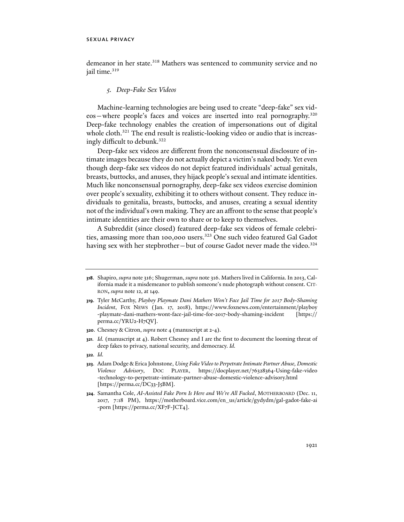demeanor in her state.<sup>318</sup> Mathers was sentenced to community service and no jail time.<sup>319</sup>

### *5. Deep-Fake Sex Videos*

Machine-learning technologies are being used to create "deep-fake" sex videos—where people's faces and voices are inserted into real pornography.320 Deep-fake technology enables the creation of impersonations out of digital whole cloth.<sup>321</sup> The end result is realistic-looking video or audio that is increasingly difficult to debunk.<sup>322</sup>

Deep-fake sex videos are different from the nonconsensual disclosure of intimate images because they do not actually depict a victim's naked body. Yet even though deep-fake sex videos do not depict featured individuals' actual genitals, breasts, buttocks, and anuses, they hijack people's sexual and intimate identities. Much like nonconsensual pornography, deep-fake sex videos exercise dominion over people's sexuality, exhibiting it to others without consent. They reduce individuals to genitalia, breasts, buttocks, and anuses, creating a sexual identity not of the individual's own making. They are an affront to the sense that people's intimate identities are their own to share or to keep to themselves.

A Subreddit (since closed) featured deep-fake sex videos of female celebrities, amassing more than 100,000 users.<sup>323</sup> One such video featured Gal Gadot having sex with her stepbrother—but of course Gadot never made the video.<sup>324</sup>

**<sup>318</sup>**. Shapiro, *supra* note 316; Shugerman, *supra* note 316. Mathers lived in California. In 2013, California made it a misdemeanor to publish someone's nude photograph without consent. CIT-RON**,** *supra* note 12, at 149.

**<sup>319</sup>**. Tyler McCarthy, *Playboy Playmate Dani Mathers Won't Face Jail Time for 2017 Body-Shaming Incident*, FOX NEWS (Jan. 17, 2018), https://www.foxnews.com/entertainment/playboy -playmate-dani-mathers-wont-face-jail-time-for-2017-body-shaming-incident [https:// perma.cc/YRU2-H7QV].

**<sup>320</sup>**. Chesney & Citron, *supra* note 4 (manuscript at 2-4).

**<sup>321</sup>***. Id.* (manuscript at 4). Robert Chesney and I are the first to document the looming threat of deep fakes to privacy, national security, and democracy. *Id.*

**<sup>322</sup>***. Id.*

**<sup>323</sup>**. Adam Dodge & Erica Johnstone, *Using Fake Video to Perpetrate Intimate Partner Abuse, Domestic Violence Advisory*, DOC PLAYER, https://docplayer.net/76328364-Using-fake-video -technology-to-perpetrate-intimate-partner-abuse-domestic-violence-advisory.html [https://perma.cc/DC33-J5BM].

**<sup>324</sup>**. Samantha Cole, *AI-Assisted Fake Porn Is Here and We're All Fucked*, MOTHERBOARD (Dec. 11, 2017, 7:18 PM), https://motherboard.vice.com/en\_us/article/gydydm/gal-gadot-fake-ai -porn [https://perma.cc/XF7F-JCT4].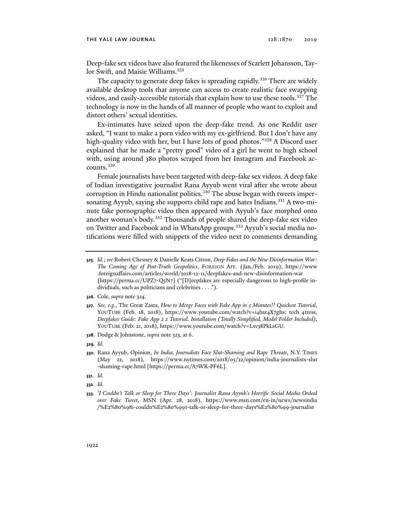#### the yale law journal 128:1870 2019

Deep-fake sex videos have also featured the likenesses of Scarlett Johansson, Taylor Swift, and Maisie Williams.<sup>325</sup>

The capacity to generate deep fakes is spreading rapidly.<sup>326</sup> There are widely available desktop tools that anyone can access to create realistic face swapping videos, and easily-accessible tutorials that explain how to use these tools.<sup>327</sup> The technology is now in the hands of all manner of people who want to exploit and distort others' sexual identities.

Ex-intimates have seized upon the deep-fake trend. As one Reddit user asked, "I want to make a porn video with my ex-girlfriend. But I don't have any high-quality video with her, but I have lots of good photos."<sup>328</sup> A Discord user explained that he made a "pretty good" video of a girl he went to high school with, using around 380 photos scraped from her Instagram and Facebook accounts.329

Female journalists have been targeted with deep-fake sex videos. A deep fake of Indian investigative journalist Rana Ayyub went viral after she wrote about corruption in Hindu nationalist politics.<sup>330</sup> The abuse began with tweets impersonating Ayyub, saying she supports child rape and hates Indians.<sup>331</sup> A two-minute fake pornographic video then appeared with Ayyub's face morphed onto another woman's body.<sup>332</sup> Thousands of people shared the deep-fake sex video on Twitter and Facebook and in WhatsApp groups.<sup>333</sup> Ayyub's social media notifications were filled with snippets of the video next to comments demanding

- **327***. See, e.g.*, The Great Zasta, *How to Merge Faces with Fake App in 5 Minutes!! Quickest Tutorial*, YOUTUBE (Feb. 18, 2018), https://www.youtube.com/watch?v=i4bar4X7ghs; tech 4tress, *Deepfakes Guide: Fake App 2 2 Tutorial. Installation (Totally Simplified, Model Folder Included)*, YOUTUBE (Feb. 21, 2018), https://www.youtube.com/watch?v=Lsv38PkLsGU.
- **328**. Dodge & Johnstone, *supra* note 323, at 6.

- **330**. Rana Ayyub, Opinion, *In India, Journalists Face Slut-Shaming and Rape Threats*, N.Y. TIMES (May 22, 2018), https://www.nytimes.com/2018/05/22/opinion/india-journalists-slut -shaming-rape.html [https://perma.cc/A7WR-PF6L].
- **331***. Id.*
- **332***. Id.*
- **333***. 'I Couldn't Talk or Sleep for Three Days': Journalist Rana Ayyub's Horrific Social Media Ordeal over Fake Tweet*, MSN (Apr. 28, 2018), https://www.msn.com/en-in/news/newsindia /%E2%80%98i-couldn%E2%80%99t-talk-or-sleep-for-three-days%E2%80%99-journalist

**<sup>325</sup>***. Id.*; *see* Robert Chesney & Danielle Keats Citron, *Deep Fakes and the New Disinformation War: The Coming Age of Post-Truth Geopolitics*, FOREIGN AFF. (Jan./Feb. 2019), https://www .foreignaffairs.com/articles/world/2018-12-11/deepfakes-and-new-disinformation-war [https://perma.cc/UPZ7-Q5N7] ("[D]eepfakes are especially dangerous to high-profile individuals, such as politicians and celebrities . . . .").

**<sup>326</sup>**. Cole, *supra* note 324.

**<sup>329</sup>***. Id.*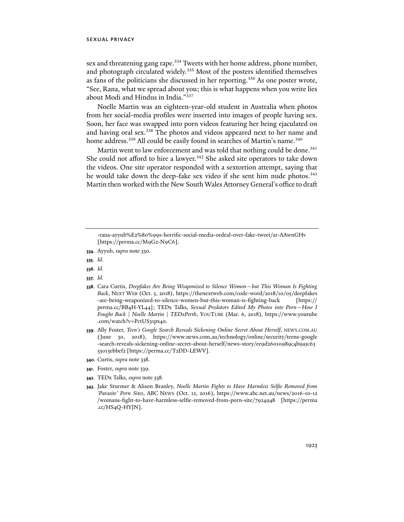sex and threatening gang rape.<sup>334</sup> Tweets with her home address, phone number, and photograph circulated widely.<sup>335</sup> Most of the posters identified themselves as fans of the politicians she discussed in her reporting.336 As one poster wrote, "See, Rana, what we spread about you; this is what happens when you write lies about Modi and Hindus in India."337

Noelle Martin was an eighteen-year-old student in Australia when photos from her social-media profiles were inserted into images of people having sex. Soon, her face was swapped into porn videos featuring her being ejaculated on and having oral sex.<sup>338</sup> The photos and videos appeared next to her name and home address.<sup>339</sup> All could be easily found in searches of Martin's name.<sup>340</sup>

Martin went to law enforcement and was told that nothing could be done.<sup>341</sup> She could not afford to hire a lawyer.<sup>342</sup> She asked site operators to take down the videos. One site operator responded with a sextortion attempt, saying that he would take down the deep-fake sex video if she sent him nude photos.<sup>343</sup> Martin then worked with the New South Wales Attorney General's office to draft

**335***. Id.*

**336***. Id.*

- **340**. Curtis, *supra* note 338.
- **341**. Foster, *supra* note 339.
- **342**. TEDx Talks, *supra* note 338.
- **343**. Jake Sturmer & Alison Branley, *Noelle Martin Fights to Have Harmless Selfie Removed from 'Parasite' Porn Sites*, ABC NEWS (Oct. 12, 2016), https://www.abc.net.au/news/2016-10-12 /womans-fight-to-have-harmless-selfie-removed-from-porn-site/7924948 [https://perma .cc/HS4Q-HYJN].

<sup>-</sup>rana-ayyub%E2%80%99s-horrific-social-media-ordeal-over-fake-tweet/ar-AAwnGHv [https://perma.cc/M9G2-N9C6].

**<sup>334</sup>**. Ayyub, *supra* note 330.

**<sup>337</sup>***. Id.*

**<sup>338</sup>**. Cara Curtis, *Deepfakes Are Being Weaponized to Silence Women—but This Woman Is Fighting Back*, NEXT WEB (Oct. 5, 2018), https://thenextweb.com/code-word/2018/10/05/deepfakes -are-being-weaponized-to-silence-women-but-this-woman-is-fighting-back [https:// perma.cc/BB4H-YL44]; TEDx Talks, *Sexual Predators Edited My Photos into Porn—How I Fought Back | Noelle Martin | TEDxPerth*, YOUTUBE (Mar. 6, 2018), https://www.youtube .com/watch?v=PctUS31px40.

**<sup>339</sup>**. Ally Foster, *Teen's Google Search Reveals Sickening Online Secret About Herself*, NEWS.COM.AU (June 30, 2018), https://www.news.com.au/technology/online/security/teens-google -search-reveals-sickening-online-secret-about-herself/news-story/ee9d26010989c4b9a5c63 33013ebbef2 [https://perma.cc/T2DD-LEWV].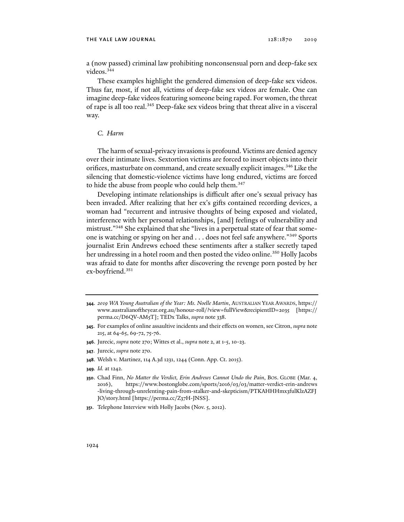a (now passed) criminal law prohibiting nonconsensual porn and deep-fake sex videos.<sup>344</sup>

These examples highlight the gendered dimension of deep-fake sex videos. Thus far, most, if not all, victims of deep-fake sex videos are female. One can imagine deep-fake videos featuring someone being raped. For women, the threat of rape is all too real.<sup>345</sup> Deep-fake sex videos bring that threat alive in a visceral way.

### *C. Harm*

The harm of sexual-privacy invasions is profound. Victims are denied agency over their intimate lives. Sextortion victims are forced to insert objects into their orifices, masturbate on command, and create sexually explicit images.346 Like the silencing that domestic-violence victims have long endured, victims are forced to hide the abuse from people who could help them.<sup>347</sup>

Developing intimate relationships is difficult after one's sexual privacy has been invaded. After realizing that her ex's gifts contained recording devices, a woman had "recurrent and intrusive thoughts of being exposed and violated, interference with her personal relationships, [and] feelings of vulnerability and mistrust."348 She explained that she "lives in a perpetual state of fear that someone is watching or spying on her and . . . does not feel safe anywhere."349 Sports journalist Erin Andrews echoed these sentiments after a stalker secretly taped her undressing in a hotel room and then posted the video online.<sup>350</sup> Holly Jacobs was afraid to date for months after discovering the revenge porn posted by her ex-boyfriend.351

- **347**. Jurecic, *supra* note 270.
- **348**. Welsh v. Martinez, 114 A.3d 1231, 1244 (Conn. App. Ct. 2015).
- **349***. Id.* at 1242.

**<sup>344</sup>**. *2019 WA Young Australian of the Year: Ms. Noelle Martin*, AUSTRALIAN YEAR AWARDS, https:// www.australianoftheyear.org.au/honour-roll/?view=fullView&recipientID=2035 [https:// perma.cc/D6QV-AM5T]; TEDx Talks, *supra* note 338.

**<sup>345</sup>**. For examples of online assaultive incidents and their effects on women, see Citron, *supra* note 215, at 64-65, 69-72, 75-76.

**<sup>346</sup>**. Jurecic, *supra* note 270; Wittes et al., *supra* note 2, at 1-5, 10-23.

**<sup>350</sup>**. Chad Finn, *No Matter the Verdict, Erin Andrews Cannot Undo the Pain*, BOS. GLOBE (Mar. 4, 2016), https://www.bostonglobe.com/sports/2016/03/03/matter-verdict-erin-andrews -living-through-unrelenting-pain-from-stalker-and-skepticism/PTKAHHHmx3fulKlzAZFJ JO/story.html [https://perma.cc/Z37H-JNSS].

**<sup>351</sup>**. Telephone Interview with Holly Jacobs (Nov. 5, 2012).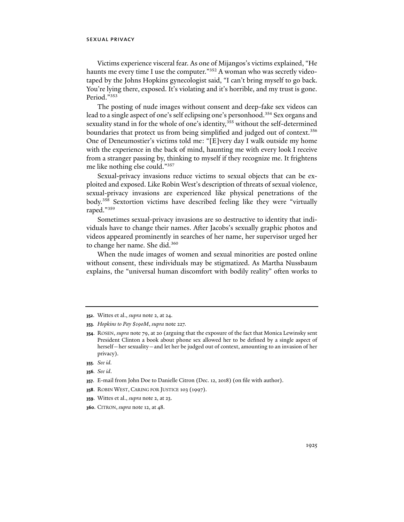Victims experience visceral fear. As one of Mijangos's victims explained, "He haunts me every time I use the computer."<sup>352</sup> A woman who was secretly videotaped by the Johns Hopkins gynecologist said, "I can't bring myself to go back. You're lying there, exposed. It's violating and it's horrible, and my trust is gone. Period."353

The posting of nude images without consent and deep-fake sex videos can lead to a single aspect of one's self eclipsing one's personhood.<sup>354</sup> Sex organs and sexuality stand in for the whole of one's identity,<sup>355</sup> without the self-determined boundaries that protect us from being simplified and judged out of context.<sup>356</sup> One of Deneumostier's victims told me: "[E]very day I walk outside my home with the experience in the back of mind, haunting me with every look I receive from a stranger passing by, thinking to myself if they recognize me. It frightens me like nothing else could."357

Sexual-privacy invasions reduce victims to sexual objects that can be exploited and exposed. Like Robin West's description of threats of sexual violence, sexual-privacy invasions are experienced like physical penetrations of the body.358 Sextortion victims have described feeling like they were "virtually raped."359

Sometimes sexual-privacy invasions are so destructive to identity that individuals have to change their names. After Jacobs's sexually graphic photos and videos appeared prominently in searches of her name, her supervisor urged her to change her name. She did.<sup>360</sup>

When the nude images of women and sexual minorities are posted online without consent, these individuals may be stigmatized. As Martha Nussbaum explains, the "universal human discomfort with bodily reality" often works to

- **355***. See id.*
- **356***. See id*.
- **357**. E-mail from John Doe to Danielle Citron (Dec. 12, 2018) (on file with author).
- **358**. ROBIN WEST, CARING FOR JUSTICE 103 (1997).
- **359**. Wittes et al., *supra* note 2, at 23.
- **360**. CITRON, *supra* note 12, at 48.

**<sup>352</sup>**. Wittes et al., *supra* note 2, at 24.

**<sup>353</sup>***. Hopkins to Pay \$190M*, *supra* note 227.

**<sup>354</sup>**. ROSEN, *supra* note 79, at 20 (arguing that the exposure of the fact that Monica Lewinsky sent President Clinton a book about phone sex allowed her to be defined by a single aspect of herself—her sexuality—and let her be judged out of context, amounting to an invasion of her privacy).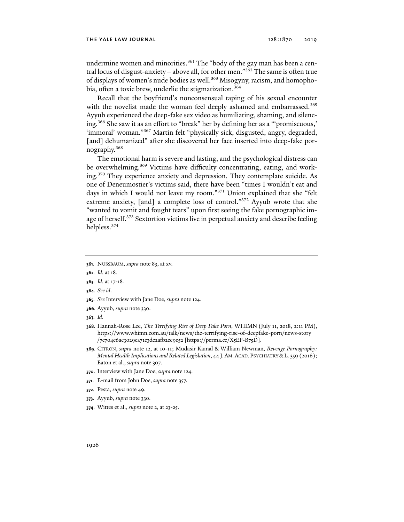undermine women and minorities.<sup>361</sup> The "body of the gay man has been a central locus of disgust-anxiety—above all, for other men." $362$  The same is often true of displays of women's nude bodies as well.<sup>363</sup> Misogyny, racism, and homophobia, often a toxic brew, underlie the stigmatization.<sup>364</sup>

Recall that the boyfriend's nonconsensual taping of his sexual encounter with the novelist made the woman feel deeply ashamed and embarrassed.<sup>365</sup> Ayyub experienced the deep-fake sex video as humiliating, shaming, and silencing.366 She saw it as an effort to "break" her by defining her as a "'promiscuous,' 'immoral' woman."<sup>367</sup> Martin felt "physically sick, disgusted, angry, degraded, [and] dehumanized" after she discovered her face inserted into deep-fake pornography.368

The emotional harm is severe and lasting, and the psychological distress can be overwhelming.<sup>369</sup> Victims have difficulty concentrating, eating, and working.370 They experience anxiety and depression. They contemplate suicide. As one of Deneumostier's victims said, there have been "times I wouldn't eat and days in which I would not leave my room."371 Union explained that she "felt extreme anxiety, [and] a complete loss of control."<sup>372</sup> Ayyub wrote that she "wanted to vomit and fought tears" upon first seeing the fake pornographic image of herself.<sup>373</sup> Sextortion victims live in perpetual anxiety and describe feeling helpless.374

- **361**. NUSSBAUM, *supra* note 83, at xv.
- **362***. Id.* at 18*.*
- **363***. Id.* at 17-18*.*
- **364***. See id*.
- **365***. See* Interview with Jane Doe, *supra* note 124.
- **366**. Ayyub, *supra* note 330.
- **367***. Id*.
- **368**. Hannah-Rose Lee, *The Terrifying Rise of Deep Fake Porn*, WHIMN (July 11, 2018, 2:11 PM), https://www.whimn.com.au/talk/news/the-terrifying-rise-of-deepfake-porn/news-story /7c704c6ae3029ca71c3de2afb2ee9e52 [https://perma.cc/X5EF-B75D].
- **369**. CITRON, *supra* note 12, at 10-11; Mudasir Kamal & William Newman, *Revenge Pornography: Mental Health Implications and Related Legislation*, 44 J.AM.ACAD. PSYCHIATRY &L. 359 (2016); Eaton et al., *supra* note 307.
- **370**. Interview with Jane Doe, *supra* note 124.
- **371**. E-mail from John Doe, *supra* note 357.
- **372**. Pesta, *supra* note 49.
- **373**. Ayyub, *supra* note 330.
- **374**. Wittes et al., *supra* note 2, at 23-25.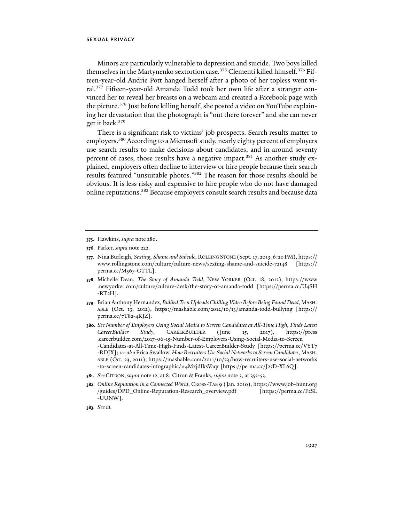Minors are particularly vulnerable to depression and suicide. Two boys killed themselves in the Martynenko sextortion case.<sup>375</sup> Clementi killed himself.<sup>376</sup> Fifteen-year-old Audrie Pott hanged herself after a photo of her topless went viral.377 Fifteen-year-old Amanda Todd took her own life after a stranger convinced her to reveal her breasts on a webcam and created a Facebook page with the picture.378 Just before killing herself, she posted a video on YouTube explaining her devastation that the photograph is "out there forever" and she can never get it back.379

There is a significant risk to victims' job prospects. Search results matter to employers.<sup>380</sup> According to a Microsoft study, nearly eighty percent of employers use search results to make decisions about candidates, and in around seventy percent of cases, those results have a negative impact.<sup>381</sup> As another study explained, employers often decline to interview or hire people because their search results featured "unsuitable photos."382 The reason for those results should be obvious. It is less risky and expensive to hire people who do not have damaged online reputations.<sup>383</sup> Because employers consult search results and because data

- **381**. *See* CITRON, *supra* note 12, at 8; Citron & Franks, *supra* note 3, at 352-53.
- **382***. Online Reputation in a Connected World*, CROSS-TAB 9 (Jan. 2010), https://www.job-hunt.org /guides/DPD\_Online-Reputation-Research\_overview.pdf [https://perma.cc/F2SL -UUNW].

**<sup>375</sup>**. Hawkins, *supra* note 280.

**<sup>376</sup>**. Parker, *supra* note 222.

**<sup>377</sup>**. Nina Burleigh, *Sexting, Shame and Suicide*, ROLLING STONE (Sept. 17, 2013, 6:20 PM), https:// www.rollingstone.com/culture/culture-news/sexting-shame-and-suicide-72148 [https:// perma.cc/M567-GTTL].

**<sup>378</sup>**. Michelle Dean, *The Story of Amanda Todd*, NEW YORKER (Oct. 18, 2012), https://www .newyorker.com/culture/culture-desk/the-story-of-amanda-todd [https://perma.cc/U4SH -RT2H].

**<sup>379</sup>**. Brian Anthony Hernandez, *Bullied Teen Uploads Chilling Video Before Being Found Dead*, MASH-ABLE (Oct. 13, 2012), https://mashable.com/2012/10/13/amanda-todd-bullying [https:// perma.cc/7T82-4KJZ].

**<sup>380</sup>***. See Number of Employers Using Social Media to Screen Candidates at All-Time High, Finds Latest CareerBuilder Study*, CAREERBUILDER (June 15, 2017), https://press .careerbuilder.com/2017-06-15-Number-of-Employers-Using-Social-Media-to-Screen -Candidates-at-All-Time-High-Finds-Latest-CareerBuilder-Study [https://perma.cc/VYT7 -RDJX]; *see also* Erica Swallow, *How Recruiters Use Social Networks to Screen Candidates*, MASH-ABLE (Oct. 23, 2011), https://mashable.com/2011/10/23/how-recruiters-use-social-networks -to-screen-candidates-infographic/#4MxjdIksVaqr [https://perma.cc/J25D-XL6Q].

**<sup>383</sup>***. See id.*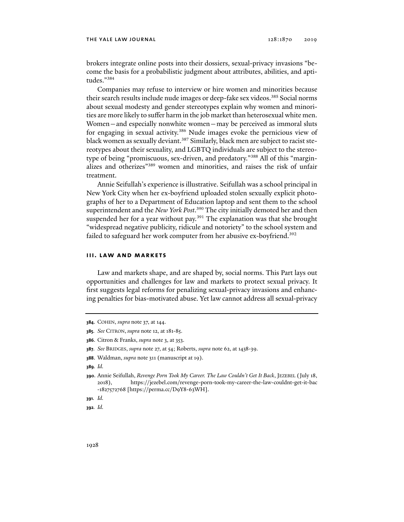brokers integrate online posts into their dossiers, sexual-privacy invasions "become the basis for a probabilistic judgment about attributes, abilities, and aptitudes."384

Companies may refuse to interview or hire women and minorities because their search results include nude images or deep-fake sex videos.<sup>385</sup> Social norms about sexual modesty and gender stereotypes explain why women and minorities are more likely to suffer harm in the job market than heterosexual white men. Women—and especially nonwhite women—may be perceived as immoral sluts for engaging in sexual activity.<sup>386</sup> Nude images evoke the pernicious view of black women as sexually deviant.<sup>387</sup> Similarly, black men are subject to racist stereotypes about their sexuality, and LGBTQ individuals are subject to the stereotype of being "promiscuous, sex-driven, and predatory."388 All of this "marginalizes and otherizes"389 women and minorities, and raises the risk of unfair treatment.

Annie Seifullah's experience is illustrative. Seifullah was a school principal in New York City when her ex-boyfriend uploaded stolen sexually explicit photographs of her to a Department of Education laptop and sent them to the school superintendent and the *New York Post*. 390 The city initially demoted her and then suspended her for a year without pay.<sup>391</sup> The explanation was that she brought "widespread negative publicity, ridicule and notoriety" to the school system and failed to safeguard her work computer from her abusive ex-boyfriend.<sup>392</sup>

#### **iii. law and markets**

Law and markets shape, and are shaped by, social norms. This Part lays out opportunities and challenges for law and markets to protect sexual privacy. It first suggests legal reforms for penalizing sexual-privacy invasions and enhancing penalties for bias-motivated abuse. Yet law cannot address all sexual-privacy

**392***. Id.* 

**<sup>384</sup>**. COHEN, *supra* note 37, at 144.

**<sup>385</sup>***. See* CITRON, *supra* note 12, at 181-85.

**<sup>386</sup>**. Citron & Franks, *supra* note 3, at 353.

**<sup>387</sup>***. See* BRIDGES, *supra* note 27, at 54; Roberts, *supra* note 62, at 1438-39.

**<sup>388</sup>**. Waldman, *supra* note 311 (manuscript at 19).

**<sup>389</sup>***. Id.*

**<sup>390</sup>**. Annie Seifullah, *Revenge Porn Took My Career. The Law Couldn't Get It Back*, JEZEBEL (July 18, 2018), https://jezebel.com/revenge-porn-took-my-career-the-law-couldnt-get-it-bac -1827572768 [https://perma.cc/D9Y8-63WH].

**<sup>391</sup>***. Id.*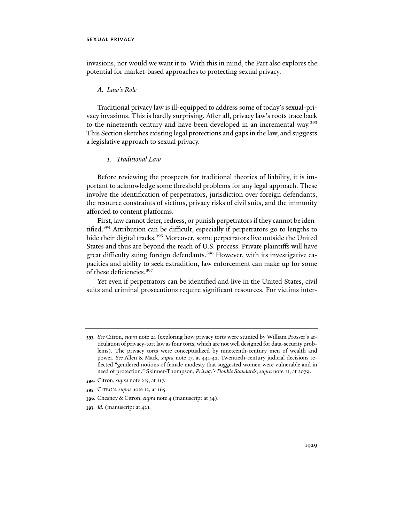invasions, nor would we want it to. With this in mind, the Part also explores the potential for market-based approaches to protecting sexual privacy.

### *A. Law's Role*

Traditional privacy law is ill-equipped to address some of today's sexual-privacy invasions. This is hardly surprising. After all, privacy law's roots trace back to the nineteenth century and have been developed in an incremental way.<sup>393</sup> This Section sketches existing legal protections and gaps in the law, and suggests a legislative approach to sexual privacy.

## *1. Traditional Law*

Before reviewing the prospects for traditional theories of liability, it is important to acknowledge some threshold problems for any legal approach. These involve the identification of perpetrators, jurisdiction over foreign defendants, the resource constraints of victims, privacy risks of civil suits, and the immunity afforded to content platforms.

First, law cannot deter, redress, or punish perpetrators if they cannot be identified.394 Attribution can be difficult, especially if perpetrators go to lengths to hide their digital tracks.<sup>395</sup> Moreover, some perpetrators live outside the United States and thus are beyond the reach of U.S. process. Private plaintiffs will have great difficulty suing foreign defendants.396 However, with its investigative capacities and ability to seek extradition, law enforcement can make up for some of these deficiencies.397

Yet even if perpetrators can be identified and live in the United States, civil suits and criminal prosecutions require significant resources. For victims inter-

- **394**. Citron, *supra* note 215, at 117.
- **395**. CITRON, *supra* note 12, at 165.
- **396**. Chesney & Citron, *supra* note 4 (manuscript at 34).
- **397***. Id.* (manuscript at 42)*.*

**<sup>393</sup>***. See* Citron, *supra* note 24 (exploring how privacy torts were stunted by William Prosser's articulation of privacy-tort law as four torts, which are not well designed for data-security problems). The privacy torts were conceptualized by nineteenth-century men of wealth and power. *See* Allen & Mack, *supra* note 17, at 441-42. Twentieth-century judicial decisions reflected "gendered notions of female modesty that suggested women were vulnerable and in need of protection." Skinner-Thompson, *Privacy's Double Standards*, *supra* note 11, at 2079.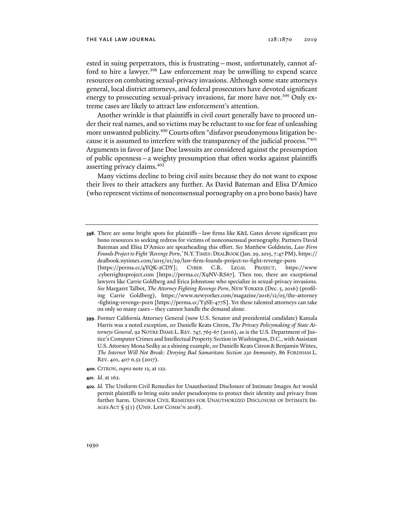ested in suing perpetrators, this is frustrating—most, unfortunately, cannot afford to hire a lawyer.<sup>398</sup> Law enforcement may be unwilling to expend scarce resources on combating sexual-privacy invasions. Although some state attorneys general, local district attorneys, and federal prosecutors have devoted significant energy to prosecuting sexual-privacy invasions, far more have not.<sup>399</sup> Only extreme cases are likely to attract law enforcement's attention.

Another wrinkle is that plaintiffs in civil court generally have to proceed under their real names, and so victims may be reluctant to sue for fear of unleashing more unwanted publicity.<sup>400</sup> Courts often "disfavor pseudonymous litigation because it is assumed to interfere with the transparency of the judicial process."<sup>401</sup> Arguments in favor of Jane Doe lawsuits are considered against the presumption of public openness—a weighty presumption that often works against plaintiffs asserting privacy claims.402

Many victims decline to bring civil suits because they do not want to expose their lives to their attackers any further. As David Bateman and Elisa D'Amico (who represent victims of nonconsensual pornography on a pro bono basis) have

- **399**. Former California Attorney General (now U.S. Senator and presidential candidate) Kamala Harris was a noted exception, *see* Danielle Keats Citron, *The Privacy Policymaking of State Attorneys General*, 92 NOTRE DAME L. REV. 747, 765-67 (2016), as is the U.S. Department of Justice's Computer Crimes and Intellectual Property Section in Washington, D.C., with Assistant U.S. Attorney Mona Sedky as a shining example, *see* Danielle Keats Citron & Benjamin Wittes, *The Internet Will Not Break: Denying Bad Samaritans Section 230 Immunity*, 86 FORDHAM L. REV. 401, 407 n.52 (2017).
- **400**. CITRON, *supra* note 12, at 122.
- **401***. Id*. at 162.
- **402***. Id.* The Uniform Civil Remedies for Unauthorized Disclosure of Intimate Images Act would permit plaintiffs to bring suits under pseudonyms to protect their identity and privacy from further harm. UNIFORM CIVIL REMEDIES FOR UNAUTHORIZED DISCLOSURE OF INTIMATE IM-AGES ACT  $\zeta$   $\zeta$ (1) (UNIF. LAW COMM'N 2018).

**<sup>398</sup>**. There are some bright spots for plaintiffs—law firms like K&L Gates devote significant pro bono resources to seeking redress for victims of nonconsensual pornography. Partners David Bateman and Elisa D'Amico are spearheading this effort. *See* Matthew Goldstein, *Law Firm Founds Project to Fight 'Revenge Porn*,*'* N.Y.TIMES:DEALBOOK (Jan. 29, 2015, 7:47 PM), https:// dealbook.nytimes.com/2015/01/29/law-firm-founds-project-to-fight-revenge-porn [https://perma.cc/4YQK-2CDY]; CYBER C.R. LEGAL PROJECT, https://www .cyberrightsproject.com [https://perma.cc/X9NV-RS67]. Then too, there are exceptional lawyers like Carrie Goldberg and Erica Johnstone who specialize in sexual-privacy invasions. *See* Margaret Talbot, *The Attorney Fighting Revenge Porn*, NEW YORKER (Dec. 5, 2016) (profiling Carrie Goldberg), https://www.newyorker.com/magazine/2016/12/05/the-attorney -fighting-revenge-porn [https://perma.cc/Y3SE-477S]. Yet these talented attorneys can take on only so many cases—they cannot handle the demand alone.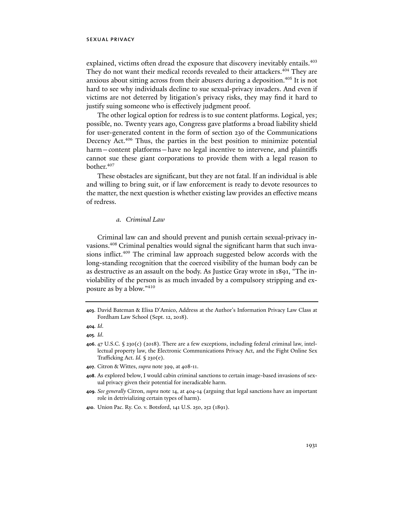explained, victims often dread the exposure that discovery inevitably entails.<sup>403</sup> They do not want their medical records revealed to their attackers.<sup>404</sup> They are anxious about sitting across from their abusers during a deposition.<sup>405</sup> It is not hard to see why individuals decline to sue sexual-privacy invaders. And even if victims are not deterred by litigation's privacy risks, they may find it hard to justify suing someone who is effectively judgment proof.

The other logical option for redress is to sue content platforms. Logical, yes; possible, no. Twenty years ago, Congress gave platforms a broad liability shield for user-generated content in the form of section 230 of the Communications Decency Act.<sup>406</sup> Thus, the parties in the best position to minimize potential harm—content platforms—have no legal incentive to intervene, and plaintiffs cannot sue these giant corporations to provide them with a legal reason to bother.<sup>407</sup>

These obstacles are significant, but they are not fatal. If an individual is able and willing to bring suit, or if law enforcement is ready to devote resources to the matter, the next question is whether existing law provides an effective means of redress.

### *a. Criminal Law*

Criminal law can and should prevent and punish certain sexual-privacy invasions.408 Criminal penalties would signal the significant harm that such invasions inflict.409 The criminal law approach suggested below accords with the long-standing recognition that the coerced visibility of the human body can be as destructive as an assault on the body. As Justice Gray wrote in 1891, "The inviolability of the person is as much invaded by a compulsory stripping and exposure as by a blow."410

**<sup>403</sup>**. David Bateman & Elisa D'Amico, Address at the Author's Information Privacy Law Class at Fordham Law School (Sept. 12, 2018).

**<sup>404</sup>***. Id*.

**<sup>405</sup>***. Id*.

**<sup>406</sup>**. 47 U.S.C. § 230(c) (2018). There are a few exceptions, including federal criminal law, intellectual property law, the Electronic Communications Privacy Act, and the Fight Online Sex Trafficking Act. *Id.* § 230(e).

**<sup>407</sup>**. Citron & Wittes, *supra* note 399, at 408-11.

**<sup>408</sup>**. As explored below, I would cabin criminal sanctions to certain image-based invasions of sexual privacy given their potential for ineradicable harm.

**<sup>409</sup>***. See generally* Citron, *supra* note 14, at 404-14 (arguing that legal sanctions have an important role in detrivializing certain types of harm).

**<sup>410</sup>**. Union Pac. Ry. Co. v. Botsford, 141 U.S. 250, 252 (1891).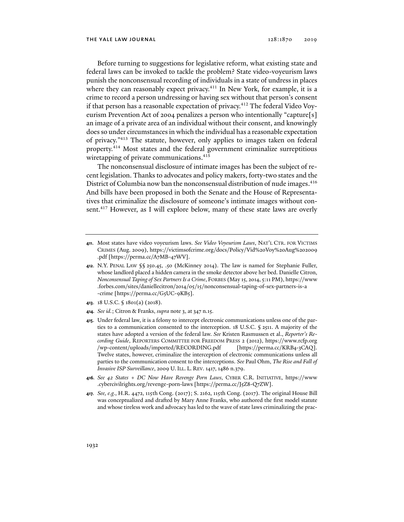Before turning to suggestions for legislative reform, what existing state and federal laws can be invoked to tackle the problem? State video-voyeurism laws punish the nonconsensual recording of individuals in a state of undress in places where they can reasonably expect privacy.<sup>411</sup> In New York, for example, it is a crime to record a person undressing or having sex without that person's consent if that person has a reasonable expectation of privacy.<sup>412</sup> The federal Video Voyeurism Prevention Act of 2004 penalizes a person who intentionally "capture[s] an image of a private area of an individual without their consent, and knowingly does so under circumstances in which the individual has a reasonable expectation of privacy."413 The statute, however, only applies to images taken on federal property.414 Most states and the federal government criminalize surreptitious wiretapping of private communications.<sup>415</sup>

The nonconsensual disclosure of intimate images has been the subject of recent legislation. Thanks to advocates and policy makers, forty-two states and the District of Columbia now ban the nonconsensual distribution of nude images.<sup>416</sup> And bills have been proposed in both the Senate and the House of Representatives that criminalize the disclosure of someone's intimate images without consent.<sup>417</sup> However, as I will explore below, many of these state laws are overly

- **413**. 18 U.S.C. § 1801(a) (2018).
- **414***. See id.*; Citron & Franks, *supra* note 3, at 347 n.15.
- **415**. Under federal law, it is a felony to intercept electronic communications unless one of the parties to a communication consented to the interception. 18 U.S.C. § 2511. A majority of the states have adopted a version of the federal law. *See* Kristen Rasmussen et al., *Reporter's Recording Guide*, REPORTERS COMMITTEE FOR FREEDOM PRESS 2 (2012), https://www.rcfp.org /wp-content/uploads/imported/RECORDING.pdf [https://perma.cc/KRB4-3CAQ]. Twelve states, however, criminalize the interception of electronic communications unless all parties to the communication consent to the interceptions. *See* Paul Ohm, *The Rise and Fall of Invasive ISP Surveillance*, 2009 U. ILL. L. REV. 1417, 1486 n.379.
- **416***. See 42 States + DC Now Have Revenge Porn Laws*, CYBER C.R. INITIATIVE, https://www .cybercivilrights.org/revenge-porn-laws [https://perma.cc/J5Z8-Q7ZW].
- **417***. See, e.g.*, H.R. 4472, 115th Cong. (2017); S. 2162, 115th Cong. (2017). The original House Bill was conceptualized and drafted by Mary Anne Franks, who authored the first model statute and whose tireless work and advocacy has led to the wave of state laws criminalizing the prac-

**<sup>411</sup>**. Most states have video voyeurism laws. *See Video Voyeurism Laws*, NAT'L CTR. FOR VICTIMS CRIMES (Aug. 2009), https://victimsofcrime.org/docs/Policy/Vid%20Voy%20Aug%202009 .pdf [https://perma.cc/A7MB-47WV].

**<sup>412</sup>**. N.Y. PENAL LAW §§ 250.45, .50 (McKinney 2014). The law is named for Stephanie Fuller, whose landlord placed a hidden camera in the smoke detector above her bed. Danielle Citron, *Nonconsensual Taping of Sex Partners Is a Crime*, FORBES (May 15, 2014, 5:11 PM), https://www .forbes.com/sites/daniellecitron/2014/05/15/nonconsensual-taping-of-sex-partners-is-a -crime [https://perma.cc/G5UC-9KB5].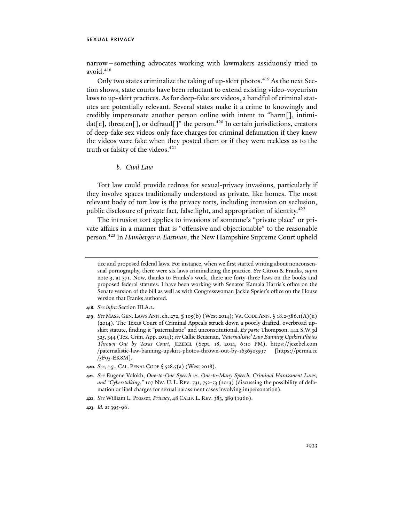narrow—something advocates working with lawmakers assiduously tried to avoid. $418$ 

Only two states criminalize the taking of up-skirt photos.<sup>419</sup> As the next Section shows, state courts have been reluctant to extend existing video-voyeurism laws to up-skirt practices. As for deep-fake sex videos, a handful of criminal statutes are potentially relevant. Several states make it a crime to knowingly and credibly impersonate another person online with intent to "harm[], intimidat[e], threaten[], or defraud[]" the person.<sup>420</sup> In certain jurisdictions, creators of deep-fake sex videos only face charges for criminal defamation if they knew the videos were fake when they posted them or if they were reckless as to the truth or falsity of the videos.<sup>421</sup>

### *b. Civil Law*

Tort law could provide redress for sexual-privacy invasions, particularly if they involve spaces traditionally understood as private, like homes. The most relevant body of tort law is the privacy torts, including intrusion on seclusion, public disclosure of private fact, false light, and appropriation of identity.422

The intrusion tort applies to invasions of someone's "private place" or private affairs in a manner that is "offensive and objectionable" to the reasonable person.423 In *Hamberger v. Eastman*, the New Hampshire Supreme Court upheld

- **420***. See, e.g.*, CAL. PENAL CODE § 528.5(a) (West 2018).
- **421***. See* Eugene Volokh, *One-to-One Speech vs. One-to-Many Speech, Criminal Harassment Laws, and "Cyberstalking*,*"* 107 NW. U. L. REV. 731, 752-53 (2013) (discussing the possibility of defamation or libel charges for sexual harassment cases involving impersonation).
- **422***. See* William L. Prosser, *Privacy*, 48 CALIF. L. REV. 383, 389 (1960).
- **423***. Id.* at 395-96.

tice and proposed federal laws. For instance, when we first started writing about nonconsensual pornography, there were six laws criminalizing the practice. *See* Citron & Franks, *supra* note 3, at 371. Now, thanks to Franks's work, there are forty-three laws on the books and proposed federal statutes. I have been working with Senator Kamala Harris's office on the Senate version of the bill as well as with Congresswoman Jackie Speier's office on the House version that Franks authored.

**<sup>418</sup>***. See infra* Section III.A.2.

**<sup>419</sup>**. *See* MASS. GEN. LAWS ANN.ch. 272, § 105(b) (West 2014); VA. CODE ANN. § 18.2-386.1(A)(ii) (2014). The Texas Court of Criminal Appeals struck down a poorly drafted, overbroad upskirt statute, finding it "paternalistic" and unconstitutional. *Ex parte* Thompson, 442 S.W.3d 325, 344 (Tex. Crim. App. 2014); *see* Callie Beusman, *'Paternalistic' Law Banning Upskirt Photos Thrown Out by Texas Court*, JEZEBEL (Sept. 18, 2014, 6:10 PM), https://jezebel.com /paternalistic-law-banning-upskirt-photos-thrown-out-by-1636505597 [https://perma.cc /5F95-EK8M].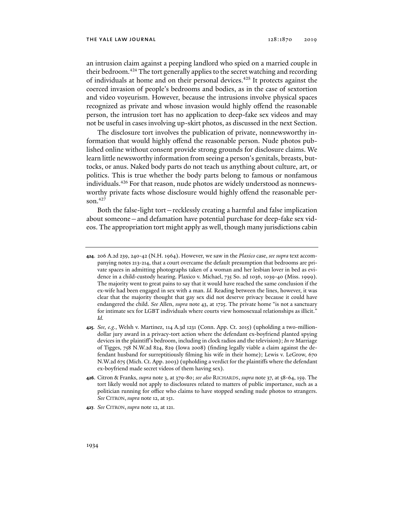an intrusion claim against a peeping landlord who spied on a married couple in their bedroom.<sup>424</sup> The tort generally applies to the secret watching and recording of individuals at home and on their personal devices.425 It protects against the coerced invasion of people's bedrooms and bodies, as in the case of sextortion and video voyeurism. However, because the intrusions involve physical spaces recognized as private and whose invasion would highly offend the reasonable person, the intrusion tort has no application to deep-fake sex videos and may not be useful in cases involving up-skirt photos, as discussed in the next Section.

The disclosure tort involves the publication of private, nonnewsworthy information that would highly offend the reasonable person. Nude photos published online without consent provide strong grounds for disclosure claims. We learn little newsworthy information from seeing a person's genitals, breasts, buttocks, or anus. Naked body parts do not teach us anything about culture, art, or politics. This is true whether the body parts belong to famous or nonfamous individuals.426 For that reason, nude photos are widely understood as nonnewsworthy private facts whose disclosure would highly offend the reasonable person. $427$ 

Both the false-light tort—recklessly creating a harmful and false implication about someone—and defamation have potential purchase for deep-fake sex videos. The appropriation tort might apply as well, though many jurisdictions cabin

**427***. See* CITRON, *supra* note 12, at 121.

**<sup>424</sup>**. 206 A.2d 239, 240-42 (N.H. 1964). However, we saw in the *Plaxico* case, *see supra* text accompanying notes 213-214, that a court overcame the default presumption that bedrooms are private spaces in admitting photographs taken of a woman and her lesbian lover in bed as evidence in a child-custody hearing. Plaxico v. Michael, 735 So. 2d 1036, 1039-40 (Miss. 1999). The majority went to great pains to say that it would have reached the same conclusion if the ex-wife had been engaged in sex with a man. *Id.* Reading between the lines, however, it was clear that the majority thought that gay sex did not deserve privacy because it could have endangered the child. *See* Allen, *supra* note 43, at 1725. The private home "is not a sanctuary for intimate sex for LGBT individuals where courts view homosexual relationships as illicit." *Id.*

**<sup>425</sup>***. See, e.g.*, Welsh v. Martinez, 114 A.3d 1231 (Conn. App. Ct. 2015) (upholding a two-milliondollar jury award in a privacy-tort action where the defendant ex-boyfriend planted spying devices in the plaintiff's bedroom, including in clock radios and the television); *In re* Marriage of Tigges, 758 N.W.2d 824, 829 (Iowa 2008) (finding legally viable a claim against the defendant husband for surreptitiously filming his wife in their home); Lewis v. LeGrow, 670 N.W.2d 675 (Mich. Ct. App. 2003) (upholding a verdict for the plaintiffs where the defendant ex-boyfriend made secret videos of them having sex).

**<sup>426</sup>**. Citron & Franks, *supra* note 3, at 379-80; *see also* RICHARDS, *supra* note 37, at 58-64, 159. The tort likely would not apply to disclosures related to matters of public importance, such as a politician running for office who claims to have stopped sending nude photos to strangers. *See* CITRON, *supra* note 12, at 151.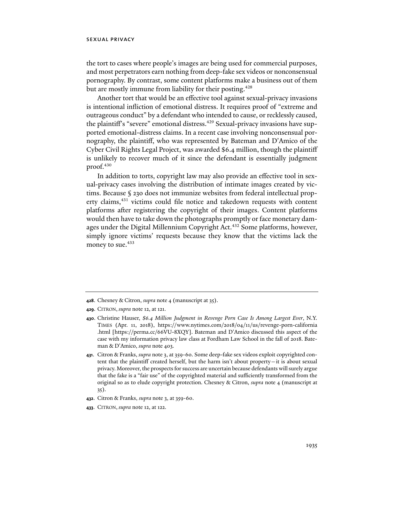the tort to cases where people's images are being used for commercial purposes, and most perpetrators earn nothing from deep-fake sex videos or nonconsensual pornography. By contrast, some content platforms make a business out of them but are mostly immune from liability for their posting.<sup>428</sup>

Another tort that would be an effective tool against sexual-privacy invasions is intentional infliction of emotional distress. It requires proof of "extreme and outrageous conduct" by a defendant who intended to cause, or recklessly caused, the plaintiff's "severe" emotional distress.<sup>429</sup> Sexual-privacy invasions have supported emotional-distress claims. In a recent case involving nonconsensual pornography, the plaintiff, who was represented by Bateman and D'Amico of the Cyber Civil Rights Legal Project, was awarded \$6.4 million, though the plaintiff is unlikely to recover much of it since the defendant is essentially judgment proof.<sup>430</sup>

In addition to torts, copyright law may also provide an effective tool in sexual-privacy cases involving the distribution of intimate images created by victims. Because § 230 does not immunize websites from federal intellectual property claims,<sup>431</sup> victims could file notice and takedown requests with content platforms after registering the copyright of their images. Content platforms would then have to take down the photographs promptly or face monetary damages under the Digital Millennium Copyright Act.<sup>432</sup> Some platforms, however, simply ignore victims' requests because they know that the victims lack the money to sue.<sup>433</sup>

- **429**. CITRON, *supra* note 12, at 121.
- **430**. Christine Hauser, *\$6.4 Million Judgment in Revenge Porn Case Is Among Largest Ever*, N.Y. TIMES (Apr. 11, 2018), https://www.nytimes.com/2018/04/11/us/revenge-porn-california .html [https://perma.cc/66VU-8XQY]. Bateman and D'Amico discussed this aspect of the case with my information privacy law class at Fordham Law School in the fall of 2018. Bateman & D'Amico, *supra* note 403.
- **431**. Citron & Franks, *supra* note 3, at 359-60. Some deep-fake sex videos exploit copyrighted content that the plaintiff created herself, but the harm isn't about property—it is about sexual privacy. Moreover, the prospects for success are uncertain because defendants will surely argue that the fake is a "fair use" of the copyrighted material and sufficiently transformed from the original so as to elude copyright protection. Chesney & Citron, *supra* note 4 (manuscript at 35).
- **432**. Citron & Franks, *supra* note 3, at 359-60.
- **433**. CITRON, *supra* note 12, at 122.

**<sup>428</sup>**. Chesney & Citron, *supra* note 4 (manuscript at 35).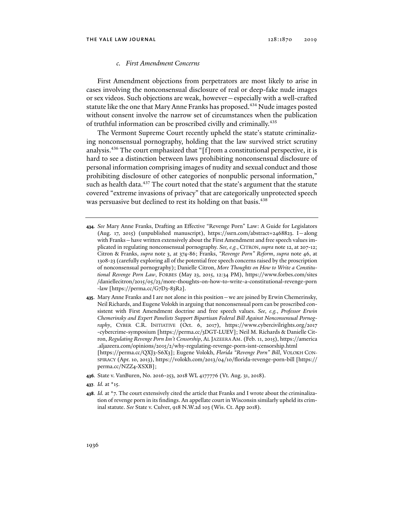### *c. First Amendment Concerns*

First Amendment objections from perpetrators are most likely to arise in cases involving the nonconsensual disclosure of real or deep-fake nude images or sex videos. Such objections are weak, however—especially with a well-crafted statute like the one that Mary Anne Franks has proposed.<sup>434</sup> Nude images posted without consent involve the narrow set of circumstances when the publication of truthful information can be proscribed civilly and criminally.435

The Vermont Supreme Court recently upheld the state's statute criminalizing nonconsensual pornography, holding that the law survived strict scrutiny analysis.436 The court emphasized that "[f]rom a constitutional perspective, it is hard to see a distinction between laws prohibiting nonconsensual disclosure of personal information comprising images of nudity and sexual conduct and those prohibiting disclosure of other categories of nonpublic personal information," such as health data.<sup>437</sup> The court noted that the state's argument that the statute covered "extreme invasions of privacy" that are categorically unprotected speech was persuasive but declined to rest its holding on that basis.<sup>438</sup>

- **434***. See* Mary Anne Franks, Drafting an Effective "Revenge Porn" Law: A Guide for Legislators (Aug. 17, 2015) (unpublished manuscript), https://ssrn.com/abstract=2468823. I—along with Franks—have written extensively about the First Amendment and free speech values implicated in regulating nonconsensual pornography. *See, e.g.*, CITRON, *supra* note 12, at 207-12; Citron & Franks, *supra* note 3, at 374-86; Franks, *"Revenge Porn" Reform*, *supra* note 46, at 1308-23 (carefully exploring all of the potential free speech concerns raised by the proscription of nonconsensual pornography); Danielle Citron, *More Thoughts on How to Write a Constitutional Revenge Porn Law*, FORBES (May 23, 2015, 12:34 PM), https://www.forbes.com/sites /daniellecitron/2015/05/23/more-thoughts-on-how-to-write-a-constitutional-revenge-porn -law [https://perma.cc/G7D3-83R2].
- **435**. Mary Anne Franks and I are not alone in this position—we are joined by Erwin Chemerinsky, Neil Richards, and Eugene Volokh in arguing that nonconsensual porn can be proscribed consistent with First Amendment doctrine and free speech values. *See, e.g.*, *Professor Erwin Chemerinsky and Expert Panelists Support Bipartisan Federal Bill Against Nonconsensual Pornography*, CYBER C.R. INITIATIVE (Oct. 6, 2017), https://www.cybercivilrights.org/2017 -cybercrime-symposium [https://perma.cc/3DGT-LUEV]; Neil M. Richards & Danielle Citron, *Regulating Revenge Porn Isn't Censorship*, AL JAZEERA AM. (Feb. 11, 2015), https://america .aljazeera.com/opinions/2015/2/why-regulating-revenge-porn-isnt-censorship.html [https://perma.cc/QXJ3-S6X3]; Eugene Volokh, *Florida "Revenge Porn" Bill*, VOLOKH CON-SPIRACY (Apr. 10, 2013), https://volokh.com/2013/04/10/florida-revenge-porn-bill [https:// perma.cc/NZZ4-XSXB];
- **436***.* State v. VanBuren, No. 2016-253, 2018 WL 4177776 (Vt. Aug. 31, 2018).
- **437***. Id.* at \*15.
- **438***. Id.* at \*7. The court extensively cited the article that Franks and I wrote about the criminalization of revenge porn in its findings. An appellate court in Wisconsin similarly upheld its criminal statute. *See* State v. Culver, 918 N.W.2d 103 (Wis. Ct. App 2018).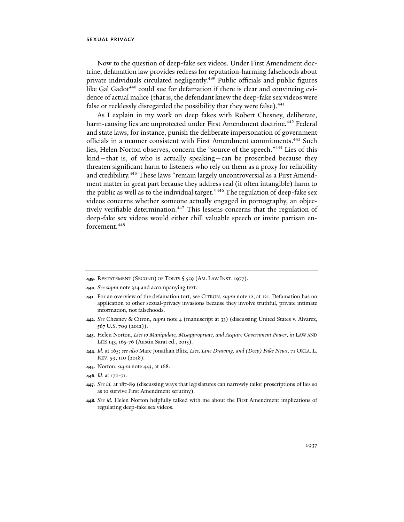Now to the question of deep-fake sex videos. Under First Amendment doctrine, defamation law provides redress for reputation-harming falsehoods about private individuals circulated negligently.439 Public officials and public figures like Gal Gadot<sup>440</sup> could sue for defamation if there is clear and convincing evidence of actual malice (that is, the defendant knew the deep-fake sex videos were false or recklessly disregarded the possibility that they were false).<sup>441</sup>

As I explain in my work on deep fakes with Robert Chesney, deliberate, harm-causing lies are unprotected under First Amendment doctrine.<sup>442</sup> Federal and state laws, for instance, punish the deliberate impersonation of government officials in a manner consistent with First Amendment commitments.<sup>443</sup> Such lies, Helen Norton observes, concern the "source of the speech."444 Lies of this kind—that is, of who is actually speaking—can be proscribed because they threaten significant harm to listeners who rely on them as a proxy for reliability and credibility.445 These laws "remain largely uncontroversial as a First Amendment matter in great part because they address real (if often intangible) harm to the public as well as to the individual target."446 The regulation of deep-fake sex videos concerns whether someone actually engaged in pornography, an objectively verifiable determination.<sup>447</sup> This lessens concerns that the regulation of deep-fake sex videos would either chill valuable speech or invite partisan enforcement.448

- **440***. See supra* note 324 and accompanying text.
- **441**. For an overview of the defamation tort, see CITRON, *supra* note 12, at 121. Defamation has no application to other sexual-privacy invasions because they involve truthful, private intimate information, not falsehoods.
- **442***. See* Chesney & Citron, *supra* note 4 (manuscript at 33) (discussing United States v. Alvarez, 567 U.S. 709 (2012)).
- **443**. Helen Norton, *Lies to Manipulate, Misappropriate, and Acquire Government Power*, *in* LAW AND LIES 143,165-76 (Austin Sarat ed., 2015).
- **444***. Id.* at 165; *see also* Marc Jonathan Blitz, *Lies, Line Drawing, and (Deep) Fake News*, 71 OKLA. L. REV. 59, 110 (2018).
- **445**. Norton, *supra* note 443, at 168.
- **446***. Id.* at 170-71.
- **447***. See id.* at 187-89 (discussing ways that legislatures can narrowly tailor proscriptions of lies so as to survive First Amendment scrutiny).
- **448***. See id.* Helen Norton helpfully talked with me about the First Amendment implications of regulating deep-fake sex videos.

**<sup>439</sup>**. RESTATEMENT (SECOND) OF TORTS § 559 (AM. LAW INST.1977).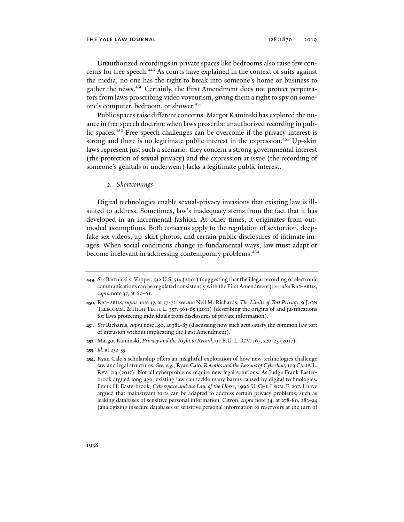Unauthorized recordings in private spaces like bedrooms also raise few concerns for free speech.<sup>449</sup> As courts have explained in the context of suits against the media, no one has the right to break into someone's home or business to gather the news.<sup>450</sup> Certainly, the First Amendment does not protect perpetrators from laws proscribing video voyeurism, giving them a right to spy on someone's computer, bedroom, or shower.451

Public spaces raise different concerns. Margot Kaminski has explored the nuance in free speech doctrine when laws proscribe unauthorized recording in public spaces.452 Free speech challenges can be overcome if the privacy interest is strong and there is no legitimate public interest in the expression.<sup>453</sup> Up-skirt laws represent just such a scenario: they concern a strong governmental interest (the protection of sexual privacy) and the expression at issue (the recording of someone's genitals or underwear) lacks a legitimate public interest.

*2. Shortcomings* 

Digital technologies enable sexual-privacy invasions that existing law is illsuited to address. Sometimes, law's inadequacy stems from the fact that it has developed in an incremental fashion. At other times, it originates from outmoded assumptions. Both concerns apply to the regulation of sextortion, deepfake sex videos, up-skirt photos, and certain public disclosures of intimate images. When social conditions change in fundamental ways, law must adapt or become irrelevant in addressing contemporary problems.<sup>454</sup>

- **449***. See* Bartnicki v. Vopper, 532 U.S. 514 (2001) (suggesting that the illegal recording of electronic communications can be regulated consistently with the First Amendment); *see also* RICHARDS, *supra* note 37, at 60-61.
- **450**. RICHARDS, *supra* note 37, at 57-72; *see also* Neil M. Richards, *The Limits of Tort Privacy*, 9 J. ON TELECOMM. & HIGH TECH. L. 357, 361-65 (2011) (describing the origins of and justifications for laws protecting individuals from disclosures of private information).
- **451***. See* Richards, *supra* note 450, at 382-83 (discussing how such acts satisfy the common law tort of intrusion without implicating the First Amendment)*.*
- **452**. Margot Kaminski, *Privacy and the Right to Record*, 97 B.U. L. REV. 167, 220-23 (2017).
- **453***. Id.* at 232-35.
- **454**. Ryan Calo's scholarship offers an insightful exploration of how new technologies challenge law and legal structures. *See, e.g.*, Ryan Calo, *Robotics and the Lessons of Cyberlaw*, 103 CALIF. L. REV. 513 (2015). Not all cyberproblems require new legal solutions. As Judge Frank Easterbrook argued long ago, existing law can tackle many harms caused by digital technologies. Frank H. Easterbrook, *Cyberspace and the Law of the Horse*, 1996 U. CHI. LEGAL F. 207. I have argued that mainstream torts can be adapted to address certain privacy problems, such as leaking databases of sensitive personal information. Citron, *supra* note 34, at 278-80, 283-94 (analogizing insecure databases of sensitive personal information to reservoirs at the turn of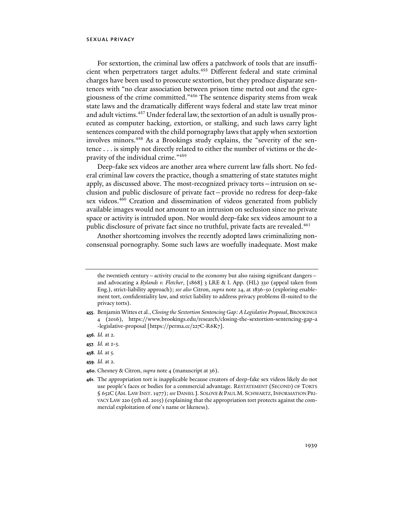For sextortion, the criminal law offers a patchwork of tools that are insufficient when perpetrators target adults.455 Different federal and state criminal charges have been used to prosecute sextortion, but they produce disparate sentences with "no clear association between prison time meted out and the egregiousness of the crime committed."456 The sentence disparity stems from weak state laws and the dramatically different ways federal and state law treat minor and adult victims.<sup>457</sup> Under federal law, the sextortion of an adult is usually prosecuted as computer hacking, extortion, or stalking, and such laws carry light sentences compared with the child pornography laws that apply when sextortion involves minors.458 As a Brookings study explains, the "severity of the sentence . . . is simply not directly related to either the number of victims or the depravity of the individual crime."459

Deep-fake sex videos are another area where current law falls short. No federal criminal law covers the practice, though a smattering of state statutes might apply, as discussed above. The most-recognized privacy torts—intrusion on seclusion and public disclosure of private fact—provide no redress for deep-fake sex videos.<sup>460</sup> Creation and dissemination of videos generated from publicly available images would not amount to an intrusion on seclusion since no private space or activity is intruded upon. Nor would deep-fake sex videos amount to a public disclosure of private fact since no truthful, private facts are revealed.<sup>461</sup>

Another shortcoming involves the recently adopted laws criminalizing nonconsensual pornography. Some such laws are woefully inadequate. Most make

- **458***. Id.* at 5.
- **459***. Id.* at 2.
- **460**. Chesney & Citron, *supra* note 4 (manuscript at 36).

the twentieth century—activity crucial to the economy but also raising significant dangers and advocating a *Rylands v. Fletcher*, [1868] 3 LRE & I. App. (HL) 330 (appeal taken from Eng.), strict-liability approach); *see also* Citron, *supra* note 24, at 1836-50 (exploring enablement tort, confidentiality law, and strict liability to address privacy problems ill-suited to the privacy torts).

**<sup>455</sup>**. Benjamin Wittes et al., *Closing the Sextortion Sentencing Gap: A Legislative Proposal*,BROOKINGS 4 (2016), https://www.brookings.edu/research/closing-the-sextortion-sentencing-gap-a -legislative-proposal [https://perma.cc/227C-R6K7].

**<sup>456</sup>***. Id.* at 2.

**<sup>457</sup>***. Id.* at 2-5.

**<sup>461</sup>**. The appropriation tort is inapplicable because creators of deep-fake sex videos likely do not use people's faces or bodies for a commercial advantage. RESTATEMENT (SECOND) OF TORTS § 652C (AM. LAW INST. 1977); *see* DANIEL J. SOLOVE &PAUL M. SCHWARTZ,INFORMATION PRI-VACY LAW 220 (5th ed. 2015) (explaining that the appropriation tort protects against the commercial exploitation of one's name or likeness).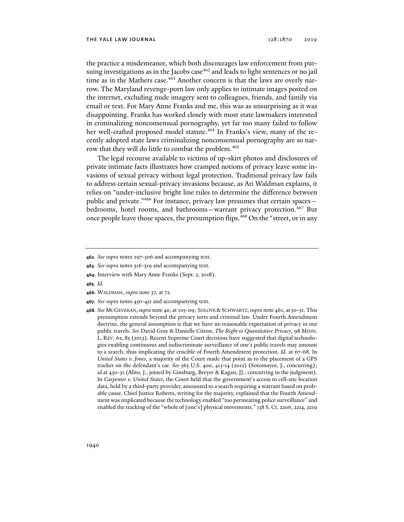the practice a misdemeanor, which both discourages law enforcement from pursuing investigations as in the Jacobs case<sup>462</sup> and leads to light sentences or no jail time as in the Mathers case.<sup>463</sup> Another concern is that the laws are overly narrow. The Maryland revenge-porn law only applies to intimate images posted on the internet, excluding nude imagery sent to colleagues, friends, and family via email or text. For Mary Anne Franks and me, this was as unsurprising as it was disappointing. Franks has worked closely with most state lawmakers interested in criminalizing nonconsensual pornography, yet far too many failed to follow her well-crafted proposed model statute.<sup>464</sup> In Franks's view, many of the recently adopted state laws criminalizing nonconsensual pornography are so narrow that they will do little to combat the problem.<sup>465</sup>

The legal recourse available to victims of up-skirt photos and disclosures of private intimate facts illustrates how cramped notions of privacy leave some invasions of sexual privacy without legal protection. Traditional privacy law fails to address certain sexual-privacy invasions because, as Ari Waldman explains, it relies on "under-inclusive bright line rules to determine the difference between public and private."466 For instance, privacy law presumes that certain spaces bedrooms, hotel rooms, and bathrooms-warrant privacy protection.<sup>467</sup> But once people leave those spaces, the presumption flips.<sup>468</sup> On the "street, or in any

- **463***. See supra* notes 316-319 and accompanying text.
- **464**. Interview with Mary Anne Franks (Sept. 2, 2018).
- **465***. Id.*
- **466**. WALDMAN, *supra* note 37, at 72.
- **467***. See supra* notes 450-451 and accompanying text.
- **468***. See* MCGEVERAN,*supra* note 40, at 105-09; SOLOVE &SCHWARTZ,*supra* note 461, at50-51. This presumption extends beyond the privacy torts and criminal law. Under Fourth Amendment doctrine, the general assumption is that we have no reasonable expectation of privacy in our public travels. *See* David Gray & Danielle Citron, *The Right to Quantitative Privacy*, 98 MINN. L. REV. 62, 85 (2013). Recent Supreme Court decisions have suggested that digital technologies enabling continuous and indiscriminate surveillance of one's public travels may amount to a search, thus implicating the crucible of Fourth Amendment protection. *Id.* at 67-68. In *United States v. Jones*, a majority of the Court made that point as to the placement of a GPS tracker on the defendant's car. *See* 565 U.S. 400, 413-14 (2012) (Sotomayor, J., concurring); *id.*at 430-31 (Alito, J., joined by Ginsburg, Breyer & Kagan, JJ., concurring in the judgment). In *Carpenter v. United States*, the Court held that the government's access to cell-site location data, held by a third-party provider, amounted to a search requiring a warrant based on probable cause. Chief Justice Roberts, writing for the majority, explained that the Fourth Amendment was implicated because the technology enabled "too permeating police surveillance" and enabled the tracking of the "whole of [one's] physical movements." 138 S. Ct. 2206, 2214, 2219

**<sup>462</sup>***. See supra* notes 297-306 and accompanying text.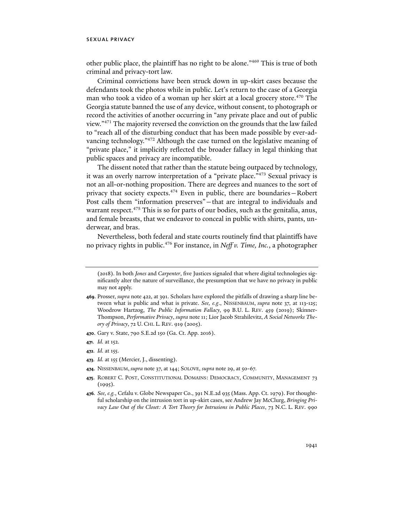other public place, the plaintiff has no right to be alone."469 This is true of both criminal and privacy-tort law.

Criminal convictions have been struck down in up-skirt cases because the defendants took the photos while in public. Let's return to the case of a Georgia man who took a video of a woman up her skirt at a local grocery store.<sup>470</sup> The Georgia statute banned the use of any device, without consent, to photograph or record the activities of another occurring in "any private place and out of public view."471 The majority reversed the conviction on the grounds that the law failed to "reach all of the disturbing conduct that has been made possible by ever-advancing technology."472 Although the case turned on the legislative meaning of "private place," it implicitly reflected the broader fallacy in legal thinking that public spaces and privacy are incompatible.

The dissent noted that rather than the statute being outpaced by technology, it was an overly narrow interpretation of a "private place."473 Sexual privacy is not an all-or-nothing proposition. There are degrees and nuances to the sort of privacy that society expects.474 Even in public, there are boundaries—Robert Post calls them "information preserves"—that are integral to individuals and warrant respect.<sup>475</sup> This is so for parts of our bodies, such as the genitalia, anus, and female breasts, that we endeavor to conceal in public with shirts, pants, underwear, and bras.

Nevertheless, both federal and state courts routinely find that plaintiffs have no privacy rights in public.476 For instance, in *Neff v. Time, Inc.*, a photographer

**470**. Gary v. State, 790 S.E.2d 150 (Ga. Ct. App. 2016).

- **472***. Id.* at 155.
- **473***. Id.* at 155 (Mercier, J., dissenting).
- **474**. NISSENBAUM, *supra* note 37, at 144; SOLOVE, *supra* note 29, at 50-67.
- **475**. ROBERT C. POST, CONSTITUTIONAL DOMAINS: DEMOCRACY, COMMUNITY, MANAGEMENT 73  $(1995).$
- **476***. See, e.g.*, Cefalu v. Globe Newspaper Co., 391 N.E.2d 935 (Mass. App. Ct. 1979). For thoughtful scholarship on the intrusion tort in up-skirt cases, see Andrew Jay McClurg, *Bringing Privacy Law Out of the Closet: A Tort Theory for Intrusions in Public Places*, 73 N.C. L. REV. 990

<sup>(2018).</sup> In both *Jones* and *Carpenter*, five Justices signaled that where digital technologies significantly alter the nature of surveillance, the presumption that we have no privacy in public may not apply.

**<sup>469</sup>**. Prosser, *supra* note 422, at 391. Scholars have explored the pitfalls of drawing a sharp line between what is public and what is private. *See, e.g*., NISSENBAUM, *supra* note 37, at 113-125; Woodrow Hartzog, *The Public Information Fallacy*, 99 B.U. L. REV. 459 (2019); Skinner-Thompson, *Performative Privacy*, *supra* note 11; Lior Jacob Strahilevitz, *A Social Networks Theory of Privacy*, 72 U. CHI. L. REV. 919 (2005).

**<sup>471</sup>***. Id.* at 152.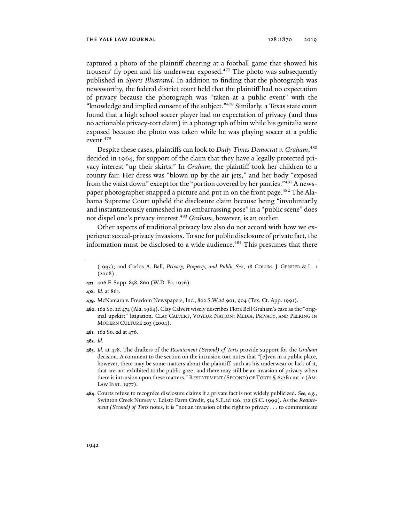captured a photo of the plaintiff cheering at a football game that showed his trousers' fly open and his underwear exposed.<sup>477</sup> The photo was subsequently published in *Sports Illustrated*. In addition to finding that the photograph was newsworthy, the federal district court held that the plaintiff had no expectation of privacy because the photograph was "taken at a public event" with the "knowledge and implied consent of the subject."478 Similarly, a Texas state court found that a high school soccer player had no expectation of privacy (and thus no actionable privacy-tort claim) in a photograph of him while his genitalia were exposed because the photo was taken while he was playing soccer at a public event.479

Despite these cases, plaintiffs can look to *Daily Times Democrat v. Graham*, 480 decided in 1964, for support of the claim that they have a legally protected privacy interest "up their skirts." In *Graham*, the plaintiff took her children to a county fair. Her dress was "blown up by the air jets," and her body "exposed from the waist down" except for the "portion covered by her panties."481 A newspaper photographer snapped a picture and put in on the front page.<sup>482</sup> The Alabama Supreme Court upheld the disclosure claim because being "involuntarily and instantaneously enmeshed in an embarrassing pose" in a "public scene" does not dispel one's privacy interest.483 *Graham*, however, is an outlier.

Other aspects of traditional privacy law also do not accord with how we experience sexual-privacy invasions. To sue for public disclosure of private fact, the information must be disclosed to a wide audience.<sup>484</sup> This presumes that there

- **477**. 406 F. Supp. 858, 860 (W.D. Pa. 1976).
- **478***. Id*. at 861.
- **479**. McNamara v. Freedom Newspapers, Inc., 802 S.W.2d 901, 904 (Tex. Ct. App. 1991).
- **480**. 162 So. 2d 474 (Ala. 1964). Clay Calvert wisely describes Flora Bell Graham's case as the "original upskirt" litigation. CLAY CALVERT, VOYEUR NATION: MEDIA, PRIVACY, AND PEERING IN MODERN CULTURE 203 (2004).
- **481**. 162 So. 2d at 476.
- **482***. Id.*
- **483***. Id.* at 478. The drafters of the *Restatement (Second) of Torts* provide support for the *Graham* decision. A comment to the section on the intrusion tort notes that "[e]ven in a public place, however, there may be some matters about the plaintiff, such as his underwear or lack of it, that are not exhibited to the public gaze; and there may still be an invasion of privacy when there is intrusion upon these matters." RESTATEMENT (SECOND) OF TORTS § 652B cmt. c (AM. LAW INST. 1977).
- **484**. Courts refuse to recognize disclosure claims if a private fact is not widely publicized. *See, e.g.*, Swinton Creek Nursey v. Edisto Farm Credit, 514 S.E.2d 126, 132 (S.C. 1999). As the *Restatement (Second) of Torts* notes, it is "not an invasion of the right to privacy . . . to communicate

<sup>(1995);</sup> and Carlos A. Ball, *Privacy, Property, and Public Sex*, 18 COLUM. J. GENDER & L. 1 (2008).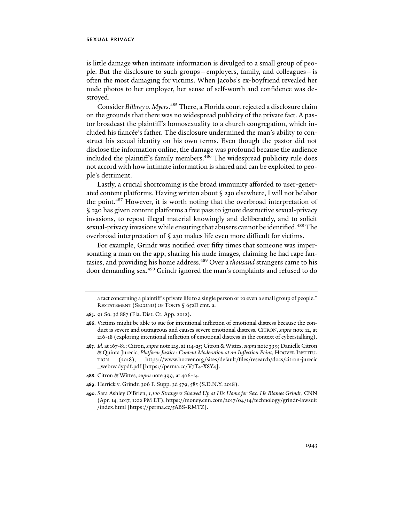is little damage when intimate information is divulged to a small group of people. But the disclosure to such groups—employers, family, and colleagues—is often the most damaging for victims. When Jacobs's ex-boyfriend revealed her nude photos to her employer, her sense of self-worth and confidence was destroyed.

Consider *Bilbrey v. Myers*. 485 There, a Florida court rejected a disclosure claim on the grounds that there was no widespread publicity of the private fact. A pastor broadcast the plaintiff's homosexuality to a church congregation, which included his fiancée's father. The disclosure undermined the man's ability to construct his sexual identity on his own terms. Even though the pastor did not disclose the information online, the damage was profound because the audience included the plaintiff's family members.<sup>486</sup> The widespread publicity rule does not accord with how intimate information is shared and can be exploited to people's detriment.

Lastly, a crucial shortcoming is the broad immunity afforded to user-generated content platforms. Having written about § 230 elsewhere, I will not belabor the point.<sup>487</sup> However, it is worth noting that the overbroad interpretation of § 230 has given content platforms a free pass to ignore destructive sexual-privacy invasions, to repost illegal material knowingly and deliberately, and to solicit sexual-privacy invasions while ensuring that abusers cannot be identified.<sup>488</sup> The overbroad interpretation of § 230 makes life even more difficult for victims.

For example, Grindr was notified over fifty times that someone was impersonating a man on the app, sharing his nude images, claiming he had rape fantasies, and providing his home address.<sup>489</sup> Over a *thousand* strangers came to his door demanding sex.<sup>490</sup> Grindr ignored the man's complaints and refused to do

**485**. 91 So. 3d 887 (Fla. Dist. Ct. App. 2012).

- **488**. Citron & Wittes, *supra* note 399, at 406-14.
- **489**. Herrick v. Grindr, 306 F. Supp. 3d 579, 585 (S.D.N.Y. 2018).
- **490**. Sara Ashley O'Brien, *1,100 Strangers Showed Up at His Home for Sex. He Blames Grindr*, CNN (Apr. 14, 2017, 1:02 PM ET), https://money.cnn.com/2017/04/14/technology/grindr-lawsuit /index.html [https://perma.cc/5ABS-RMTZ].

a fact concerning a plaintiff's private life to a single person or to even a small group of people." RESTATEMENT (SECOND) OF TORTS § 652D cmt. a.

**<sup>486</sup>**. Victims might be able to sue for intentional infliction of emotional distress because the conduct is severe and outrageous and causes severe emotional distress. CITRON, *supra* note 12, at 216-18 (exploring intentional infliction of emotional distress in the context of cyberstalking).

**<sup>487</sup>***. Id.* at 167-81; Citron, *supra* note 215, at 114-25; Citron & Wittes, *supra* note 399; Danielle Citron & Quinta Jurecic, *Platform Justice: Content Moderation at an Inflection Point*, HOOVER INSTITU-TION (2018), https://www.hoover.org/sites/default/files/research/docs/citron-jurecic \_webreadypdf.pdf [https://perma.cc/V7T4-X8Y4].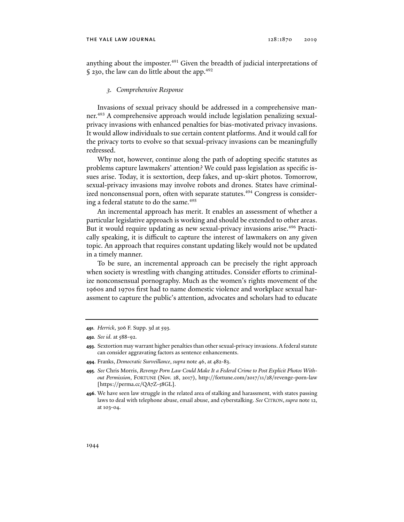anything about the imposter.<sup>491</sup> Given the breadth of judicial interpretations of § 230, the law can do little about the app.<sup>492</sup>

#### *3. Comprehensive Response*

Invasions of sexual privacy should be addressed in a comprehensive manner.493 A comprehensive approach would include legislation penalizing sexualprivacy invasions with enhanced penalties for bias-motivated privacy invasions. It would allow individuals to sue certain content platforms. And it would call for the privacy torts to evolve so that sexual-privacy invasions can be meaningfully redressed.

Why not, however, continue along the path of adopting specific statutes as problems capture lawmakers' attention? We could pass legislation as specific issues arise. Today, it is sextortion, deep fakes, and up-skirt photos. Tomorrow, sexual-privacy invasions may involve robots and drones. States have criminalized nonconsensual porn, often with separate statutes.<sup>494</sup> Congress is considering a federal statute to do the same.<sup>495</sup>

An incremental approach has merit. It enables an assessment of whether a particular legislative approach is working and should be extended to other areas. But it would require updating as new sexual-privacy invasions arise.<sup>496</sup> Practically speaking, it is difficult to capture the interest of lawmakers on any given topic. An approach that requires constant updating likely would not be updated in a timely manner.

To be sure, an incremental approach can be precisely the right approach when society is wrestling with changing attitudes. Consider efforts to criminalize nonconsensual pornography. Much as the women's rights movement of the 1960s and 1970s first had to name domestic violence and workplace sexual harassment to capture the public's attention, advocates and scholars had to educate

**<sup>491</sup>***. Herrick*, 306 F. Supp. 3d at 593*.*

**<sup>492</sup>***. See id.* at 588-92.

**<sup>493</sup>**. Sextortion may warrant higher penalties than other sexual-privacy invasions. A federal statute can consider aggravating factors as sentence enhancements.

**<sup>494</sup>**. Franks, *Democratic Surveillance*, *supra* note 46, at 482-83.

**<sup>495</sup>***. See* Chris Morris, *Revenge Porn Law Could Make It a Federal Crime to Post Explicit Photos Without Permission*, FORTUNE (Nov. 28, 2017), http://fortune.com/2017/11/28/revenge-porn-law [https://perma.cc/QA7Z-58GL].

**<sup>496</sup>**. We have seen law struggle in the related area of stalking and harassment, with states passing laws to deal with telephone abuse, email abuse, and cyberstalking. *See* CITRON, *supra* note 12, at 103-04.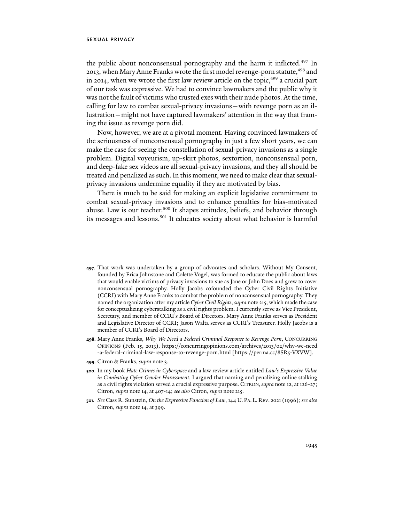the public about nonconsensual pornography and the harm it inflicted.<sup>497</sup> In 2013, when Mary Anne Franks wrote the first model revenge-porn statute, <sup>498</sup> and in 2014, when we wrote the first law review article on the topic, $499$  a crucial part of our task was expressive. We had to convince lawmakers and the public why it was not the fault of victims who trusted exes with their nude photos. At the time, calling for law to combat sexual-privacy invasions—with revenge porn as an illustration—might not have captured lawmakers' attention in the way that framing the issue as revenge porn did.

Now, however, we are at a pivotal moment. Having convinced lawmakers of the seriousness of nonconsensual pornography in just a few short years, we can make the case for seeing the constellation of sexual-privacy invasions as a single problem. Digital voyeurism, up-skirt photos, sextortion, nonconsensual porn, and deep-fake sex videos are all sexual-privacy invasions, and they all should be treated and penalized as such. In this moment, we need to make clear that sexualprivacy invasions undermine equality if they are motivated by bias.

There is much to be said for making an explicit legislative commitment to combat sexual-privacy invasions and to enhance penalties for bias-motivated abuse. Law is our teacher.<sup>500</sup> It shapes attitudes, beliefs, and behavior through its messages and lessons.<sup>501</sup> It educates society about what behavior is harmful

- **498**. Mary Anne Franks, *Why We Need a Federal Criminal Response to Revenge Porn*, CONCURRING OPINIONS (Feb. 15, 2013), https://concurringopinions.com/archives/2013/02/why-we-need -a-federal-criminal-law-response-to-revenge-porn.html [https://perma.cc/8SR5-VXVW].
- **499**. Citron & Franks, *supra* note 3.
- **500**. In my book *Hate Crimes in Cyberspace* and a law review article entitled *Law's Expressive Value in Combating Cyber Gender Harassment*, I argued that naming and penalizing online stalking as a civil rights violation served a crucial expressive purpose. CITRON, *supra* note 12, at 126-27; Citron, *supra* note 14, at 407-14; *see also* Citron, *supra* note 215.
- **501***. See* Cass R. Sunstein, *On the Expressive Function of Law*, 144 U. PA. L. REV. 2021 (1996);*see also* Citron, *supra* note 14, at 399.

**<sup>497</sup>**. That work was undertaken by a group of advocates and scholars. Without My Consent, founded by Erica Johnstone and Colette Vogel, was formed to educate the public about laws that would enable victims of privacy invasions to sue as Jane or John Does and grew to cover nonconsensual pornography. Holly Jacobs cofounded the Cyber Civil Rights Initiative (CCRI) with Mary Anne Franks to combat the problem of nonconsensual pornography. They named the organization after my article *Cyber Civil Rights*, *supra* note 215, which made the case for conceptualizing cyberstalking as a civil rights problem. I currently serve as Vice President, Secretary, and member of CCRI's Board of Directors. Mary Anne Franks serves as President and Legislative Director of CCRI; Jason Walta serves as CCRI's Treasurer. Holly Jacobs is a member of CCRI's Board of Directors.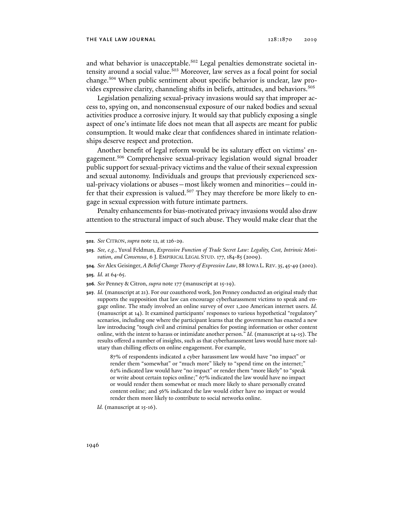and what behavior is unacceptable.<sup>502</sup> Legal penalties demonstrate societal intensity around a social value.<sup>503</sup> Moreover, law serves as a focal point for social change.504 When public sentiment about specific behavior is unclear, law provides expressive clarity, channeling shifts in beliefs, attitudes, and behaviors.<sup>505</sup>

Legislation penalizing sexual-privacy invasions would say that improper access to, spying on, and nonconsensual exposure of our naked bodies and sexual activities produce a corrosive injury. It would say that publicly exposing a single aspect of one's intimate life does not mean that all aspects are meant for public consumption. It would make clear that confidences shared in intimate relationships deserve respect and protection.

Another benefit of legal reform would be its salutary effect on victims' engagement.506 Comprehensive sexual-privacy legislation would signal broader public support for sexual-privacy victims and the value of their sexual expression and sexual autonomy. Individuals and groups that previously experienced sexual-privacy violations or abuses—most likely women and minorities—could infer that their expression is valued.<sup>507</sup> They may therefore be more likely to engage in sexual expression with future intimate partners.

Penalty enhancements for bias-motivated privacy invasions would also draw attention to the structural impact of such abuse. They would make clear that the

**507***. Id.* (manuscript at 21). For our coauthored work, Jon Penney conducted an original study that supports the supposition that law can encourage cyberharassment victims to speak and engage online. The study involved an online survey of over 1,200 American internet users. *Id.*  (manuscript at 14). It examined participants' responses to various hypothetical "regulatory" scenarios, including one where the participant learns that the government has enacted a new law introducing "tough civil and criminal penalties for posting information or other content online, with the intent to harass or intimidate another person." *Id.* (manuscript at 14-15). The results offered a number of insights, such as that cyberharassment laws would have more salutary than chilling effects on online engagement. For example,

> 87% of respondents indicated a cyber harassment law would have "no impact" or render them "somewhat" or "much more" likely to "spend time on the internet;" 62% indicated law would have "no impact" or render them "more likely" to "speak or write about certain topics online;" 67% indicated the law would have no impact or would render them somewhat or much more likely to share personally created content online; and 56% indicated the law would either have no impact or would render them more likely to contribute to social networks online.

*Id.* (manuscript at 15-16).

**<sup>502</sup>***. See* CITRON, *supra* note 12, at 126-29.

**<sup>503</sup>***. See, e.g.*, Yuval Feldman, *Expressive Function of Trade Secret Law: Legality, Cost, Intrinsic Motivation, and Consensus*, 6 J. EMPIRICAL LEGAL STUD. 177, 184-85 (2009).

**<sup>504</sup>***. See* Alex Geisinger, *A Belief Change Theory of Expressive Law*, 88 IOWA L. REV. 35, 45-49 (2002).

**<sup>505</sup>***. Id.* at 64-65.

**<sup>506</sup>***. See* Penney & Citron, *supra* note 177 (manuscript at 15-19).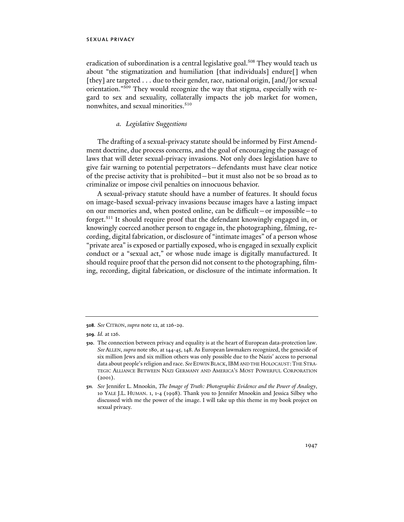eradication of subordination is a central legislative goal.<sup>508</sup> They would teach us about "the stigmatization and humiliation [that individuals] endure[] when [they] are targeted . . . due to their gender, race, national origin, [and/]or sexual orientation."509 They would recognize the way that stigma, especially with regard to sex and sexuality, collaterally impacts the job market for women, nonwhites, and sexual minorities.<sup>510</sup>

# *a. Legislative Suggestions*

The drafting of a sexual-privacy statute should be informed by First Amendment doctrine, due process concerns, and the goal of encouraging the passage of laws that will deter sexual-privacy invasions. Not only does legislation have to give fair warning to potential perpetrators—defendants must have clear notice of the precise activity that is prohibited—but it must also not be so broad as to criminalize or impose civil penalties on innocuous behavior.

A sexual-privacy statute should have a number of features. It should focus on image-based sexual-privacy invasions because images have a lasting impact on our memories and, when posted online, can be difficult—or impossible—to forget.511 It should require proof that the defendant knowingly engaged in, or knowingly coerced another person to engage in, the photographing, filming, recording, digital fabrication, or disclosure of "intimate images" of a person whose "private area" is exposed or partially exposed, who is engaged in sexually explicit conduct or a "sexual act," or whose nude image is digitally manufactured. It should require proof that the person did not consent to the photographing, filming, recording, digital fabrication, or disclosure of the intimate information. It

**<sup>508</sup>***. See* CITRON, *supra* note 12, at 126-29.

**<sup>509</sup>***. Id.* at 126.

**<sup>510</sup>**. The connection between privacy and equality is at the heart of European data-protection law. *See* ALLEN, *supra* note 180, at 144-45, 148. As European lawmakers recognized, the genocide of six million Jews and six million others was only possible due to the Nazis' access to personal data about people's religion and race. *See*EDWIN BLACK,IBM AND THE HOLOCAUST:THE STRA-TEGIC ALLIANCE BETWEEN NAZI GERMANY AND AMERICA'S MOST POWERFUL CORPORATION (2001).

**<sup>511</sup>***. See* Jennifer L. Mnookin, *The Image of Truth: Photographic Evidence and the Power of Analogy*, 10 YALE J.L. HUMAN. 1, 1-4 (1998). Thank you to Jennifer Mnookin and Jessica Silbey who discussed with me the power of the image. I will take up this theme in my book project on sexual privacy.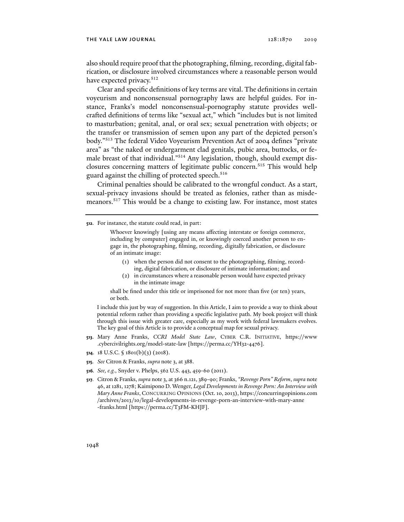#### the yale law journal 128:1870 2019

also should require proof that the photographing, filming, recording, digital fabrication, or disclosure involved circumstances where a reasonable person would have expected privacy.<sup>512</sup>

Clear and specific definitions of key terms are vital. The definitions in certain voyeurism and nonconsensual pornography laws are helpful guides. For instance, Franks's model nonconsensual-pornography statute provides wellcrafted definitions of terms like "sexual act," which "includes but is not limited to masturbation; genital, anal, or oral sex; sexual penetration with objects; or the transfer or transmission of semen upon any part of the depicted person's body."513 The federal Video Voyeurism Prevention Act of 2004 defines "private area" as "the naked or undergarment clad genitals, pubic area, buttocks, or female breast of that individual."514 Any legislation, though, should exempt disclosures concerning matters of legitimate public concern.<sup>515</sup> This would help guard against the chilling of protected speech.<sup>516</sup>

Criminal penalties should be calibrated to the wrongful conduct. As a start, sexual-privacy invasions should be treated as felonies, rather than as misdemeanors.517 This would be a change to existing law. For instance, most states

Whoever knowingly [using any means affecting interstate or foreign commerce, including by computer] engaged in, or knowingly coerced another person to engage in, the photographing, filming, recording, digitally fabrication, or disclosure of an intimate image:

- (1) when the person did not consent to the photographing, filming, recording, digital fabrication, or disclosure of intimate information; and
- (2) in circumstances where a reasonable person would have expected privacy in the intimate image

shall be fined under this title or imprisoned for not more than five (or ten) years, or both.

I include this just by way of suggestion. In this Article, I aim to provide a way to think about potential reform rather than providing a specific legislative path. My book project will think through this issue with greater care, especially as my work with federal lawmakers evolves. The key goal of this Article is to provide a conceptual map for sexual privacy.

- **513**. Mary Anne Franks, *CCRI Model State Law*, CYBER C.R. INITIATIVE, https://www .cybercivilrights.org/model-state-law [https://perma.cc/YH32-4476].
- **514**. 18 U.S.C. § 1801(b)(3) (2018).
- **515***. See* Citron & Franks, *supra* note 3, at 388.
- **516***. See, e.g.*, Snyder v. Phelps, 562 U.S. 443, 459-60 (2011).
- **517***.* Citron & Franks, *supra* note 3, at 366 n.121, 389-90; Franks, *"Revenge Porn" Reform*, *supra* note 46, at 1281, 1278; Kaimipono D. Wenger, *Legal Developments in Revenge Porn: An Interview with Mary Anne Franks*, CONCURRING OPINIONS (Oct. 10, 2013), https://concurringopinions.com /archives/2013/10/legal-developments-in-revenge-porn-an-interview-with-mary-anne -franks.html [https://perma.cc/T3FM-KHJF].

**<sup>512</sup>**. For instance, the statute could read, in part: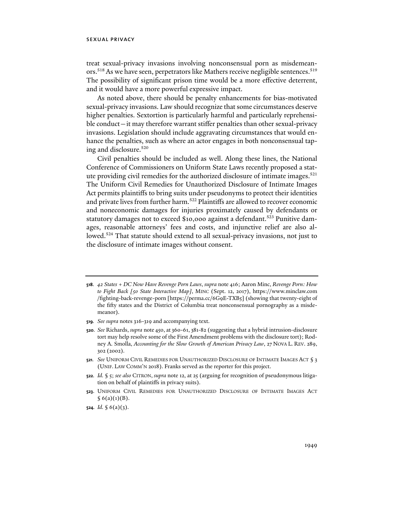treat sexual-privacy invasions involving nonconsensual porn as misdemeanors.<sup>518</sup> As we have seen, perpetrators like Mathers receive negligible sentences.<sup>519</sup> The possibility of significant prison time would be a more effective deterrent, and it would have a more powerful expressive impact.

As noted above, there should be penalty enhancements for bias-motivated sexual-privacy invasions. Law should recognize that some circumstances deserve higher penalties. Sextortion is particularly harmful and particularly reprehensible conduct—it may therefore warrant stiffer penalties than other sexual-privacy invasions. Legislation should include aggravating circumstances that would enhance the penalties, such as where an actor engages in both nonconsensual taping and disclosure.520

Civil penalties should be included as well. Along these lines, the National Conference of Commissioners on Uniform State Laws recently proposed a statute providing civil remedies for the authorized disclosure of intimate images.<sup>521</sup> The Uniform Civil Remedies for Unauthorized Disclosure of Intimate Images Act permits plaintiffs to bring suits under pseudonyms to protect their identities and private lives from further harm.<sup>522</sup> Plaintiffs are allowed to recover economic and noneconomic damages for injuries proximately caused by defendants or statutory damages not to exceed \$10,000 against a defendant.<sup>523</sup> Punitive damages, reasonable attorneys' fees and costs, and injunctive relief are also allowed.<sup>524</sup> That statute should extend to all sexual-privacy invasions, not just to the disclosure of intimate images without consent.

- **519***. See supra* notes 316-319 and accompanying text.
- **520***. See* Richards, *supra* note 450, at 360-61, 381-82 (suggesting that a hybrid intrusion-disclosure tort may help resolve some of the First Amendment problems with the disclosure tort); Rodney A. Smolla, *Accounting for the Slow Growth of American Privacy Law*, 27 NOVA L. REV. 289, 302 (2002).
- **521***. See* UNIFORM CIVIL REMEDIES FOR UNAUTHORIZED DISCLOSURE OF INTIMATE IMAGES ACT § 3 (UNIF. LAW COMM'N 2018). Franks served as the reporter for this project.
- **522***. Id.* § 5; *see also* CITRON, *supra* note 12, at 25 (arguing for recognition of pseudonymous litigation on behalf of plaintiffs in privacy suits).
- **523**. UNIFORM CIVIL REMEDIES FOR UNAUTHORIZED DISCLOSURE OF INTIMATE IMAGES ACT  $§ 6(a)(1)(B).$
- **524***. Id.* § 6(a)(3).

**<sup>518</sup>***. 42 States + DC Now Have Revenge Porn Laws*, *supra* note 416; Aaron Minc, *Revenge Porn: How to Fight Back [50 State Interactive Map]*, MINC (Sept. 12, 2017), https://www.minclaw.com /fighting-back-revenge-porn [https://perma.cc/6G9E-TXB5] (showing that twenty-eight of the fifty states and the District of Columbia treat nonconsensual pornography as a misdemeanor).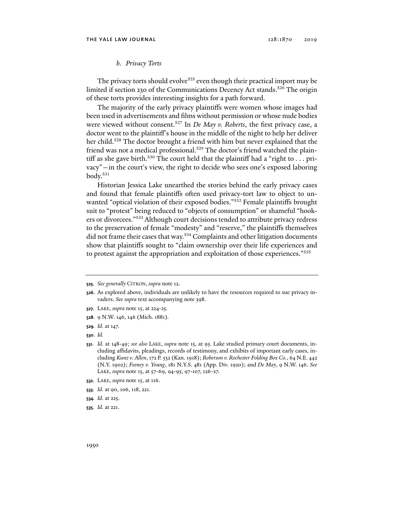## *b. Privacy Torts*

The privacy torts should evolve<sup>525</sup> even though their practical import may be limited if section 230 of the Communications Decency Act stands.<sup>526</sup> The origin of these torts provides interesting insights for a path forward.

The majority of the early privacy plaintiffs were women whose images had been used in advertisements and films without permission or whose nude bodies were viewed without consent.527 In *De May v. Roberts*, the first privacy case, a doctor went to the plaintiff's house in the middle of the night to help her deliver her child.<sup>528</sup> The doctor brought a friend with him but never explained that the friend was not a medical professional.<sup>529</sup> The doctor's friend watched the plaintiff as she gave birth.<sup>530</sup> The court held that the plaintiff had a "right to  $\dots$  privacy"—in the court's view, the right to decide who sees one's exposed laboring body.531

Historian Jessica Lake unearthed the stories behind the early privacy cases and found that female plaintiffs often used privacy-tort law to object to unwanted "optical violation of their exposed bodies."<sup>532</sup> Female plaintiffs brought suit to "protest" being reduced to "objects of consumption" or shameful "hookers or divorcees."533 Although court decisions tended to attribute privacy redress to the preservation of female "modesty" and "reserve," the plaintiffs themselves did not frame their cases that way.<sup>534</sup> Complaints and other litigation documents show that plaintiffs sought to "claim ownership over their life experiences and to protest against the appropriation and exploitation of those experiences."535

- **527**. LAKE, *supra* note 15, at 224-25.
- **528**. 9 N.W. 146, 146 (Mich. 1881).
- **529***. Id.* at 147.
- **530***. Id.*

- **532**. LAKE, *supra* note 15, at 116.
- **533***. Id.* at 90, 106, 118, 221.
- **534***. Id.* at 225.
- **535***. Id.* at 221.

**<sup>525</sup>***. See generally* CITRON, *supra* note 12.

**<sup>526</sup>**. As explored above, individuals are unlikely to have the resources required to sue privacy invaders. *See supra* text accompanying note 398.

**<sup>531</sup>***. Id.* at 148-49; *see also* LAKE, *supra* note 15, at 95. Lake studied primary court documents, including affidavits, pleadings, records of testimony, and exhibits of important early cases, including *Kunz v. Allen*, 172 P. 532 (Kan. 1918); *Roberson v. Rochester Folding Box Co.*, 64 N.E. 442 (N.Y. 1902); *Feeney v. Young*, 181 N.Y.S. 481 (App. Div. 1920); and *De May*, 9 N.W. 146. *See* LAKE, *supra* note 15, at 57-69, 94-95, 97-107, 126-27.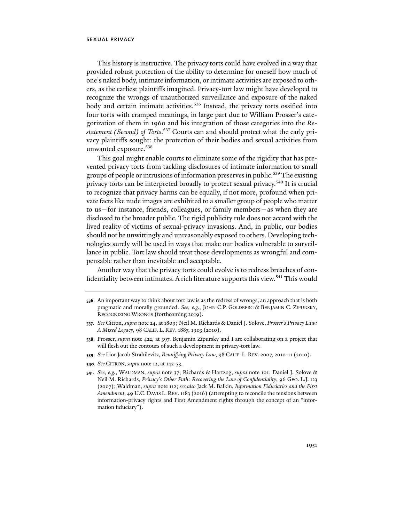This history is instructive. The privacy torts could have evolved in a way that provided robust protection of the ability to determine for oneself how much of one's naked body, intimate information, or intimate activities are exposed to others, as the earliest plaintiffs imagined. Privacy-tort law might have developed to recognize the wrongs of unauthorized surveillance and exposure of the naked body and certain intimate activities.<sup>536</sup> Instead, the privacy torts ossified into four torts with cramped meanings, in large part due to William Prosser's categorization of them in 1960 and his integration of those categories into the *Restatement (Second) of Torts*. 537 Courts can and should protect what the early privacy plaintiffs sought: the protection of their bodies and sexual activities from unwanted exposure.538

This goal might enable courts to eliminate some of the rigidity that has prevented privacy torts from tackling disclosures of intimate information to small groups of people or intrusions of information preserves in public.<sup>539</sup> The existing privacy torts can be interpreted broadly to protect sexual privacy.<sup>540</sup> It is crucial to recognize that privacy harms can be equally, if not more, profound when private facts like nude images are exhibited to a smaller group of people who matter to us—for instance, friends, colleagues, or family members—as when they are disclosed to the broader public. The rigid publicity rule does not accord with the lived reality of victims of sexual-privacy invasions. And, in public, our bodies should not be unwittingly and unreasonably exposed to others. Developing technologies surely will be used in ways that make our bodies vulnerable to surveillance in public. Tort law should treat those developments as wrongful and compensable rather than inevitable and acceptable.

Another way that the privacy torts could evolve is to redress breaches of confidentiality between intimates. A rich literature supports this view.<sup>541</sup> This would

- **536**. An important way to think about tort law is as the redress of wrongs, an approach that is both pragmatic and morally grounded. *See, e.g.*, JOHN C.P. GOLDBERG & BENJAMIN C. ZIPURSKY, RECOGNIZING WRONGS (forthcoming 2019).
- **537***. See* Citron, *supra* note 24, at 1809; Neil M. Richards & Daniel J. Solove, *Prosser's Privacy Law: A Mixed Legacy*, 98 CALIF. L. REV. 1887, 1903 (2010).
- **538**. Prosser, *supra* note 422, at 397. Benjamin Zipursky and I are collaborating on a project that will flesh out the contours of such a development in privacy-tort law.
- **539***. See* Lior Jacob Strahilevitz, *Reunifying Privacy Law*, 98 CALIF. L. REV. 2007, 2010-11 (2010).
- **540***. See* CITRON, *supra* note 12, at 142-53.
- **541***. See, e.g.*, WALDMAN, *supra* note 37; Richards & Hartzog, *supra* note 101; Daniel J. Solove & Neil M. Richards, *Privacy's Other Path: Recovering the Law of Confidentiality*, 96 GEO. L.J. 123 (2007); Waldman, *supra* note 112; *see also* Jack M. Balkin, *Information Fiduciaries and the First Amendment*, 49 U.C. DAVIS L. REV. 1183 (2016) (attempting to reconcile the tensions between information-privacy rights and First Amendment rights through the concept of an "information fiduciary").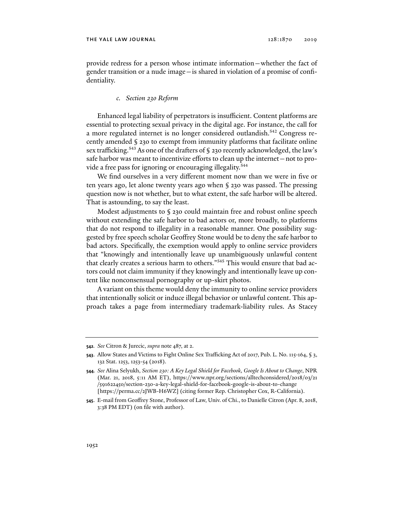provide redress for a person whose intimate information—whether the fact of gender transition or a nude image—is shared in violation of a promise of confidentiality.

## *c. Section 230 Reform*

Enhanced legal liability of perpetrators is insufficient. Content platforms are essential to protecting sexual privacy in the digital age. For instance, the call for a more regulated internet is no longer considered outlandish.<sup>542</sup> Congress recently amended § 230 to exempt from immunity platforms that facilitate online sex trafficking.<sup>543</sup> As one of the drafters of § 230 recently acknowledged, the law's safe harbor was meant to incentivize efforts to clean up the internet—not to provide a free pass for ignoring or encouraging illegality.<sup>544</sup>

We find ourselves in a very different moment now than we were in five or ten years ago, let alone twenty years ago when § 230 was passed. The pressing question now is not whether, but to what extent, the safe harbor will be altered. That is astounding, to say the least.

Modest adjustments to § 230 could maintain free and robust online speech without extending the safe harbor to bad actors or, more broadly, to platforms that do not respond to illegality in a reasonable manner. One possibility suggested by free speech scholar Geoffrey Stone would be to deny the safe harbor to bad actors. Specifically, the exemption would apply to online service providers that "knowingly and intentionally leave up unambiguously unlawful content that clearly creates a serious harm to others."<sup>545</sup> This would ensure that bad actors could not claim immunity if they knowingly and intentionally leave up content like nonconsensual pornography or up-skirt photos.

A variant on this theme would deny the immunity to online service providers that intentionally solicit or induce illegal behavior or unlawful content. This approach takes a page from intermediary trademark-liability rules. As Stacey

**<sup>542</sup>***. See* Citron & Jurecic, *supra* note 487, at 2.

**<sup>543</sup>**. Allow States and Victims to Fight Online Sex Trafficking Act of 2017, Pub. L. No. 115-164, § 3, 132 Stat. 1253, 1253-54 (2018).

**<sup>544</sup>***. See* Alina Selyukh, *Section 230: A Key Legal Shield for Facebook, Google Is About to Change*, NPR (Mar. 21, 2018, 5:11 AM ET), https://www.npr.org/sections/alltechconsidered/2018/03/21 /591622450/section-230-a-key-legal-shield-for-facebook-google-is-about-to-change [https://perma.cc/2JWB-H6WZ] (citing former Rep. Christopher Cox, R-California).

**<sup>545</sup>**. E-mail from Geoffrey Stone, Professor of Law, Univ. of Chi., to Danielle Citron (Apr. 8, 2018, 3:38 PM EDT) (on file with author).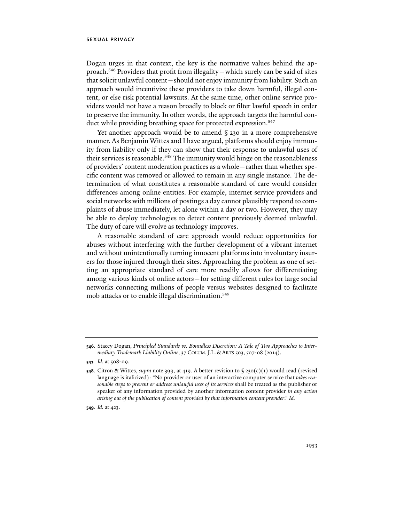Dogan urges in that context, the key is the normative values behind the approach.546 Providers that profit from illegality—which surely can be said of sites that solicit unlawful content—should not enjoy immunity from liability. Such an approach would incentivize these providers to take down harmful, illegal content, or else risk potential lawsuits. At the same time, other online service providers would not have a reason broadly to block or filter lawful speech in order to preserve the immunity. In other words, the approach targets the harmful conduct while providing breathing space for protected expression.<sup>547</sup>

Yet another approach would be to amend § 230 in a more comprehensive manner. As Benjamin Wittes and I have argued, platforms should enjoy immunity from liability only if they can show that their response to unlawful uses of their services is reasonable.<sup>548</sup> The immunity would hinge on the reasonableness of providers' content moderation practices as a whole—rather than whether specific content was removed or allowed to remain in any single instance. The determination of what constitutes a reasonable standard of care would consider differences among online entities. For example, internet service providers and social networks with millions of postings a day cannot plausibly respond to complaints of abuse immediately, let alone within a day or two. However, they may be able to deploy technologies to detect content previously deemed unlawful. The duty of care will evolve as technology improves.

A reasonable standard of care approach would reduce opportunities for abuses without interfering with the further development of a vibrant internet and without unintentionally turning innocent platforms into involuntary insurers for those injured through their sites. Approaching the problem as one of setting an appropriate standard of care more readily allows for differentiating among various kinds of online actors—for setting different rules for large social networks connecting millions of people versus websites designed to facilitate mob attacks or to enable illegal discrimination.<sup>549</sup>

**<sup>546</sup>**. Stacey Dogan, *Principled Standards vs. Boundless Discretion: A Tale of Two Approaches to Intermediary Trademark Liability Online*, 37 COLUM.J.L. & ARTS 503, 507-08 (2014).

**<sup>547</sup>***. Id.* at 508-09.

**<sup>548</sup>**. Citron & Wittes, *supra* note 399, at 419. A better revision to § 230(c)(1) would read (revised language is italicized): "No provider or user of an interactive computer service that *takes reasonable steps to prevent or address unlawful uses of its services* shall be treated as the publisher or speaker of any information provided by another information content provider *in any action arising out of the publication of content provided by that information content provider*." *Id.*

**<sup>549</sup>***. Id.* at 423.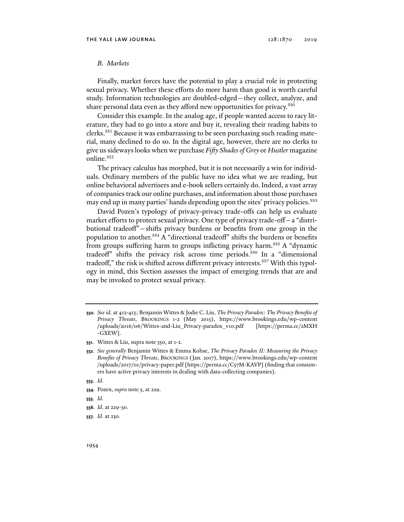# *B. Markets*

Finally, market forces have the potential to play a crucial role in protecting sexual privacy. Whether these efforts do more harm than good is worth careful study. Information technologies are doubled-edged—they collect, analyze, and share personal data even as they afford new opportunities for privacy.<sup>550</sup>

Consider this example. In the analog age, if people wanted access to racy literature, they had to go into a store and buy it, revealing their reading habits to clerks.551 Because it was embarrassing to be seen purchasing such reading material, many declined to do so. In the digital age, however, there are no clerks to give us sideways looks when we purchase *Fifty Shades of Grey* or *Hustler* magazine online.<sup>552</sup>

The privacy calculus has morphed, but it is not necessarily a win for individuals. Ordinary members of the public have no idea what we are reading, but online behavioral advertisers and e-book sellers certainly do. Indeed, a vast array of companies track our online purchases, and information about those purchases may end up in many parties' hands depending upon the sites' privacy policies.<sup>553</sup>

David Pozen's typology of privacy-privacy trade-offs can help us evaluate market efforts to protect sexual privacy. One type of privacy trade-off—a "distributional tradeoff"—shifts privacy burdens or benefits from one group in the population to another.554 A "directional tradeoff" shifts the burdens or benefits from groups suffering harm to groups inflicting privacy harm.<sup>555</sup> A "dynamic tradeoff" shifts the privacy risk across time periods.556 In a "dimensional tradeoff," the risk is shifted across different privacy interests.<sup>557</sup> With this typology in mind, this Section assesses the impact of emerging trends that are and may be invoked to protect sexual privacy.

- **553***. Id.*
- **554**. Pozen, *supra* note 5, at 229.
- **555***. Id.*
- **556***. Id*. at 229-30.
- **557***. Id.* at 230.

**<sup>550</sup>***. See id.* at 412-413; Benjamin Wittes & Jodie C. Liu, *The Privacy Paradox: The Privacy Benefits of Privacy Threats*, BROOKINGS 1-2 (May 2015), https://www.brookings.edu/wp-content /uploads/2016/06/Wittes-and-Liu\_Privacy-paradox\_v10.pdf [https://perma.cc/2MXH -GXEW].

**<sup>551</sup>**. Wittes & Liu, supra note 550, at 1-2.

**<sup>552</sup>***. See generally* Benjamin Wittes & Emma Kohse, *The Privacy Paradox II: Measuring the Privacy Benefits of Privacy Threats*, BROOKINGS (Jan. 2017), https://www.brookings.edu/wp-content /uploads/2017/01/privacy-paper.pdf [https://perma.cc/C57M-KAVP] (finding that consumers have active privacy interests in dealing with data-collecting companies).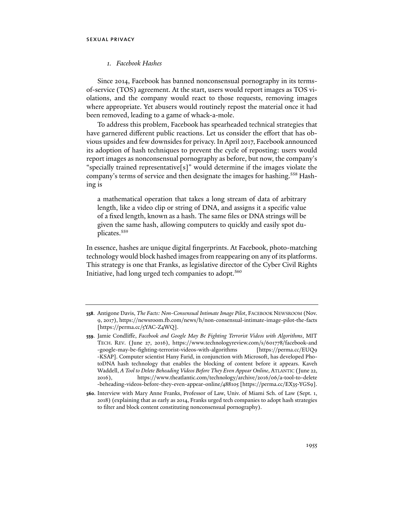# *1. Facebook Hashes*

Since 2014, Facebook has banned nonconsensual pornography in its termsof-service (TOS) agreement. At the start, users would report images as TOS violations, and the company would react to those requests, removing images where appropriate. Yet abusers would routinely repost the material once it had been removed, leading to a game of whack-a-mole.

To address this problem, Facebook has spearheaded technical strategies that have garnered different public reactions. Let us consider the effort that has obvious upsides and few downsides for privacy. In April 2017, Facebook announced its adoption of hash techniques to prevent the cycle of reposting: users would report images as nonconsensual pornography as before, but now, the company's "specially trained representative[s]" would determine if the images violate the company's terms of service and then designate the images for hashing.<sup>558</sup> Hashing is

a mathematical operation that takes a long stream of data of arbitrary length, like a video clip or string of DNA, and assigns it a specific value of a fixed length, known as a hash. The same files or DNA strings will be given the same hash, allowing computers to quickly and easily spot duplicates.559

In essence, hashes are unique digital fingerprints. At Facebook, photo-matching technology would block hashed images from reappearing on any of its platforms. This strategy is one that Franks, as legislative director of the Cyber Civil Rights Initiative, had long urged tech companies to adopt.<sup>560</sup>

**<sup>558</sup>**. Antigone Davis, *The Facts: Non-Consensual Intimate Image Pilot*, FACEBOOK NEWSROOM (Nov. 9, 2017), https://newsroom.fb.com/news/h/non-consensual-intimate-image-pilot-the-facts [https://perma.cc/5YAC-Z4WQ].

**<sup>559</sup>**. Jamie Condliffe, *Facebook and Google May Be Fighting Terrorist Videos with Algorithms*, MIT TECH. REV. (June 27, 2016), https://www.technologyreview.com/s/601778/facebook-and -google-may-be-fighting-terrorist-videos-with-algorithms [https://perma.cc/EUQ9 -KSAP]. Computer scientist Hany Farid, in conjunction with Microsoft, has developed PhotoDNA hash technology that enables the blocking of content before it appears. Kaveh Waddell, *A Tool to Delete Beheading Videos Before They Even Appear Online*, ATLANTIC (June 22, 2016), https://www.theatlantic.com/technology/archive/2016/06/a-tool-to-delete -beheading-videos-before-they-even-appear-online/488105 [https://perma.cc/EX35-YGS9].

**<sup>560</sup>**. Interview with Mary Anne Franks, Professor of Law, Univ. of Miami Sch. of Law (Sept. 1, 2018) (explaining that as early as 2014, Franks urged tech companies to adopt hash strategies to filter and block content constituting nonconsensual pornography).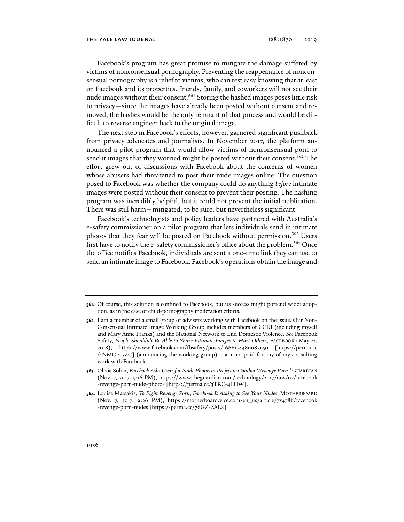Facebook's program has great promise to mitigate the damage suffered by victims of nonconsensual pornography. Preventing the reappearance of nonconsensual pornography is a relief to victims, who can rest easy knowing that at least on Facebook and its properties, friends, family, and coworkers will not see their nude images without their consent.<sup>561</sup> Storing the hashed images poses little risk to privacy—since the images have already been posted without consent and removed, the hashes would be the only remnant of that process and would be difficult to reverse engineer back to the original image.

The next step in Facebook's efforts, however, garnered significant pushback from privacy advocates and journalists. In November 2017, the platform announced a pilot program that would allow victims of nonconsensual porn to send it images that they worried might be posted without their consent.<sup>562</sup> The effort grew out of discussions with Facebook about the concerns of women whose abusers had threatened to post their nude images online. The question posed to Facebook was whether the company could do anything *before* intimate images were posted without their consent to prevent their posting. The hashing program was incredibly helpful, but it could not prevent the initial publication. There was still harm—mitigated, to be sure, but nevertheless significant.

Facebook's technologists and policy leaders have partnered with Australia's e-safety commissioner on a pilot program that lets individuals send in intimate photos that they fear will be posted on Facebook without permission.<sup>563</sup> Users first have to notify the e-safety commissioner's office about the problem.<sup>564</sup> Once the office notifies Facebook, individuals are sent a one-time link they can use to send an intimate image to Facebook. Facebook's operations obtain the image and

**<sup>561</sup>**. Of course, this solution is confined to Facebook, but its success might portend wider adoption, as in the case of child-pornography moderation efforts.

**<sup>562</sup>**. I am a member of a small group of advisers working with Facebook on the issue. Our Non-Consensual Intimate Image Working Group includes members of CCRI (including myself and Mary Anne Franks) and the National Network to End Domestic Violence. *See* Facebook Safety, People Shouldn't Be Able to Share Intimate Images to Hurt Others, FACEBOOK (May 22, 2018), https://www.facebook.com/fbsafety/posts/1666174480087050 [https://perma.cc /4NMC-C5ZC] (announcing the working group). I am not paid for any of my consulting work with Facebook.

**<sup>563</sup>**. Olivia Solon, *Facebook Asks Users for Nude Photos in Project to Combat 'Revenge Porn*,*'* GUARDIAN (Nov. 7, 2017, 5:16 PM), https://www.theguardian.com/technology/2017/nov/07/facebook -revenge-porn-nude-photos [https://perma.cc/3TRC-4LHW].

**<sup>564</sup>**. Louise Matsakis, *To Fight Revenge Porn, Facebook Is Asking to See Your Nudes*, MOTHERBOARD (Nov. 7, 2017, 9:26 PM), https://motherboard.vice.com/en\_us/article/7x478b/facebook -revenge-porn-nudes [https://perma.cc/76GZ-ZAL8].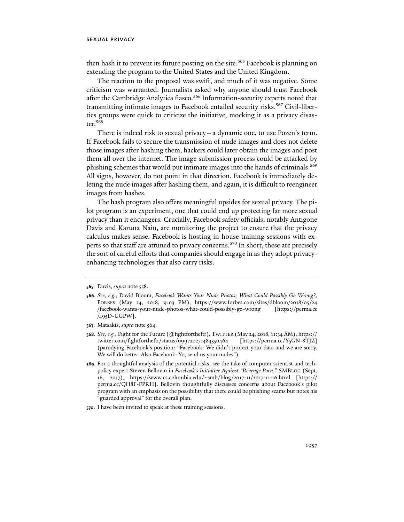then hash it to prevent its future posting on the site.<sup>565</sup> Facebook is planning on extending the program to the United States and the United Kingdom.

The reaction to the proposal was swift, and much of it was negative. Some criticism was warranted. Journalists asked why anyone should trust Facebook after the Cambridge Analytica fiasco.<sup>566</sup> Information-security experts noted that transmitting intimate images to Facebook entailed security risks.<sup>567</sup> Civil-liberties groups were quick to criticize the initiative, mocking it as a privacy disaster.568

There is indeed risk to sexual privacy—a dynamic one, to use Pozen's term. If Facebook fails to secure the transmission of nude images and does not delete those images after hashing them, hackers could later obtain the images and post them all over the internet. The image submission process could be attacked by phishing schemes that would put intimate images into the hands of criminals.569 All signs, however, do not point in that direction. Facebook is immediately deleting the nude images after hashing them, and again, it is difficult to reengineer images from hashes.

The hash program also offers meaningful upsides for sexual privacy. The pilot program is an experiment, one that could end up protecting far more sexual privacy than it endangers. Crucially, Facebook safety officials, notably Antigone Davis and Karuna Nain, are monitoring the project to ensure that the privacy calculus makes sense. Facebook is hosting in-house training sessions with experts so that staff are attuned to privacy concerns.<sup>570</sup> In short, these are precisely the sort of careful efforts that companies should engage in as they adopt privacyenhancing technologies that also carry risks.

**<sup>565</sup>**. Davis, *supra* note 558.

**<sup>566</sup>**. *See, e.g.*, David Bloom, *Facebook Wants Your Nude Photos; What Could Possibly Go Wrong?*, FORBES (May 24, 2018, 9:03 PM), https://www.forbes.com/sites/dbloom/2018/05/24 /facebook-wants-your-nude-photos-what-could-possibly-go-wrong [https://perma.cc /495D-UGPW].

**<sup>567</sup>**. Matsakis, *supra* note 564.

**<sup>568</sup>***. See, e.g.*, Fight for the Future (@fightfortheftr), TWITTER (May 24, 2018, 11:34 AM), https:// twitter.com/fightfortheftr/status/999720271484350464 [https://perma.cc/Y5GN-8TJZ] (parodying Facebook's position: "Facebook: We didn't protect your data and we are sorry. We will do better. Also Facebook: Yo, send us your nudes").

**<sup>569</sup>**. For a thoughtful analysis of the potential risks, see the take of computer scientist and techpolicy expert Steven Bellovin in *Facebook's Initiative Against "Revenge Porn*,*"* SMBLOG (Sept. 16, 2017), https://www.cs.columbia.edu/~smb/blog/2017-11/2017-11-16.html [https:// perma.cc/QH8F-FPRH]. Bellovin thoughtfully discusses concerns about Facebook's pilot program with an emphasis on the possibility that there could be phishing scams but notes his "guarded approval" for the overall plan.

**<sup>570</sup>**. I have been invited to speak at these training sessions.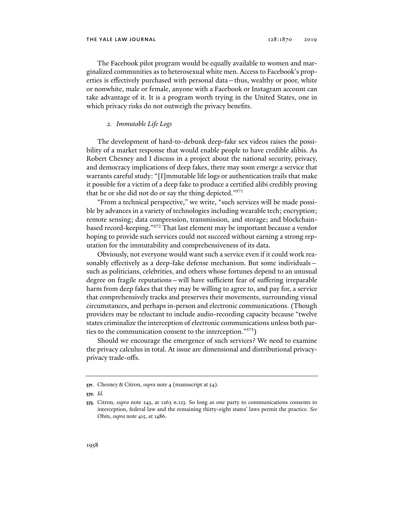The Facebook pilot program would be equally available to women and marginalized communities as to heterosexual white men. Access to Facebook's properties is effectively purchased with personal data—thus, wealthy or poor, white or nonwhite, male or female, anyone with a Facebook or Instagram account can take advantage of it. It is a program worth trying in the United States, one in which privacy risks do not outweigh the privacy benefits.

## *2. Immutable Life Logs*

The development of hard-to-debunk deep-fake sex videos raises the possibility of a market response that would enable people to have credible alibis. As Robert Chesney and I discuss in a project about the national security, privacy, and democracy implications of deep fakes, there may soon emerge a service that warrants careful study: "[I]mmutable life logs or authentication trails that make it possible for a victim of a deep fake to produce a certified alibi credibly proving that he or she did not do or say the thing depicted."571

"From a technical perspective," we write, "such services will be made possible by advances in a variety of technologies including wearable tech; encryption; remote sensing; data compression, transmission, and storage; and blockchainbased record-keeping."572 That last element may be important because a vendor hoping to provide such services could not succeed without earning a strong reputation for the immutability and comprehensiveness of its data.

Obviously, not everyone would want such a service even if it could work reasonably effectively as a deep-fake defense mechanism. But some individuals such as politicians, celebrities, and others whose fortunes depend to an unusual degree on fragile reputations—will have sufficient fear of suffering irreparable harm from deep fakes that they may be willing to agree to, and pay for, a service that comprehensively tracks and preserves their movements, surrounding visual circumstances, and perhaps in-person and electronic communications. (Though providers may be reluctant to include audio-recording capacity because "twelve states criminalize the interception of electronic communications unless both parties to the communication consent to the interception."573)

Should we encourage the emergence of such services? We need to examine the privacy calculus in total. At issue are dimensional and distributional privacyprivacy trade-offs.

**<sup>571</sup>**. Chesney & Citron, *supra* note 4 (manuscript at 54).

**<sup>572</sup>***. Id.*

**<sup>573</sup>***.* Citron, *supra* note 243, at 1263 n.123. So long as one party to communications consents to interception, federal law and the remaining thirty-eight states' laws permit the practice. *See* Ohm, *supra* note 415, at 1486.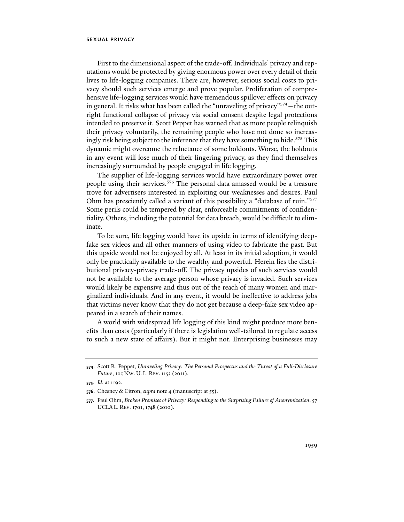First to the dimensional aspect of the trade-off. Individuals' privacy and reputations would be protected by giving enormous power over every detail of their lives to life-logging companies. There are, however, serious social costs to privacy should such services emerge and prove popular. Proliferation of comprehensive life-logging services would have tremendous spillover effects on privacy in general. It risks what has been called the "unraveling of privacy"<sup>574</sup> – the outright functional collapse of privacy via social consent despite legal protections intended to preserve it. Scott Peppet has warned that as more people relinquish their privacy voluntarily, the remaining people who have not done so increasingly risk being subject to the inference that they have something to hide.<sup>575</sup> This dynamic might overcome the reluctance of some holdouts. Worse, the holdouts in any event will lose much of their lingering privacy, as they find themselves increasingly surrounded by people engaged in life logging.

The supplier of life-logging services would have extraordinary power over people using their services.<sup>576</sup> The personal data amassed would be a treasure trove for advertisers interested in exploiting our weaknesses and desires. Paul Ohm has presciently called a variant of this possibility a "database of ruin."<sup>577</sup> Some perils could be tempered by clear, enforceable commitments of confidentiality. Others, including the potential for data breach, would be difficult to eliminate.

To be sure, life logging would have its upside in terms of identifying deepfake sex videos and all other manners of using video to fabricate the past. But this upside would not be enjoyed by all. At least in its initial adoption, it would only be practically available to the wealthy and powerful. Herein lies the distributional privacy-privacy trade-off. The privacy upsides of such services would not be available to the average person whose privacy is invaded. Such services would likely be expensive and thus out of the reach of many women and marginalized individuals. And in any event, it would be ineffective to address jobs that victims never know that they do not get because a deep-fake sex video appeared in a search of their names.

A world with widespread life logging of this kind might produce more benefits than costs (particularly if there is legislation well-tailored to regulate access to such a new state of affairs). But it might not. Enterprising businesses may

**<sup>574</sup>**. Scott R. Peppet, *Unraveling Privacy: The Personal Prospectus and the Threat of a Full-Disclosure Future*, 105 NW. U. L. REV. 1153 (2011).

**<sup>575</sup>***. Id.* at 1192.

**<sup>576</sup>**. Chesney & Citron, *supra* note 4 (manuscript at 55).

**<sup>577</sup>**. Paul Ohm, *Broken Promises of Privacy: Responding to the Surprising Failure of Anonymization*, 57 UCLA L. REV. 1701, 1748 (2010).